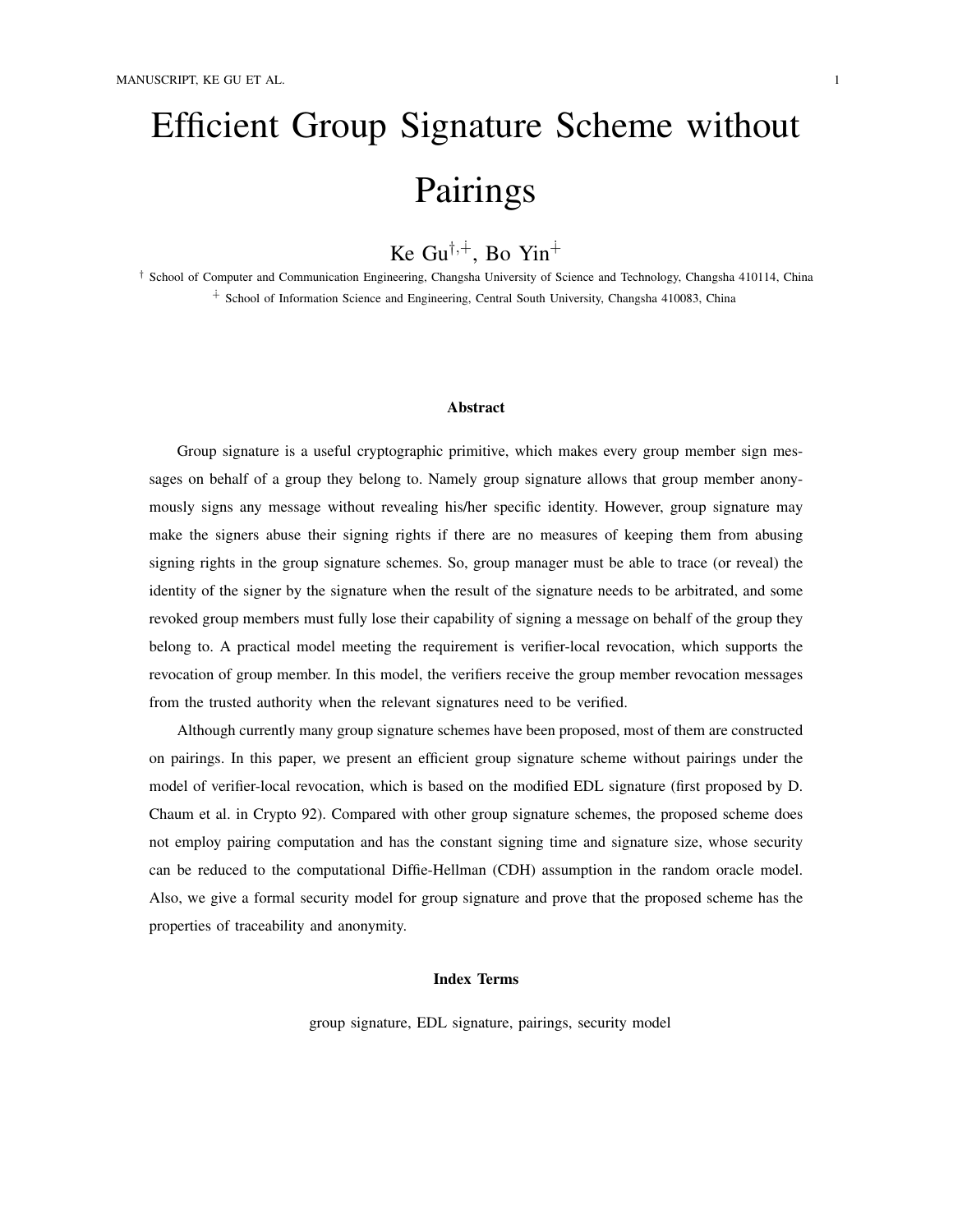# Efficient Group Signature Scheme without Pairings

Ke Gu<sup> $\dagger$ , Bo Yin<sup> $\dagger$ </sup></sup>

† School of Computer and Communication Engineering, Changsha University of Science and Technology, Changsha 410114, China  $+$  School of Information Science and Engineering, Central South University, Changsha 410083, China

#### Abstract

Group signature is a useful cryptographic primitive, which makes every group member sign messages on behalf of a group they belong to. Namely group signature allows that group member anonymously signs any message without revealing his/her specific identity. However, group signature may make the signers abuse their signing rights if there are no measures of keeping them from abusing signing rights in the group signature schemes. So, group manager must be able to trace (or reveal) the identity of the signer by the signature when the result of the signature needs to be arbitrated, and some revoked group members must fully lose their capability of signing a message on behalf of the group they belong to. A practical model meeting the requirement is verifier-local revocation, which supports the revocation of group member. In this model, the verifiers receive the group member revocation messages from the trusted authority when the relevant signatures need to be verified.

Although currently many group signature schemes have been proposed, most of them are constructed on pairings. In this paper, we present an efficient group signature scheme without pairings under the model of verifier-local revocation, which is based on the modified EDL signature (first proposed by D. Chaum et al. in Crypto 92). Compared with other group signature schemes, the proposed scheme does not employ pairing computation and has the constant signing time and signature size, whose security can be reduced to the computational Diffie-Hellman (CDH) assumption in the random oracle model. Also, we give a formal security model for group signature and prove that the proposed scheme has the properties of traceability and anonymity.

#### Index Terms

group signature, EDL signature, pairings, security model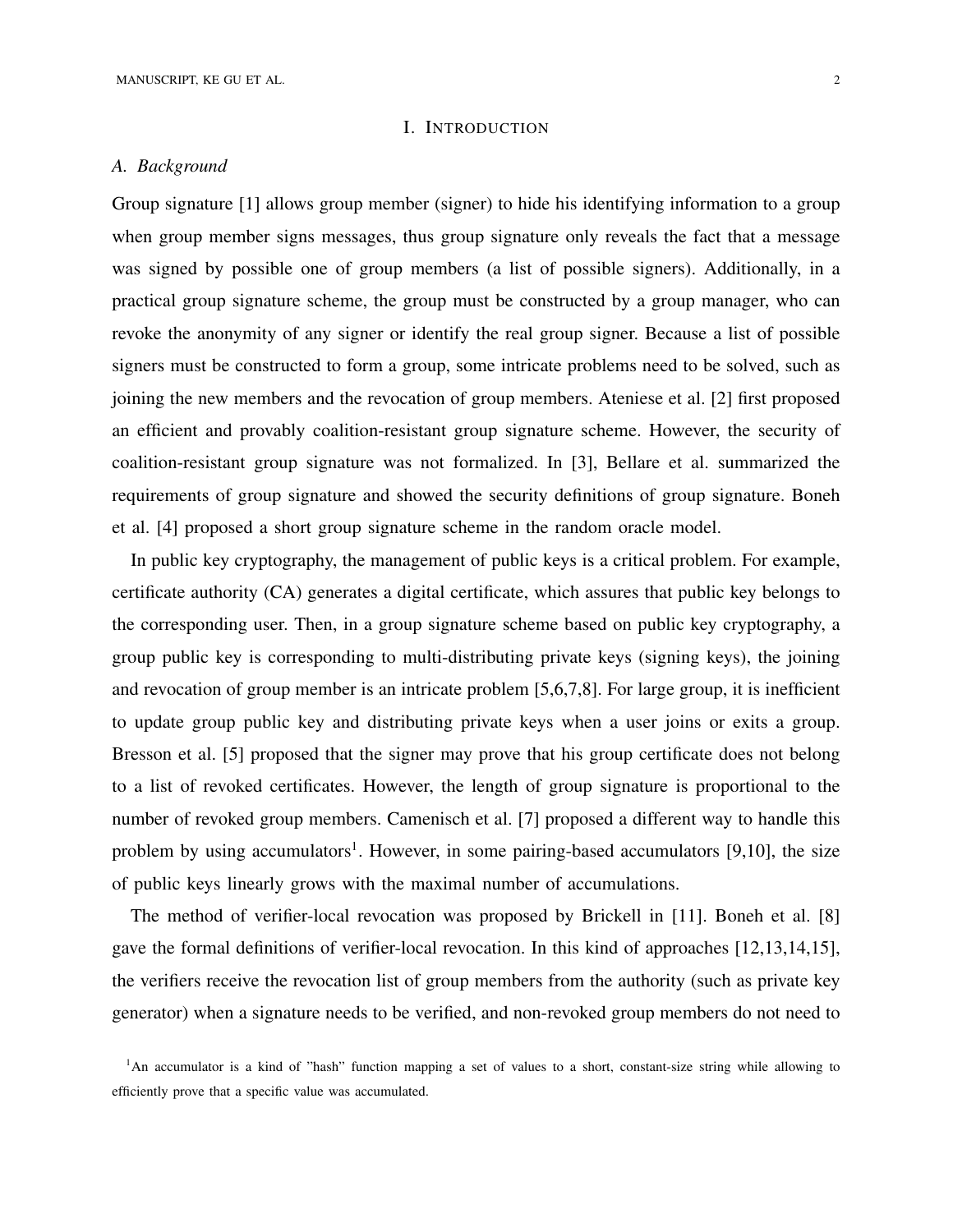#### I. INTRODUCTION

# *A. Background*

Group signature [1] allows group member (signer) to hide his identifying information to a group when group member signs messages, thus group signature only reveals the fact that a message was signed by possible one of group members (a list of possible signers). Additionally, in a practical group signature scheme, the group must be constructed by a group manager, who can revoke the anonymity of any signer or identify the real group signer. Because a list of possible signers must be constructed to form a group, some intricate problems need to be solved, such as joining the new members and the revocation of group members. Ateniese et al. [2] first proposed an efficient and provably coalition-resistant group signature scheme. However, the security of coalition-resistant group signature was not formalized. In [3], Bellare et al. summarized the requirements of group signature and showed the security definitions of group signature. Boneh et al. [4] proposed a short group signature scheme in the random oracle model.

In public key cryptography, the management of public keys is a critical problem. For example, certificate authority (CA) generates a digital certificate, which assures that public key belongs to the corresponding user. Then, in a group signature scheme based on public key cryptography, a group public key is corresponding to multi-distributing private keys (signing keys), the joining and revocation of group member is an intricate problem [5,6,7,8]. For large group, it is inefficient to update group public key and distributing private keys when a user joins or exits a group. Bresson et al. [5] proposed that the signer may prove that his group certificate does not belong to a list of revoked certificates. However, the length of group signature is proportional to the number of revoked group members. Camenisch et al. [7] proposed a different way to handle this problem by using accumulators<sup>1</sup>. However, in some pairing-based accumulators [9,10], the size of public keys linearly grows with the maximal number of accumulations.

The method of verifier-local revocation was proposed by Brickell in [11]. Boneh et al. [8] gave the formal definitions of verifier-local revocation. In this kind of approaches [12,13,14,15], the verifiers receive the revocation list of group members from the authority (such as private key generator) when a signature needs to be verified, and non-revoked group members do not need to

<sup>&</sup>lt;sup>1</sup>An accumulator is a kind of "hash" function mapping a set of values to a short, constant-size string while allowing to efficiently prove that a specific value was accumulated.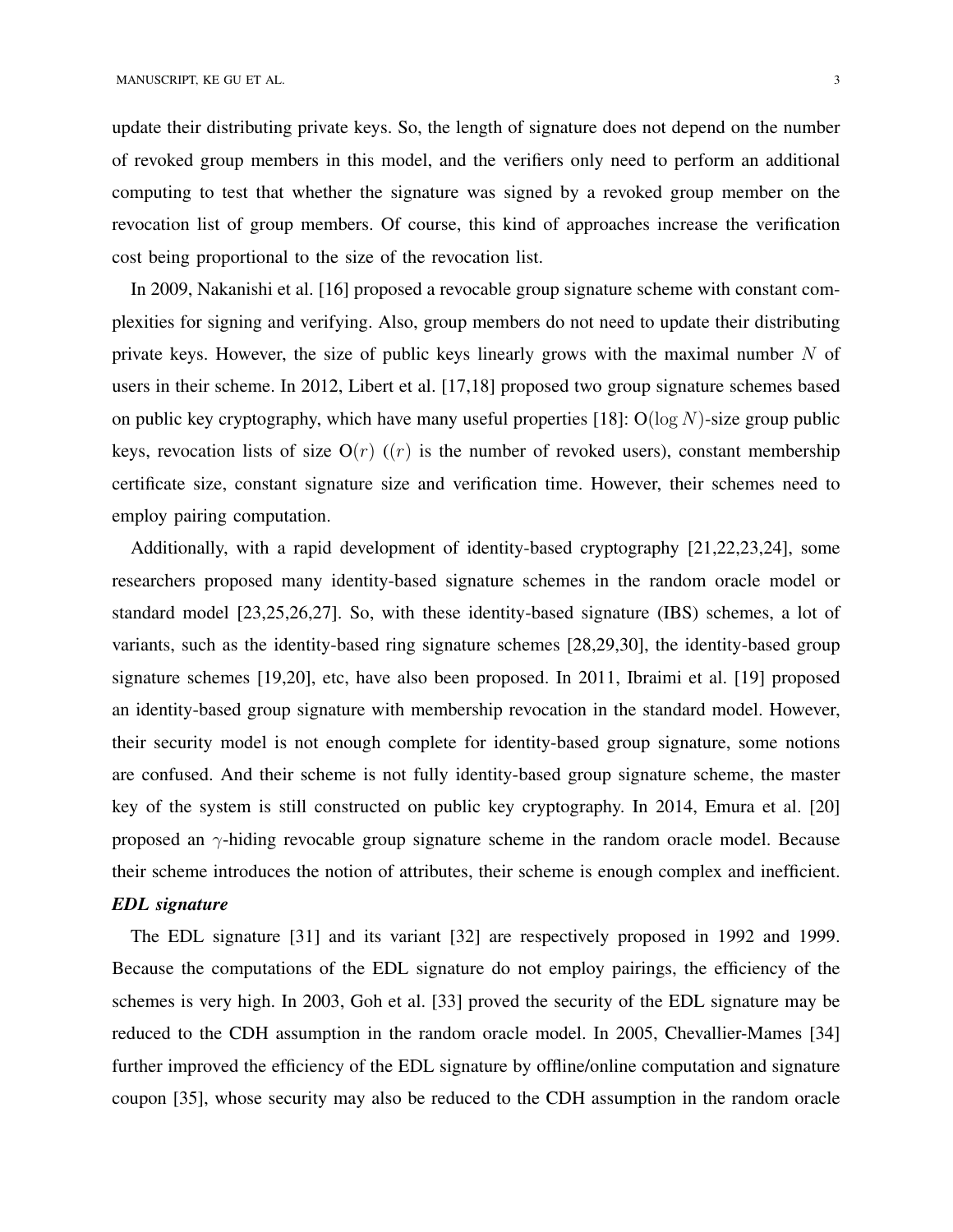update their distributing private keys. So, the length of signature does not depend on the number of revoked group members in this model, and the verifiers only need to perform an additional computing to test that whether the signature was signed by a revoked group member on the revocation list of group members. Of course, this kind of approaches increase the verification cost being proportional to the size of the revocation list.

In 2009, Nakanishi et al. [16] proposed a revocable group signature scheme with constant complexities for signing and verifying. Also, group members do not need to update their distributing private keys. However, the size of public keys linearly grows with the maximal number  $N$  of users in their scheme. In 2012, Libert et al. [17,18] proposed two group signature schemes based on public key cryptography, which have many useful properties [18]:  $O(\log N)$ -size group public keys, revocation lists of size  $O(r)$  ((r) is the number of revoked users), constant membership certificate size, constant signature size and verification time. However, their schemes need to employ pairing computation.

Additionally, with a rapid development of identity-based cryptography [21,22,23,24], some researchers proposed many identity-based signature schemes in the random oracle model or standard model [23,25,26,27]. So, with these identity-based signature (IBS) schemes, a lot of variants, such as the identity-based ring signature schemes [28,29,30], the identity-based group signature schemes [19,20], etc, have also been proposed. In 2011, Ibraimi et al. [19] proposed an identity-based group signature with membership revocation in the standard model. However, their security model is not enough complete for identity-based group signature, some notions are confused. And their scheme is not fully identity-based group signature scheme, the master key of the system is still constructed on public key cryptography. In 2014, Emura et al. [20] proposed an  $\gamma$ -hiding revocable group signature scheme in the random oracle model. Because their scheme introduces the notion of attributes, their scheme is enough complex and inefficient.

# *EDL signature*

The EDL signature [31] and its variant [32] are respectively proposed in 1992 and 1999. Because the computations of the EDL signature do not employ pairings, the efficiency of the schemes is very high. In 2003, Goh et al. [33] proved the security of the EDL signature may be reduced to the CDH assumption in the random oracle model. In 2005, Chevallier-Mames [34] further improved the efficiency of the EDL signature by offline/online computation and signature coupon [35], whose security may also be reduced to the CDH assumption in the random oracle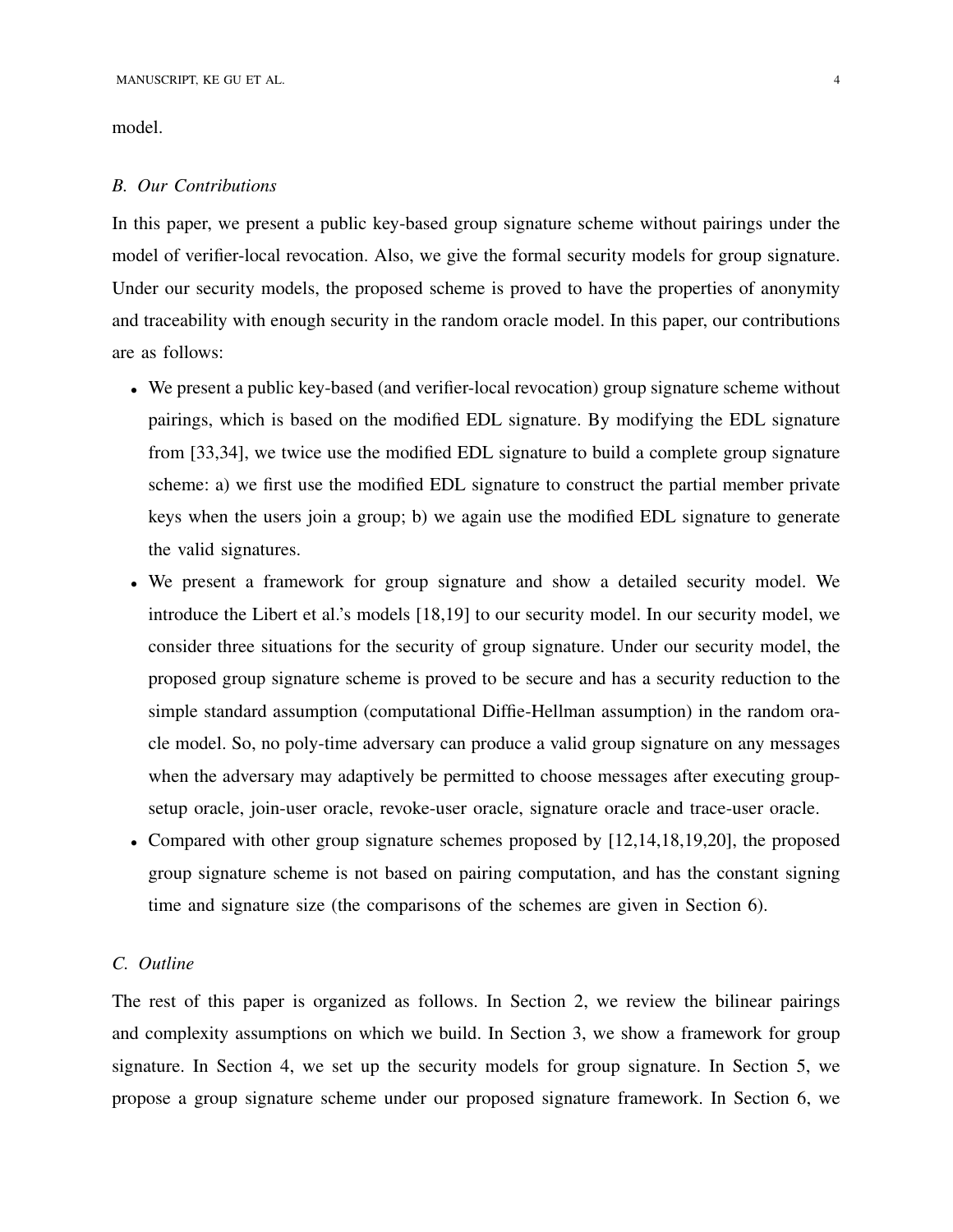model.

#### *B. Our Contributions*

In this paper, we present a public key-based group signature scheme without pairings under the model of verifier-local revocation. Also, we give the formal security models for group signature. Under our security models, the proposed scheme is proved to have the properties of anonymity and traceability with enough security in the random oracle model. In this paper, our contributions are as follows:

- We present a public key-based (and verifier-local revocation) group signature scheme without pairings, which is based on the modified EDL signature. By modifying the EDL signature from [33,34], we twice use the modified EDL signature to build a complete group signature scheme: a) we first use the modified EDL signature to construct the partial member private keys when the users join a group; b) we again use the modified EDL signature to generate the valid signatures.
- We present a framework for group signature and show a detailed security model. We introduce the Libert et al.'s models [18,19] to our security model. In our security model, we consider three situations for the security of group signature. Under our security model, the proposed group signature scheme is proved to be secure and has a security reduction to the simple standard assumption (computational Diffie-Hellman assumption) in the random oracle model. So, no poly-time adversary can produce a valid group signature on any messages when the adversary may adaptively be permitted to choose messages after executing groupsetup oracle, join-user oracle, revoke-user oracle, signature oracle and trace-user oracle.
- Compared with other group signature schemes proposed by [12,14,18,19,20], the proposed group signature scheme is not based on pairing computation, and has the constant signing time and signature size (the comparisons of the schemes are given in Section 6).

### *C. Outline*

The rest of this paper is organized as follows. In Section 2, we review the bilinear pairings and complexity assumptions on which we build. In Section 3, we show a framework for group signature. In Section 4, we set up the security models for group signature. In Section 5, we propose a group signature scheme under our proposed signature framework. In Section 6, we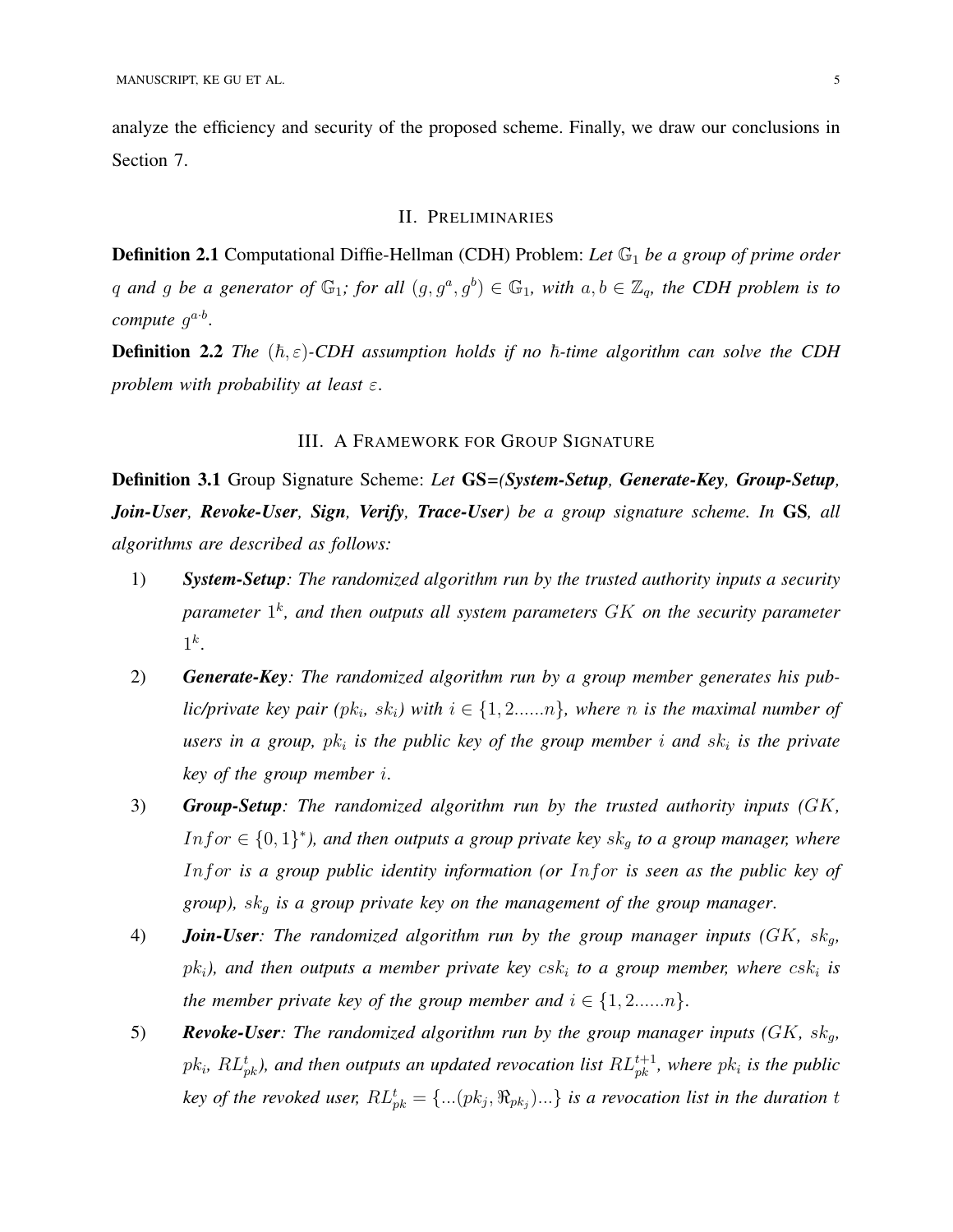analyze the efficiency and security of the proposed scheme. Finally, we draw our conclusions in Section 7.

#### II. PRELIMINARIES

**Definition 2.1** Computational Diffie-Hellman (CDH) Problem: Let  $\mathbb{G}_1$  be a group of prime order q and g be a generator of  $\mathbb{G}_1$ ; for all  $(g, g^a, g^b) \in \mathbb{G}_1$ , with  $a, b \in \mathbb{Z}_q$ , the CDH problem is to *compute* g a·b .

**Definition 2.2** *The*  $(\hbar, \varepsilon)$ -CDH assumption holds if no  $\hbar$ -time algorithm can solve the CDH *problem with probability at least* ε.

### III. A FRAMEWORK FOR GROUP SIGNATURE

Definition 3.1 Group Signature Scheme: *Let* GS*=(System-Setup, Generate-Key, Group-Setup, Join-User, Revoke-User, Sign, Verify, Trace-User) be a group signature scheme. In* GS*, all algorithms are described as follows:*

- 1) *System-Setup: The randomized algorithm run by the trusted authority inputs a security parameter* 1 k *, and then outputs all system parameters* GK *on the security parameter*  $1^k$ .
- 2) *Generate-Key: The randomized algorithm run by a group member generates his pub* $lic/private$  key pair  $(pk_i, sk_i)$  with  $i \in \{1, 2, ..., n\}$ , where n is the maximal number of  $u$ sers in a group,  $pk_i$  is the public key of the group member  $i$  and  $sk_i$  is the private *key of the group member* i.
- 3) *Group-Setup: The randomized algorithm run by the trusted authority inputs (*GK*,*  $Infor \in \{0,1\}^*$ ), and then outputs a group private key  $sk_g$  to a group manager, where Infor *is a group public identity information (or* Infor *is seen as the public key of group),* sk<sup>g</sup> *is a group private key on the management of the group manager*.
- 4) *Join-User: The randomized algorithm run by the group manager inputs (*GK*,* skg*,*  $pk<sub>i</sub>$ ), and then outputs a member private key  $csk<sub>i</sub>$  to a group member, where  $csk<sub>i</sub>$  is *the member private key of the group member and*  $i \in \{1, 2, ..., n\}$ .
- 5) *Revoke-User: The randomized algorithm run by the group manager inputs (*GK*,* skg*,*  $pk_i$ ,  $RL_{pk}^t$ ), and then outputs an updated revocation list  $RL_{pk}^{t+1}$ , where  $pk_i$  is the public key of the revoked user,  $RL_{pk}^t = \{ ...(pk_j, \Re_{pk_j})... \}$  is a revocation list in the duration t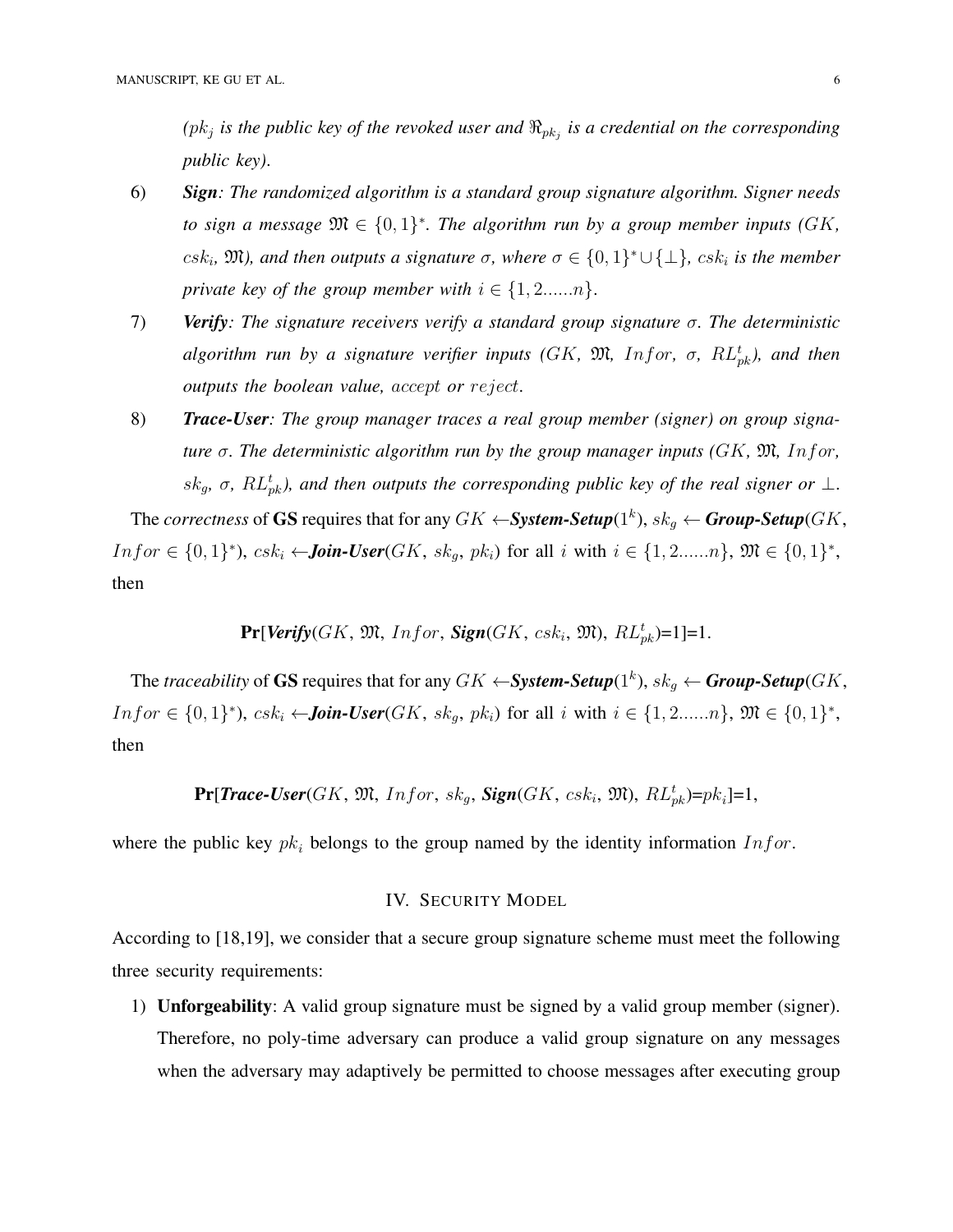( $pk_j$  is the public key of the revoked user and  $\Re_{pk_j}$  is a credential on the corresponding *public key)*.

- 6) *Sign: The randomized algorithm is a standard group signature algorithm. Signer needs to sign a message*  $\mathfrak{M} \in \{0,1\}^*$ . The algorithm run by a group member inputs (GK,  $c$ s $k_i$ ,  $\mathfrak{M}$ ), and then outputs a signature  $\sigma$ , where  $\sigma \in \{0,1\}^* \cup \{\perp\}$ ,  $c$ s $k_i$  is the member *private key of the group member with*  $i \in \{1, 2, ..., n\}$ .
- 7) *Verify: The signature receivers verify a standard group signature* σ*. The deterministic*  $a$ lgorithm run by a signature verifier inputs ( $GK$ ,  $\mathfrak{M}$ ,  $Infor$ ,  $\sigma$ ,  $RL_{pk}^{t}$ ), and then *outputs the boolean value,* accept *or* reject.
- 8) *Trace-User: The group manager traces a real group member (signer) on group signature* σ*. The deterministic algorithm run by the group manager inputs (*GK*,* M*,* Infor*,* sk<sub>g</sub>, σ,  $RL_{pk}^{t}$ ), and then outputs the corresponding public key of the real signer or  $\perp$ .

The *correctness* of GS requires that for any  $GK \leftarrow$  System-Setup( $1^k$ ),  $sk_g \leftarrow$  Group-Setup( $GK$ , *Infor* ∈ {0, 1}<sup>\*</sup>), *csk<sub>i</sub>* ← *Join-User*(*GK*, *sk<sub>g</sub>*, *pk<sub>i</sub>*) for all *i* with  $i \in \{1, 2, ..., n\}$ ,  $\mathfrak{M} \in \{0, 1\}^*$ , then

$$
\Pr[Verify(GK, \mathfrak{M}, \,Infor, \, Sign(GK, \, csk_i, \, \mathfrak{M}), \, RL_{pk}^t) = 1] = 1.
$$

The *traceability* of GS requires that for any  $GK \leftarrow$  System-Setup( $1^k$ ),  $sk_g \leftarrow$  Group-Setup( $GK$ , *Infor* ∈ {0, 1}<sup>\*</sup>), *csk<sub>i</sub>* ← *Join-User*(*GK*, *sk<sub>g</sub>*, *pk<sub>i</sub>*) for all *i* with  $i \in \{1, 2, ..., n\}$ ,  $\mathfrak{M} \in \{0, 1\}^*$ , then

 $\Pr[\text{Trace-User}(GK, \mathfrak{M}, \text{Infor}, \text{sk}_g, \text{Sign}(GK, \text{csk}_i, \mathfrak{M}), \text{RL}_{pk}^t] = h,$ 

where the public key  $pk_i$  belongs to the group named by the identity information  $Infor$ .

# IV. SECURITY MODEL

According to [18,19], we consider that a secure group signature scheme must meet the following three security requirements:

1) Unforgeability: A valid group signature must be signed by a valid group member (signer). Therefore, no poly-time adversary can produce a valid group signature on any messages when the adversary may adaptively be permitted to choose messages after executing group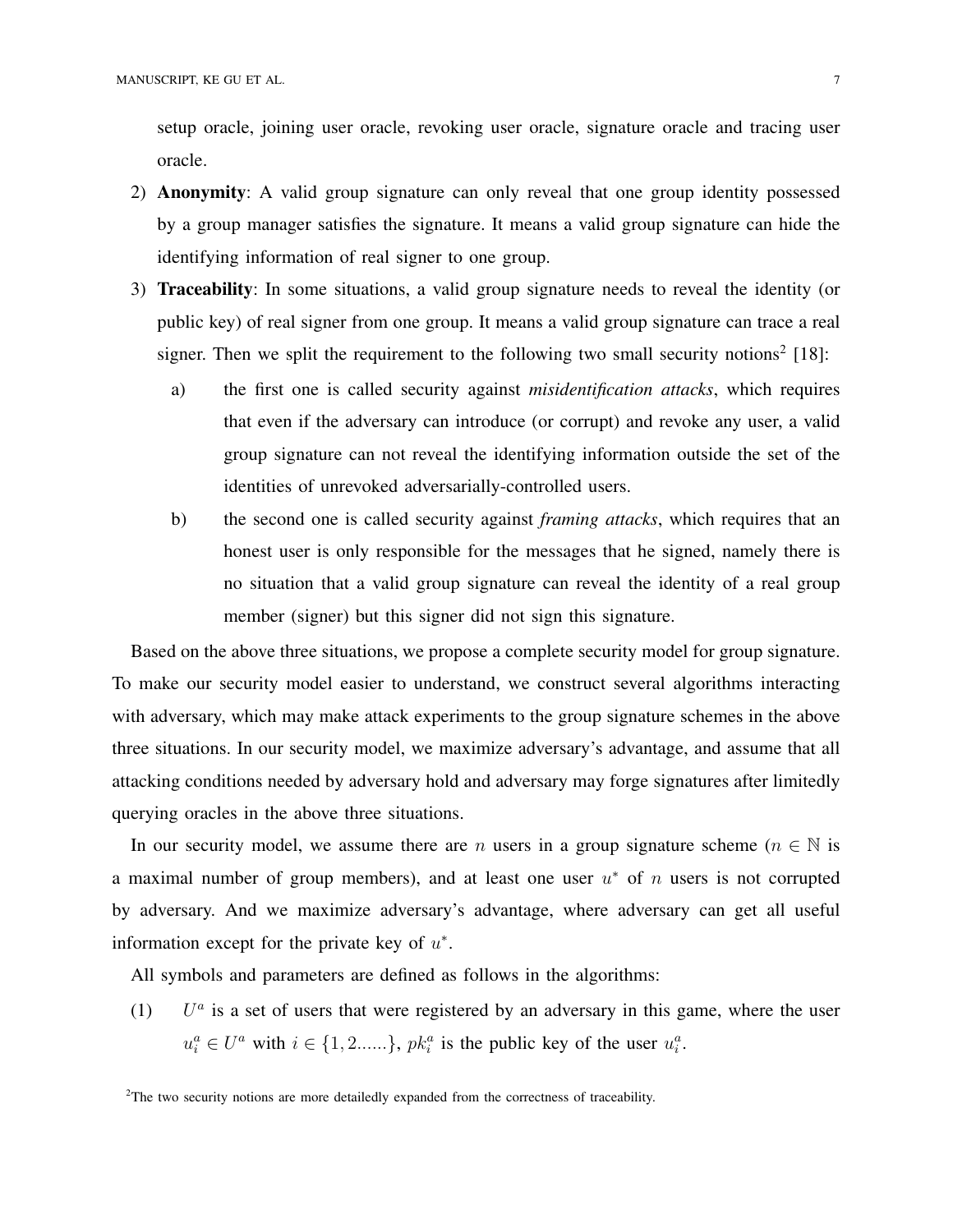setup oracle, joining user oracle, revoking user oracle, signature oracle and tracing user oracle.

- 2) Anonymity: A valid group signature can only reveal that one group identity possessed by a group manager satisfies the signature. It means a valid group signature can hide the identifying information of real signer to one group.
- 3) Traceability: In some situations, a valid group signature needs to reveal the identity (or public key) of real signer from one group. It means a valid group signature can trace a real signer. Then we split the requirement to the following two small security notions<sup>2</sup> [18]:
	- a) the first one is called security against *misidentification attacks*, which requires that even if the adversary can introduce (or corrupt) and revoke any user, a valid group signature can not reveal the identifying information outside the set of the identities of unrevoked adversarially-controlled users.
	- b) the second one is called security against *framing attacks*, which requires that an honest user is only responsible for the messages that he signed, namely there is no situation that a valid group signature can reveal the identity of a real group member (signer) but this signer did not sign this signature.

Based on the above three situations, we propose a complete security model for group signature. To make our security model easier to understand, we construct several algorithms interacting with adversary, which may make attack experiments to the group signature schemes in the above three situations. In our security model, we maximize adversary's advantage, and assume that all attacking conditions needed by adversary hold and adversary may forge signatures after limitedly querying oracles in the above three situations.

In our security model, we assume there are n users in a group signature scheme ( $n \in \mathbb{N}$  is a maximal number of group members), and at least one user  $u^*$  of n users is not corrupted by adversary. And we maximize adversary's advantage, where adversary can get all useful information except for the private key of  $u^*$ .

All symbols and parameters are defined as follows in the algorithms:

 $(1)$ <sup>a</sup> is a set of users that were registered by an adversary in this game, where the user  $u_i^a \in U^a$  with  $i \in \{1, 2, \dots \}$ ,  $pk_i^a$  is the public key of the user  $u_i^a$ .

<sup>&</sup>lt;sup>2</sup>The two security notions are more detailedly expanded from the correctness of traceability.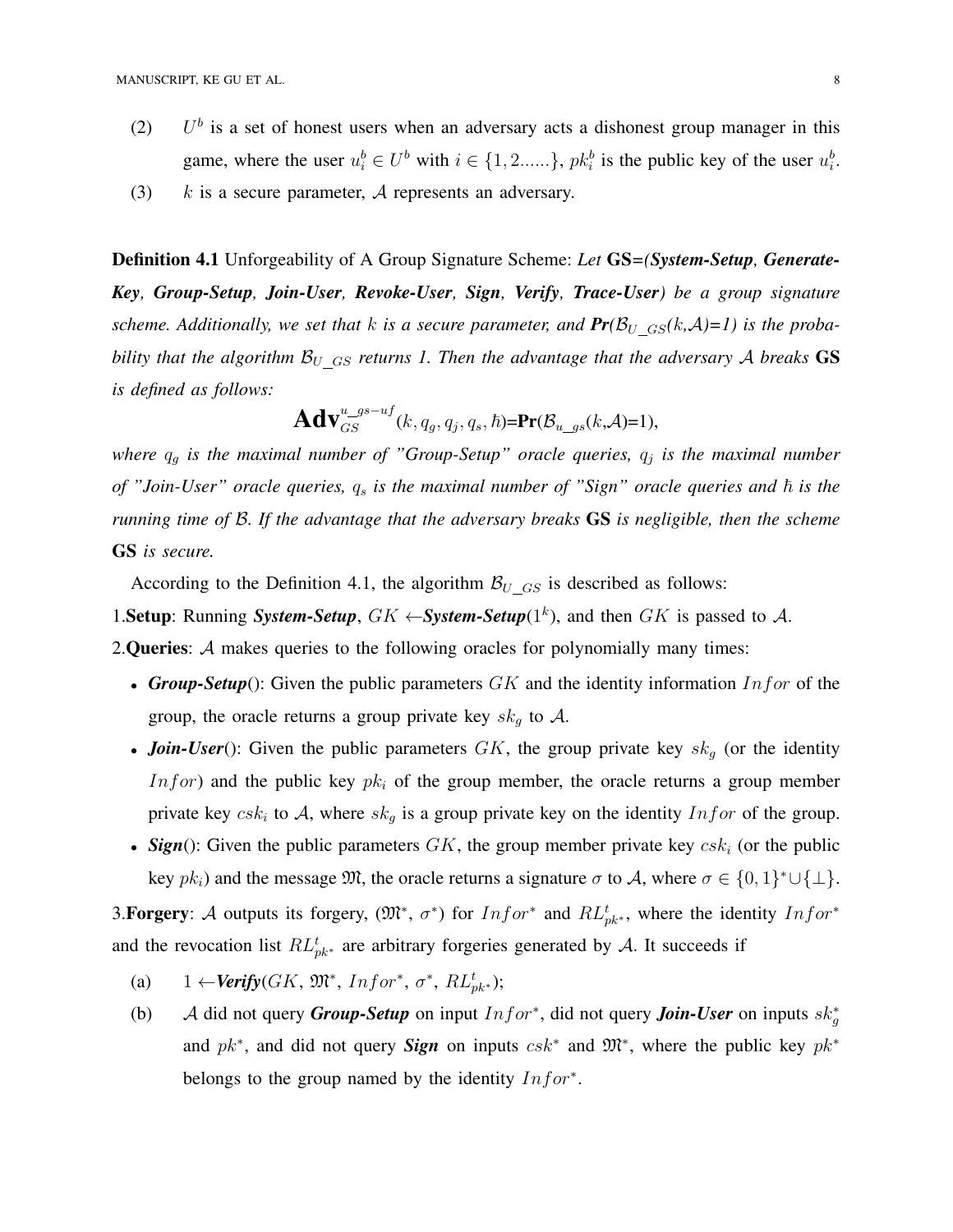- $(2)$  $b$  is a set of honest users when an adversary acts a dishonest group manager in this game, where the user  $u_i^b \in U^b$  with  $i \in \{1, 2, \dots\}$ ,  $pk_i^b$  is the public key of the user  $u_i^b$ .
- (3)  $k$  is a secure parameter, A represents an adversary.

Definition 4.1 Unforgeability of A Group Signature Scheme: *Let* GS*=(System-Setup, Generate-Key, Group-Setup, Join-User, Revoke-User, Sign, Verify, Trace-User) be a group signature scheme. Additionally, we set that* k *is a secure parameter, and*  $Pr(B_U \text{ }_{GS}(k,A)=1)$  *is the probability that the algorithm*  $B_U$   $_{GS}$  *returns 1. Then the advantage that the adversary* A *breaks* GS *is defined as follows:*

$$
\mathbf{Adv}_{GS}^{u\_gs-uf}(k,q_g,q_j,q_s,\hbar)=\mathbf{Pr}(\mathcal{B}_{u\_gs}(k,\mathcal{A})=1),
$$

where  $q_g$  is the maximal number of "Group-Setup" oracle queries,  $q_j$  is the maximal number *of "Join-User" oracle queries,*  $q_s$  *is the maximal number of "Sign" oracle queries and*  $\hbar$  *is the running time of* B*. If the advantage that the adversary breaks* GS *is negligible, then the scheme* GS *is secure.*

According to the Definition 4.1, the algorithm  $\mathcal{B}_{U}$   $_{GS}$  is described as follows:

1. Setup: Running *System-Setup*,  $GK \leftarrow$  *System-Setup*( $1^k$ ), and then  $GK$  is passed to A.

2. Queries: A makes queries to the following oracles for polynomially many times:

- **Group-Setup**(): Given the public parameters GK and the identity information Infor of the group, the oracle returns a group private key  $sk_g$  to A.
- *Join-User*(): Given the public parameters  $GK$ , the group private key  $sk_g$  (or the identity *Infor*) and the public key  $pk_i$  of the group member, the oracle returns a group member private key  $c s k_i$  to A, where  $s k_g$  is a group private key on the identity  $In for$  of the group.
- **Sign**(): Given the public parameters  $GK$ , the group member private key  $csk_i$  (or the public key  $pk_i$ ) and the message  $\mathfrak{M}$ , the oracle returns a signature  $\sigma$  to A, where  $\sigma \in \{0,1\}^* \cup \{\perp\}.$

3. Forgery: A outputs its forgery,  $(\mathfrak{M}^*, \sigma^*)$  for  $Infor^*$  and  $RL_{pk^*}^t$ , where the identity  $Infor^*$ and the revocation list  $RL_{pk*}^t$  are arbitrary forgeries generated by A. It succeeds if

- (a)  $1 \leftarrow \text{Verify}(GK, \mathfrak{M}^*, \text{Infor}^*, \sigma^*, \text{RL}_{pk^*}^t);$
- (b) A did not query *Group-Setup* on input  $Infor^*$ , did not query *Join-User* on inputs  $sk_g^*$ and  $pk^*$ , and did not query **Sign** on inputs  $csk^*$  and  $\mathfrak{M}^*$ , where the public key  $pk^*$ belongs to the group named by the identity  $Infor^*$ .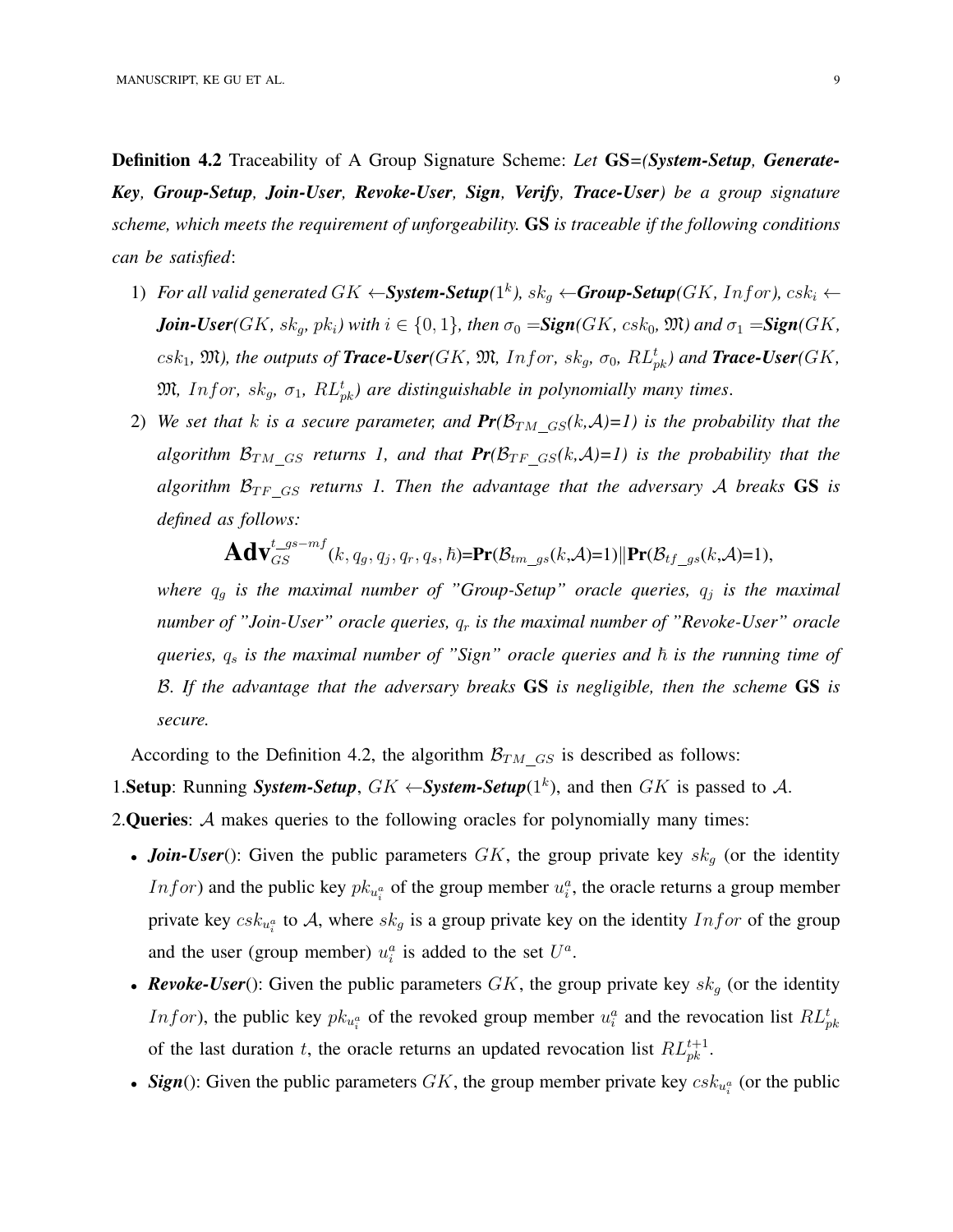Definition 4.2 Traceability of A Group Signature Scheme: *Let* GS*=(System-Setup, Generate-Key, Group-Setup, Join-User, Revoke-User, Sign, Verify, Trace-User) be a group signature scheme, which meets the requirement of unforgeability.* GS *is traceable if the following conditions can be satisfied*:

- 1) *For all valid generated*  $GK \leftarrow$ **System-Setup**( $1^k$ ),  $sk_g \leftarrow$ **Group-Setup**( $GK$ ,  $Infor$ ),  $csk_i \leftarrow$ *Join-User*(*GK, sk<sub>g</sub>, pk<sub>i</sub>*) with  $i \in \{0, 1\}$ , then  $\sigma_0 = \text{Sign}(GK, \text{csk}_0, \mathfrak{M})$  and  $\sigma_1 = \text{Sign}(GK, \text{csk}_0, \text{csk}_0)$  $c$ s $k_1$ ,  $\mathfrak{M}$ ), the outputs of **Trace-User**(GK,  $\mathfrak{M}$ , Infor, s $k_g$ ,  $\sigma_0$ ,  $RL_{pk}^t$ ) and **Trace-User**(GK,  $\mathfrak{M}$ , Infor, sk<sub>g</sub>,  $\sigma_1$ ,  $RL_{pk}^t$ ) are distinguishable in polynomially many times.
- 2) We set that *k* is a secure parameter, and  $Pr(\mathcal{B}_{TM\_GS}(k, \mathcal{A})=1)$  is the probability that the *algorithm*  $\mathcal{B}_{TM\_GS}$  *returns 1, and that*  $\mathbf{Pr}(\mathcal{B}_{TF\_GS}(k,\mathcal{A})=1)$  *is the probability that the algorithm*  $\mathcal{B}_{TF\_GS}$  *returns 1. Then the advantage that the adversary* A *breaks* GS *is defined as follows:*

 $\mathbf{Adv}_{GS}^{t\_gs-mf}(k,q_g,q_j,q_r,q_s,\hbar)$ = $\mathbf{Pr}(\mathcal{B}_{tm\_gs}(k,\mathcal{A})$ =1) $\|\mathbf{Pr}(\mathcal{B}_{tf\_gs}(k,\mathcal{A})$ =1),

where  $q_g$  is the maximal number of "Group-Setup" oracle queries,  $q_j$  is the maximal *number of "Join-User" oracle queries,*  $q_r$  *is the maximal number of "Revoke-User" oracle queries,*  $q_s$  *is the maximal number of "Sign" oracle queries and*  $\hbar$  *is the running time of* B*. If the advantage that the adversary breaks* GS *is negligible, then the scheme* GS *is secure.*

According to the Definition 4.2, the algorithm  $\mathcal{B}_{TM\_GS}$  is described as follows:

1. Setup: Running *System-Setup*,  $GK \leftarrow$  *System-Setup*( $1^k$ ), and then  $GK$  is passed to A.

2. Queries: A makes queries to the following oracles for polynomially many times:

- *Join-User*(): Given the public parameters  $GK$ , the group private key  $sk_q$  (or the identity *Infor*) and the public key  $pk_{u_i^a}$  of the group member  $u_i^a$ , the oracle returns a group member private key  $csk_{u_i^a}$  to A, where  $sk_g$  is a group private key on the identity  $Infor$  of the group and the user (group member)  $u_i^a$  is added to the set  $U^a$ .
- **Revoke-User**(): Given the public parameters  $GK$ , the group private key  $sk_g$  (or the identity In for), the public key  $pk_{u_i^a}$  of the revoked group member  $u_i^a$  and the revocation list  $RL_{pk}^t$ of the last duration t, the oracle returns an updated revocation list  $RL_{pk}^{t+1}$ .
- **Sign**(): Given the public parameters  $GK$ , the group member private key  $c s k_{u_i^a}$  (or the public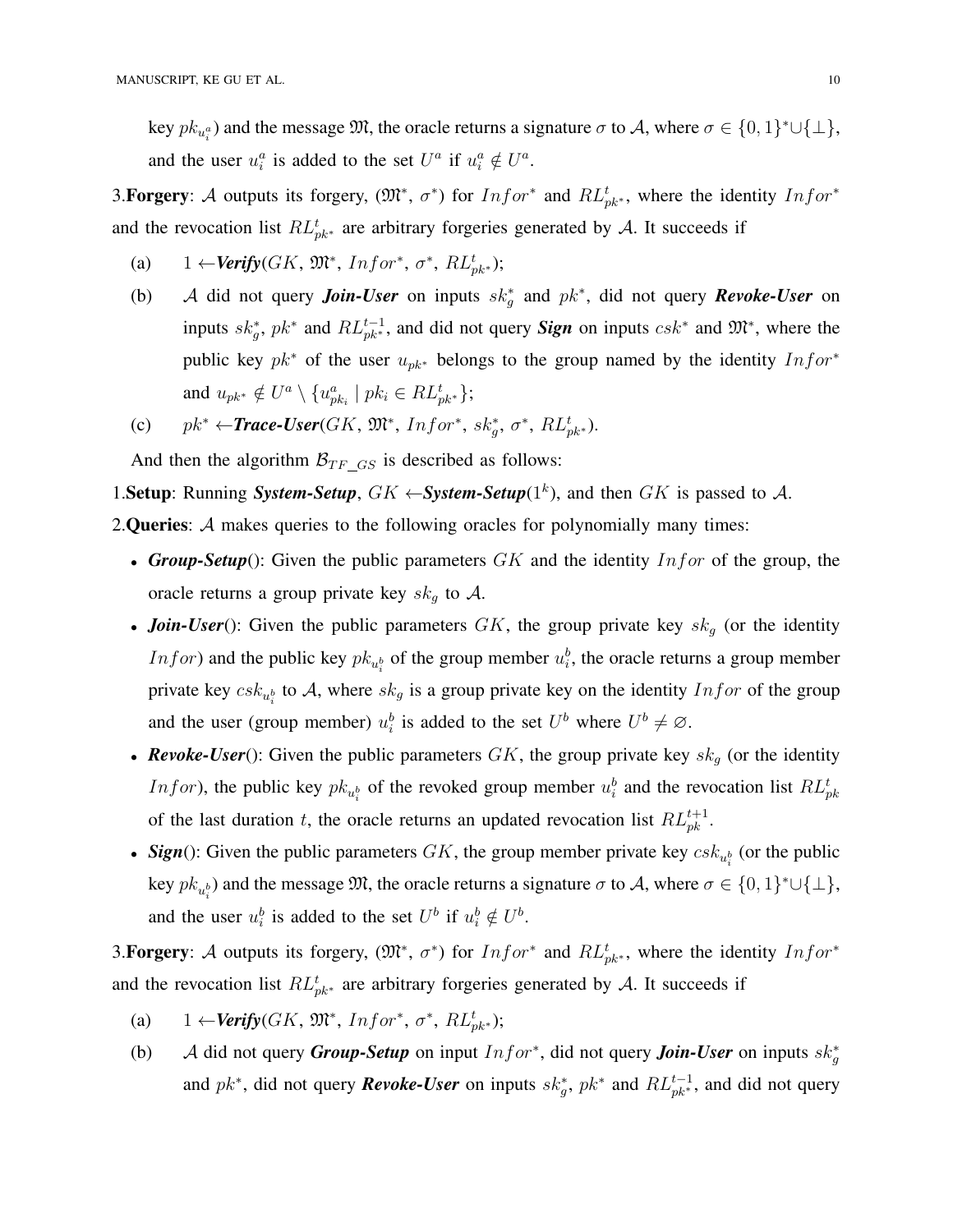key  $pk_{u_i^a}$ ) and the message  $\mathfrak{M}$ , the oracle returns a signature  $\sigma$  to  $\mathcal{A}$ , where  $\sigma \in \{0,1\}^* \cup \{\perp\}$ , and the user  $u_i^a$  is added to the set  $U^a$  if  $u_i^a \notin U^a$ .

3. Forgery: A outputs its forgery,  $(\mathfrak{M}^*, \sigma^*)$  for  $Infor^*$  and  $RL_{pk^*}^t$ , where the identity  $Infor^*$ and the revocation list  $RL_{pk*}^t$  are arbitrary forgeries generated by A. It succeeds if

- (a)  $1 \leftarrow \text{Verify}(GK, \mathfrak{M}^*, \text{Infor}^*, \sigma^*, \text{RL}_{pk^*}^t);$
- (b) A did not query *Join-User* on inputs  $sk_g^*$  and  $pk^*$ , did not query **Revoke-User** on inputs  $sk_g^*$ ,  $pk^*$  and  $RL_{pk^*}^{t-1}$ , and did not query **Sign** on inputs  $csk^*$  and  $\mathfrak{M}^*$ , where the public key  $pk^*$  of the user  $u_{pk^*}$  belongs to the group named by the identity  $Infor^*$ and  $u_{pk^*} \notin U^a \setminus \{u_{pk_i}^a \mid pk_i \in RL_{pk^*}^t\};$
- (c)  $pk^* \leftarrow \text{Trace-User}(GK, \mathfrak{M}^*, \text{Infor}^*, \text{sk}_g^*, \sigma^*, \text{RL}_{pk^*}^t).$

And then the algorithm  $\mathcal{B}_{TF\_GS}$  is described as follows:

1. Setup: Running *System-Setup*,  $GK \leftarrow System-Setup(1^k)$ , and then  $GK$  is passed to A.

2. Queries: A makes queries to the following oracles for polynomially many times:

- *Group-Setup*(): Given the public parameters GK and the identity *Infor* of the group, the oracle returns a group private key  $sk_g$  to  $A$ .
- *Join-User*(): Given the public parameters  $GK$ , the group private key  $sk_g$  (or the identity *Infor*) and the public key  $pk_{u_i^b}$  of the group member  $u_i^b$ , the oracle returns a group member private key  $c s k_{u_i^b}$  to A, where  $s k_g$  is a group private key on the identity  $Infor$  of the group and the user (group member)  $u_i^b$  is added to the set  $U^b$  where  $U^b \neq \emptyset$ .
- **Revoke-User**(): Given the public parameters  $GK$ , the group private key  $sk_g$  (or the identity In for), the public key  $pk_{u_i^b}$  of the revoked group member  $u_i^b$  and the revocation list  $RL_{pk}^t$ of the last duration t, the oracle returns an updated revocation list  $RL_{pk}^{t+1}$ .
- **Sign**(): Given the public parameters  $GK$ , the group member private key  $c s k_{u_i^b}$  (or the public key  $pk_{u_i^b}$ ) and the message  $\mathfrak{M}$ , the oracle returns a signature  $\sigma$  to  $\mathcal{A}$ , where  $\sigma \in \{0,1\}^* \cup \{\perp\}$ , and the user  $u_i^b$  is added to the set  $U^b$  if  $u_i^b \notin U^b$ .

3. Forgery: A outputs its forgery,  $(\mathfrak{M}^*, \sigma^*)$  for  $Infor^*$  and  $RL_{pk^*}^t$ , where the identity  $Infor^*$ and the revocation list  $RL_{pk*}^t$  are arbitrary forgeries generated by A. It succeeds if

- (a)  $1 \leftarrow \text{Verify}(GK, \mathfrak{M}^*, \text{Infor}^*, \sigma^*, \text{RL}_{pk^*}^t);$
- (b) A did not query *Group-Setup* on input  $Infor^*$ , did not query *Join-User* on inputs  $sk_g^*$ and  $pk^*$ , did not query **Revoke-User** on inputs  $sk_g^*$ ,  $pk^*$  and  $RL_{pk^*}^{t-1}$ , and did not query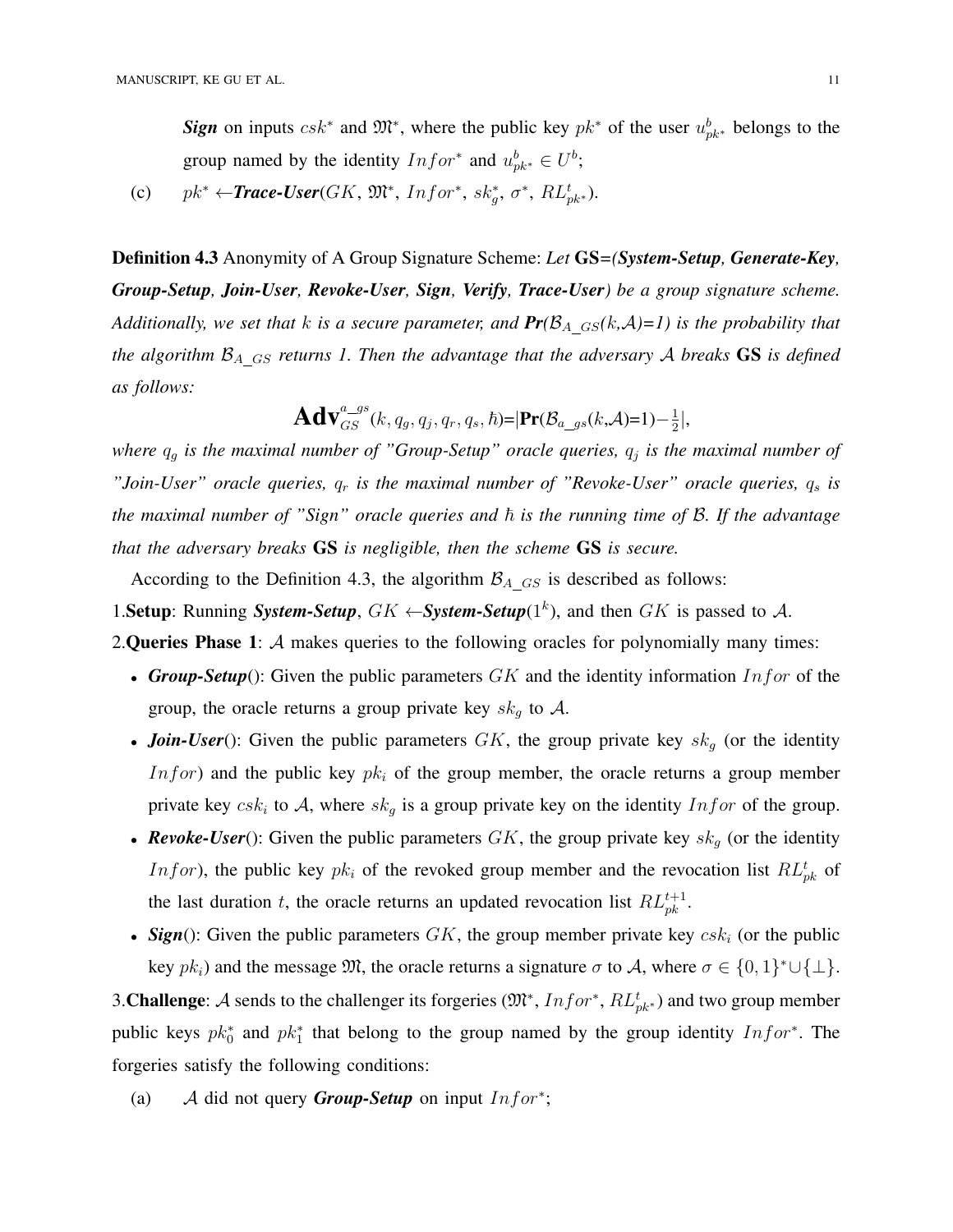**Sign** on inputs  $csk^*$  and  $\mathfrak{M}^*$ , where the public key  $pk^*$  of the user  $u_{pk^*}^b$  belongs to the group named by the identity  $Infor^*$  and  $u_{pk^*}^b \in U^b$ ;

(c)  $pk^* \leftarrow \text{Trace-User}(GK, \mathfrak{M}^*, \text{Infor}^*, \text{sk}_g^*, \sigma^*, \text{RL}_{pk^*}^t).$ 

Definition 4.3 Anonymity of A Group Signature Scheme: *Let* GS*=(System-Setup, Generate-Key, Group-Setup, Join-User, Revoke-User, Sign, Verify, Trace-User) be a group signature scheme. Additionally, we set that k is a secure parameter, and*  $Pr(B_{A_{G}}(k, A)=1)$  *is the probability that the algorithm*  $\mathcal{B}_{A_{SGS}}$  *returns 1. Then the advantage that the adversary* A *breaks* **GS** *is defined as follows:*

$$
\mathbf{Adv}_{GS}^{a\_gs}(k,q_g,q_j,q_r,q_s,\hbar) = \left|\mathbf{Pr}(\mathcal{B}_{a\_gs}(k,\mathcal{A})=1) - \frac{1}{2}\right|,
$$

where  $q_g$  is the maximal number of "Group-Setup" oracle queries,  $q_j$  is the maximal number of "Join-User" oracle queries,  $q_r$  *is the maximal number of "Revoke-User" oracle queries,*  $q_s$  *is the maximal number of "Sign" oracle queries and*  $\hbar$  *is the running time of B. If the advantage that the adversary breaks* GS *is negligible, then the scheme* GS *is secure.*

According to the Definition 4.3, the algorithm  $\mathcal{B}_{A\,GS}$  is described as follows:

1. Setup: Running *System-Setup*,  $GK \leftarrow$  *System-Setup*( $1^k$ ), and then  $GK$  is passed to A.

2. Queries Phase 1: A makes queries to the following oracles for polynomially many times:

- **Group-Setup**(): Given the public parameters GK and the identity information Infor of the group, the oracle returns a group private key  $sk_g$  to A.
- *Join-User*(): Given the public parameters  $GK$ , the group private key  $sk_g$  (or the identity *Infor*) and the public key  $pk_i$  of the group member, the oracle returns a group member private key  $c s k_i$  to A, where  $s k_g$  is a group private key on the identity  $In for$  of the group.
- **Revoke-User**(): Given the public parameters  $GK$ , the group private key  $sk_g$  (or the identity *Infor*), the public key  $pk_i$  of the revoked group member and the revocation list  $RL_{pk}^t$  of the last duration t, the oracle returns an updated revocation list  $RL_{pk}^{t+1}$ .
- **Sign**(): Given the public parameters  $GK$ , the group member private key  $csk_i$  (or the public key  $pk_i$ ) and the message  $\mathfrak{M}$ , the oracle returns a signature  $\sigma$  to A, where  $\sigma \in \{0,1\}^* \cup \{\perp\}.$

3. Challenge: A sends to the challenger its forgeries  $(\mathfrak{M}^*, Infor^*, RL_{pk^*}^t)$  and two group member public keys  $pk_0^*$  and  $pk_1^*$  that belong to the group named by the group identity  $Infor^*$ . The forgeries satisfy the following conditions:

(a) A did not query *Group-Setup* on input  $Infor^*$ ;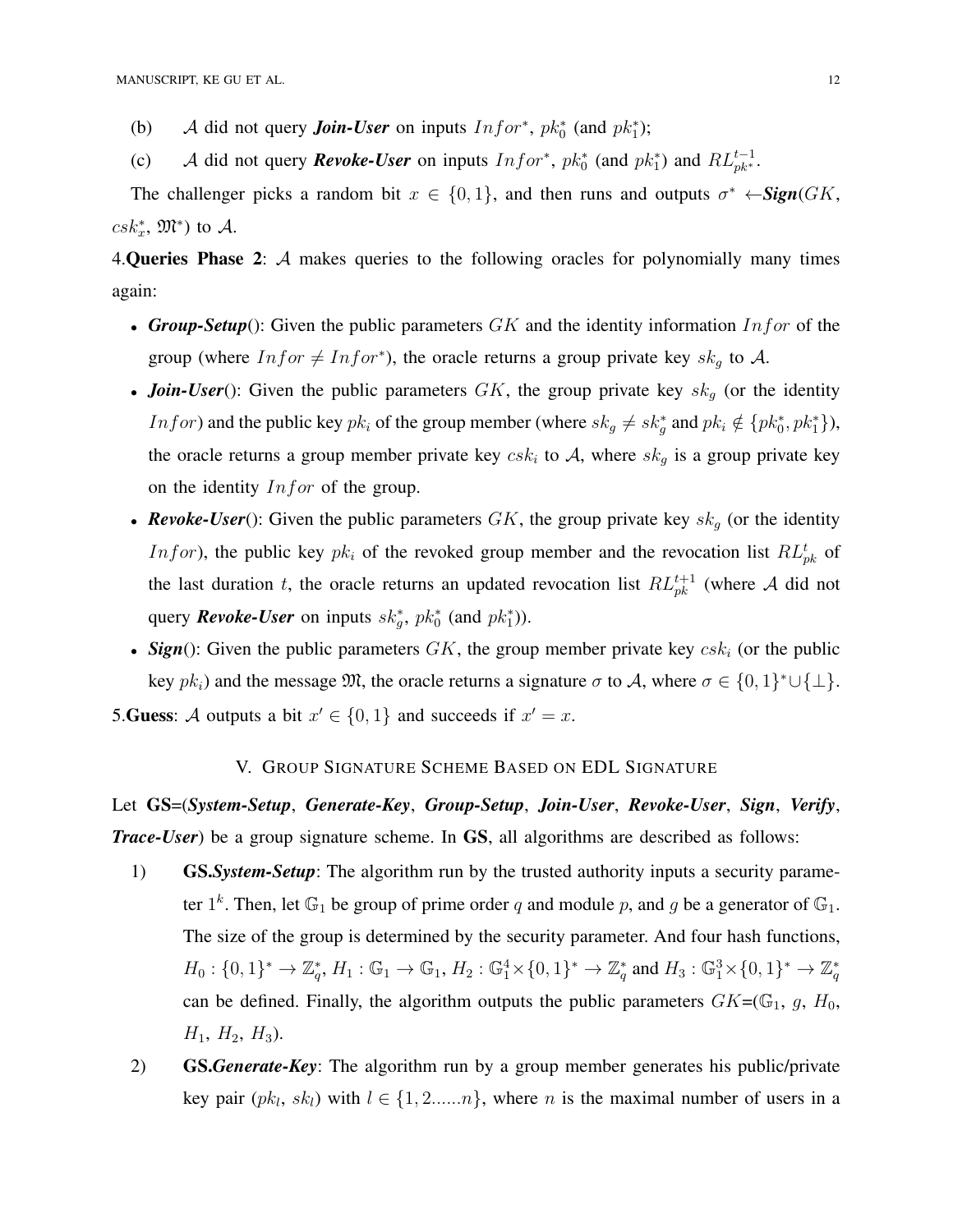- (b) A did not query *Join-User* on inputs  $Infor^*$ ,  $pk_0^*$  (and  $pk_1^*$ );
- (c) A did not query *Revoke-User* on inputs  $Infor^*$ ,  $pk_0^*$  (and  $pk_1^*$ ) and  $RL_{pk^*}^{t-1}$ .

The challenger picks a random bit  $x \in \{0, 1\}$ , and then runs and outputs  $\sigma^* \leftarrow$ **Sign**(GK,  $\operatorname{csk}^*_x$ ,  $\mathfrak{M}^*$ ) to  $\mathcal{A}$ .

4.Queries Phase 2: A makes queries to the following oracles for polynomially many times again:

- **Group-Setup**(): Given the public parameters GK and the identity information Infor of the group (where  $Infor \neq Infor^*$ ), the oracle returns a group private key  $sk_g$  to A.
- *Join-User*(): Given the public parameters  $GK$ , the group private key  $sk_g$  (or the identity *Infor*) and the public key  $pk_i$  of the group member (where  $sk_g \neq sk_g^*$  and  $pk_i \notin \{pk_0^*, pk_1^*\}$ ), the oracle returns a group member private key  $c s k_i$  to A, where  $s k_g$  is a group private key on the identity  $Infor$  of the group.
- **Revoke-User**(): Given the public parameters  $GK$ , the group private key  $sk_q$  (or the identity *Infor*), the public key  $pk_i$  of the revoked group member and the revocation list  $RL_{pk}^t$  of the last duration t, the oracle returns an updated revocation list  $RL_{pk}^{t+1}$  (where A did not query *Revoke-User* on inputs  $sk_g^*$ ,  $pk_0^*$  (and  $pk_1^*$ )).
- **Sign**(): Given the public parameters  $GK$ , the group member private key  $csk_i$  (or the public key  $pk_i$ ) and the message  $\mathfrak{M}$ , the oracle returns a signature  $\sigma$  to A, where  $\sigma \in \{0,1\}^* \cup \{\perp\}.$

5. Guess: A outputs a bit  $x' \in \{0, 1\}$  and succeeds if  $x' = x$ .

### V. GROUP SIGNATURE SCHEME BASED ON EDL SIGNATURE

Let GS=(*System-Setup*, *Generate-Key*, *Group-Setup*, *Join-User*, *Revoke-User*, *Sign*, *Verify*, *Trace-User*) be a group signature scheme. In GS, all algorithms are described as follows:

- 1) GS.*System-Setup*: The algorithm run by the trusted authority inputs a security parameter  $1^k$ . Then, let  $\mathbb{G}_1$  be group of prime order q and module p, and g be a generator of  $\mathbb{G}_1$ . The size of the group is determined by the security parameter. And four hash functions,  $H_0: \{0,1\}^* \to \mathbb{Z}_q^*, H_1: \mathbb{G}_1 \to \mathbb{G}_1, H_2: \mathbb{G}_1^4 \times \{0,1\}^* \to \mathbb{Z}_q^*$  and  $H_3: \mathbb{G}_1^3 \times \{0,1\}^* \to \mathbb{Z}_q^*$ can be defined. Finally, the algorithm outputs the public parameters  $GK=(\mathbb{G}_1, g, H_0,$  $H_1$ ,  $H_2$ ,  $H_3$ ).
- 2) GS.*Generate-Key*: The algorithm run by a group member generates his public/private key pair  $(pk_l, sk_l)$  with  $l \in \{1, 2, ..., n\}$ , where n is the maximal number of users in a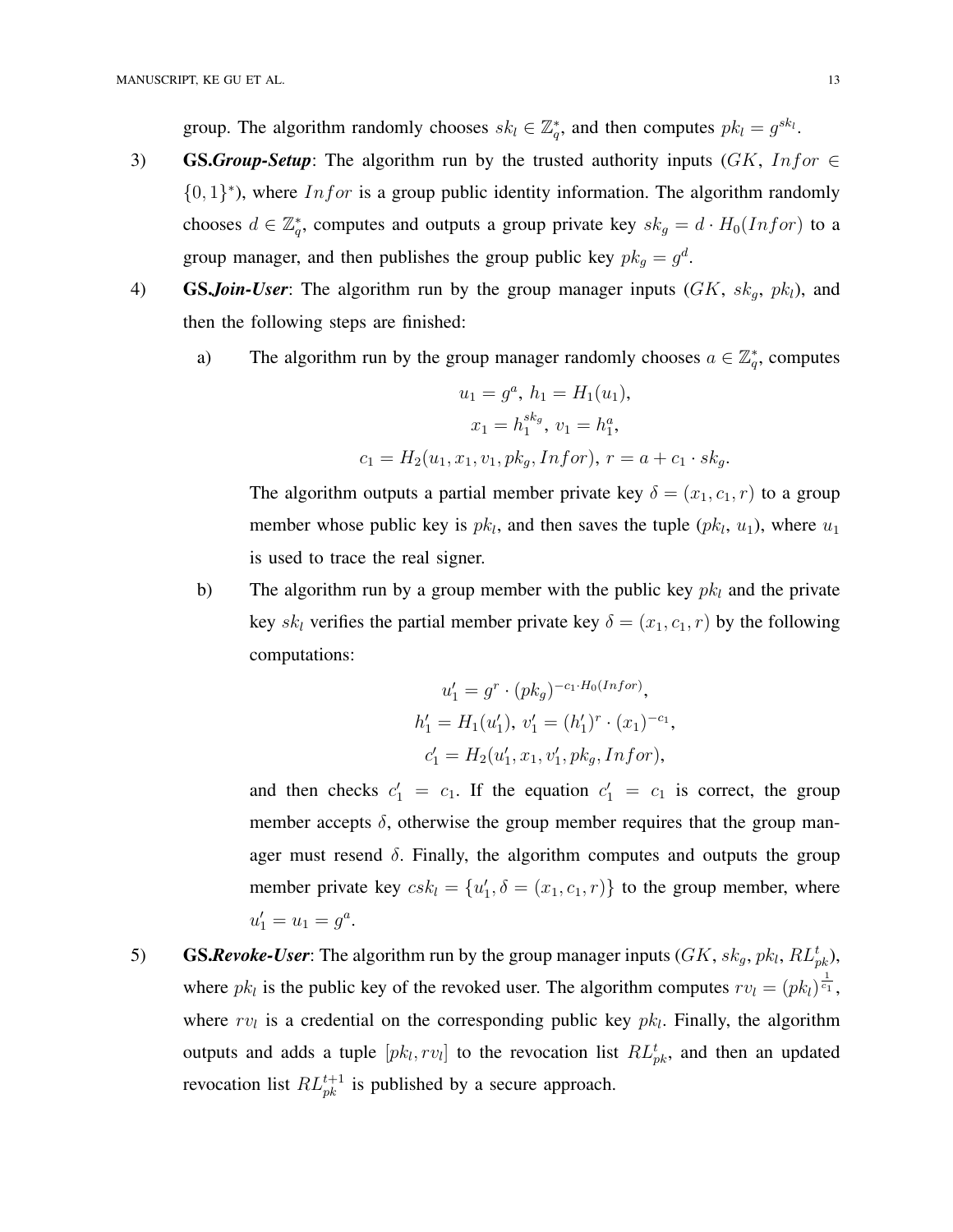group. The algorithm randomly chooses  $sk_l \in \mathbb{Z}_q^*$ , and then computes  $pk_l = g^{sk_l}$ .

- 3) GS.*Group-Setup*: The algorithm run by the trusted authority inputs (GK, Infor ∈  $\{0,1\}^*$ ), where *Infor* is a group public identity information. The algorithm randomly chooses  $d \in \mathbb{Z}_q^*$ , computes and outputs a group private key  $sk_g = d \cdot H_0(Infor)$  to a group manager, and then publishes the group public key  $pk_g = g^d$ .
- 4) **GS.***Join-User*: The algorithm run by the group manager inputs  $(GK, sk_g, pk_l)$ , and then the following steps are finished:
	- a) The algorithm run by the group manager randomly chooses  $a \in \mathbb{Z}_q^*$ , computes

$$
u_1 = g^a, h_1 = H_1(u_1),
$$
  
\n
$$
x_1 = h_1^{sk_g}, v_1 = h_1^a,
$$
  
\n
$$
c_1 = H_2(u_1, x_1, v_1, pk_g, Infor), r = a + c_1 \cdot sk_g.
$$

The algorithm outputs a partial member private key  $\delta = (x_1, c_1, r)$  to a group member whose public key is  $pk_l$ , and then saves the tuple  $(pk_l, u_1)$ , where  $u_1$ is used to trace the real signer.

b) The algorithm run by a group member with the public key  $pk_l$  and the private key sk<sub>l</sub> verifies the partial member private key  $\delta = (x_1, c_1, r)$  by the following computations:

$$
u'_1 = g^r \cdot (pk_g)^{-c_1 \cdot H_0(Infor)},
$$
  
\n
$$
h'_1 = H_1(u'_1), v'_1 = (h'_1)^r \cdot (x_1)^{-c_1},
$$
  
\n
$$
c'_1 = H_2(u'_1, x_1, v'_1, pk_g, Infor),
$$

and then checks  $c'_1 = c_1$ . If the equation  $c'_1 = c_1$  is correct, the group member accepts  $\delta$ , otherwise the group member requires that the group manager must resend  $\delta$ . Finally, the algorithm computes and outputs the group member private key  $c s k_l = \{u'_1, \delta = (x_1, c_1, r)\}$  to the group member, where  $u'_1 = u_1 = g^a.$ 

5) **GS.Revoke-User**: The algorithm run by the group manager inputs  $(GK, sk_g, pk_l, RL_{pk}^t)$ , where  $pk_l$  is the public key of the revoked user. The algorithm computes  $rv_l = (pk_l)^{\frac{1}{c_1}}$ , where  $rv_l$  is a credential on the corresponding public key  $pk_l$ . Finally, the algorithm outputs and adds a tuple  $[pk_l, rv_l]$  to the revocation list  $RL_{pk}^t$ , and then an updated revocation list  $RL_{pk}^{t+1}$  is published by a secure approach.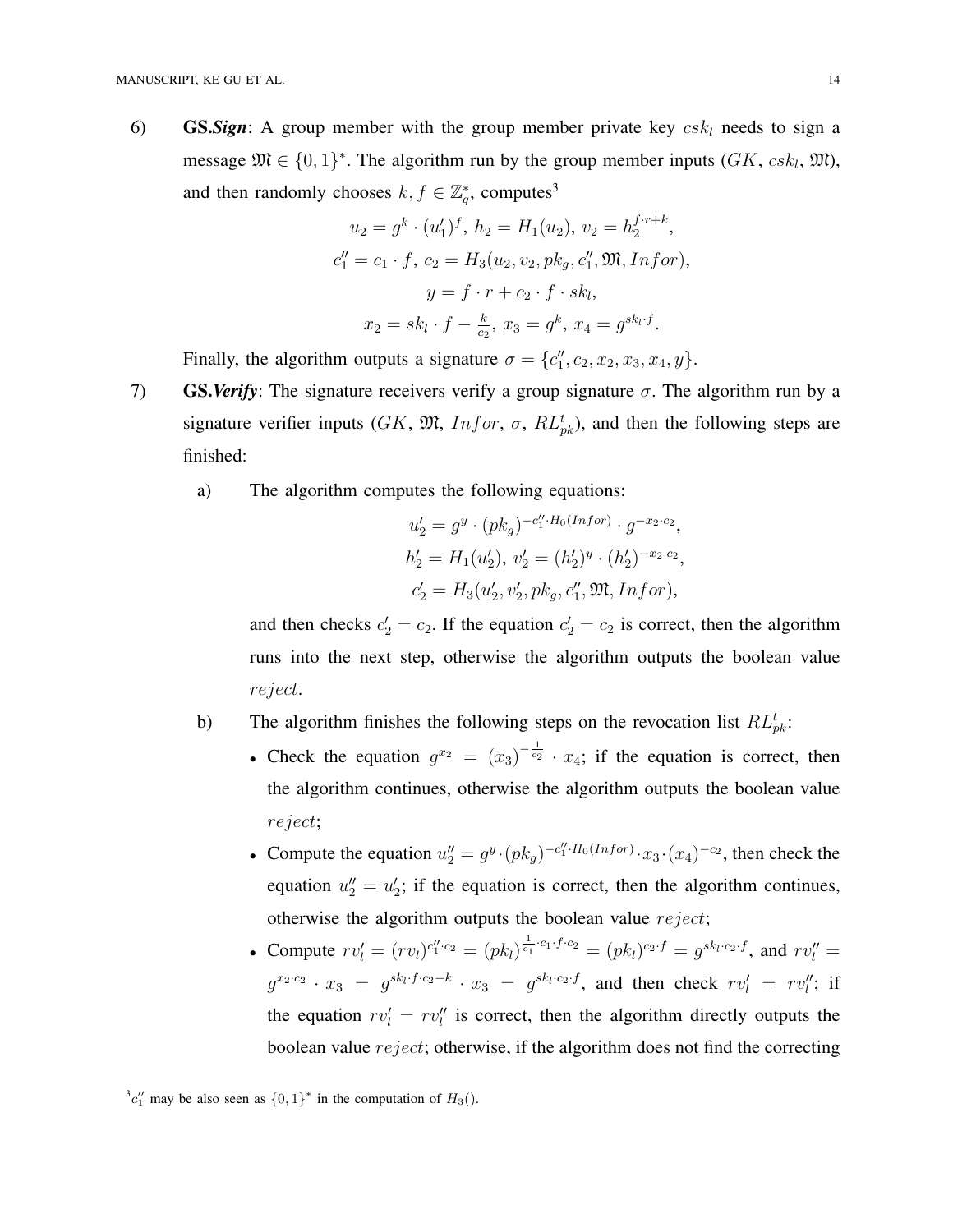6) **GS.Sign:** A group member with the group member private key  $c$ s $k_l$  needs to sign a message  $\mathfrak{M} \in \{0,1\}^*$ . The algorithm run by the group member inputs  $(GK, csk_l, \mathfrak{M})$ , and then randomly chooses  $k, f \in \mathbb{Z}_q^*$ , computes<sup>3</sup>

$$
u_2 = g^k \cdot (u'_1)^f, \ h_2 = H_1(u_2), \ v_2 = h_2^{f \cdot r + k},
$$
  
\n
$$
c''_1 = c_1 \cdot f, \ c_2 = H_3(u_2, v_2, pk_g, c''_1, \mathfrak{M}, Infor),
$$
  
\n
$$
y = f \cdot r + c_2 \cdot f \cdot sk_l,
$$
  
\n
$$
x_2 = sk_l \cdot f - \frac{k}{c_2}, \ x_3 = g^k, \ x_4 = g^{sk_l \cdot f}.
$$

Finally, the algorithm outputs a signature  $\sigma = \{c''_1, c_2, x_2, x_3, x_4, y\}.$ 

- 7) **GS.** Verify: The signature receivers verify a group signature  $\sigma$ . The algorithm run by a signature verifier inputs (GK,  $\mathfrak{M}$ , Infor,  $\sigma$ ,  $RL_{pk}^{t}$ ), and then the following steps are finished:
	- a) The algorithm computes the following equations:

$$
u'_2 = g^y \cdot (pk_g)^{-c''_1 \cdot H_0(Infor)} \cdot g^{-x_2 \cdot c_2},
$$
  
\n
$$
h'_2 = H_1(u'_2), v'_2 = (h'_2)^y \cdot (h'_2)^{-x_2 \cdot c_2},
$$
  
\n
$$
c'_2 = H_3(u'_2, v'_2, pk_g, c''_1, \mathfrak{M}, Infor),
$$

and then checks  $c'_2 = c_2$ . If the equation  $c'_2 = c_2$  is correct, then the algorithm runs into the next step, otherwise the algorithm outputs the boolean value reject.

- b) The algorithm finishes the following steps on the revocation list  $RL_{pk}^{t}$ :
	- Check the equation  $g^{x_2} = (x_3)^{-\frac{1}{c_2}} \cdot x_4$ ; if the equation is correct, then the algorithm continues, otherwise the algorithm outputs the boolean value reject;
	- Compute the equation  $u''_2 = g^y \cdot (pk_g)^{-c''_1 \cdot H_0(Infor) \cdot x_3 \cdot (x_4)^{-c_2}}$ , then check the equation  $u_2'' = u_2'$ ; if the equation is correct, then the algorithm continues, otherwise the algorithm outputs the boolean value reject;
	- Compute  $rv'_l = (rv_l)^{c''_1 \cdot c_2} = (pk_l)^{\frac{1}{c_1} \cdot c_1 \cdot f \cdot c_2} = (pk_l)^{c_2 \cdot f} = g^{sk_l \cdot c_2 \cdot f}$ , and  $rv''_l =$  $g^{x_2 \cdot c_2} \cdot x_3 = g^{s k_l \cdot f \cdot c_2 - k} \cdot x_3 = g^{s k_l \cdot c_2 \cdot f}$ , and then check  $r v_l' = r v_l''$ ; if the equation  $rv'_l = rv''_l$  is correct, then the algorithm directly outputs the boolean value reject; otherwise, if the algorithm does not find the correcting

 ${}^{3}c_1^{\prime\prime}$  may be also seen as  $\{0,1\}^*$  in the computation of  $H_3($ ).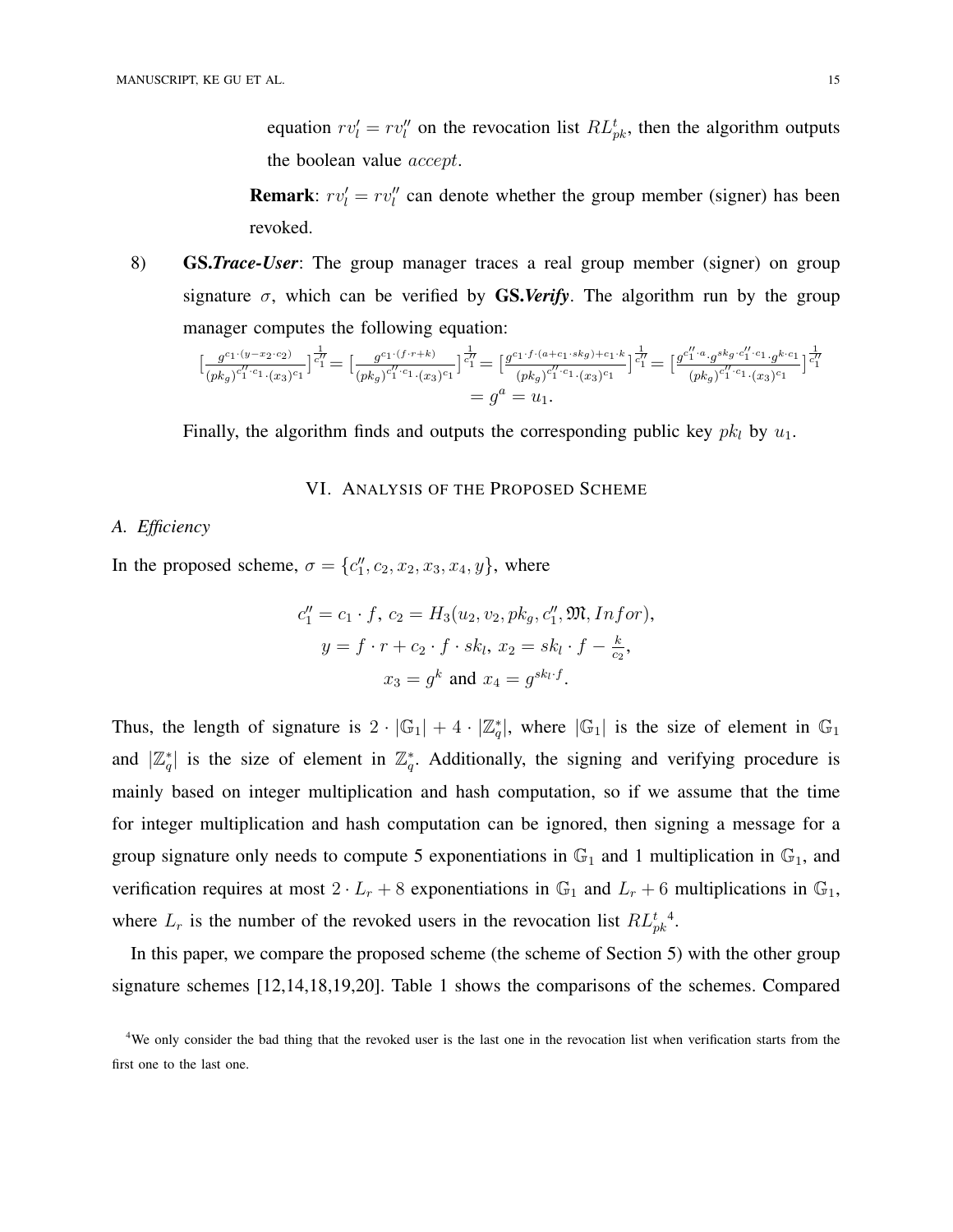equation  $rv'_l = rv''_l$  on the revocation list  $RL_{pk}^t$ , then the algorithm outputs the boolean value accept.

**Remark**:  $rv'_l = rv''_l$  can denote whether the group member (signer) has been revoked.

8) GS.*Trace-User*: The group manager traces a real group member (signer) on group signature  $\sigma$ , which can be verified by **GS.***Verify*. The algorithm run by the group manager computes the following equation:

$$
\left[\frac{g^{c_1 \cdot (y-x_2 \cdot c_2)}}{(pk_g)^{c_1'^\prime \cdot c_1} \cdot (x_3)^{c_1}}\right]^{\frac{1}{c_1'}} = \left[\frac{g^{c_1 \cdot (f \cdot r + k)}}{(pk_g)^{c_1'^\prime \cdot c_1} \cdot (x_3)^{c_1}}\right]^{\frac{1}{c_1'}} = \left[\frac{g^{c_1 \cdot f \cdot (a+c_1 \cdot sk_g) + c_1 \cdot k}}{(pk_g)^{c_1'^\prime \cdot c_1} \cdot (x_3)^{c_1}}\right]^{\frac{1}{c_1'}} = \left[\frac{g^{c_1'^\prime \cdot a} \cdot g^{sk_g \cdot c_1'^\prime \cdot c_1} \cdot g^{k \cdot c_1}}{(pk_g)^{c_1'^\prime \cdot c_1} \cdot (x_3)^{c_1}}\right]^{\frac{1}{c_1'}} = g^a = u_1.
$$

Finally, the algorithm finds and outputs the corresponding public key  $pk_l$  by  $u_1$ .

VI. ANALYSIS OF THE PROPOSED SCHEME

### *A. Efficiency*

In the proposed scheme,  $\sigma = \{c''_1, c_2, x_2, x_3, x_4, y\}$ , where

$$
c''_1 = c_1 \cdot f, \ c_2 = H_3(u_2, v_2, pk_g, c''_1, \mathfrak{M}, Inf or),
$$

$$
y = f \cdot r + c_2 \cdot f \cdot sk_l, \ x_2 = sk_l \cdot f - \frac{k}{c_2},
$$

$$
x_3 = g^k \text{ and } x_4 = g^{sk_l \cdot f}.
$$

Thus, the length of signature is  $2 \cdot |\mathbb{G}_1| + 4 \cdot |\mathbb{Z}_q^*|$ , where  $|\mathbb{G}_1|$  is the size of element in  $\mathbb{G}_1$ and  $|\mathbb{Z}_q^*|$  is the size of element in  $\mathbb{Z}_q^*$ . Additionally, the signing and verifying procedure is mainly based on integer multiplication and hash computation, so if we assume that the time for integer multiplication and hash computation can be ignored, then signing a message for a group signature only needs to compute 5 exponentiations in  $\mathbb{G}_1$  and 1 multiplication in  $\mathbb{G}_1$ , and verification requires at most  $2 \cdot L_r + 8$  exponentiations in  $\mathbb{G}_1$  and  $L_r + 6$  multiplications in  $\mathbb{G}_1$ , where  $L_r$  is the number of the revoked users in the revocation list  $RL_{pk}^{t}$ .

In this paper, we compare the proposed scheme (the scheme of Section 5) with the other group signature schemes [12,14,18,19,20]. Table 1 shows the comparisons of the schemes. Compared

<sup>&</sup>lt;sup>4</sup>We only consider the bad thing that the revoked user is the last one in the revocation list when verification starts from the first one to the last one.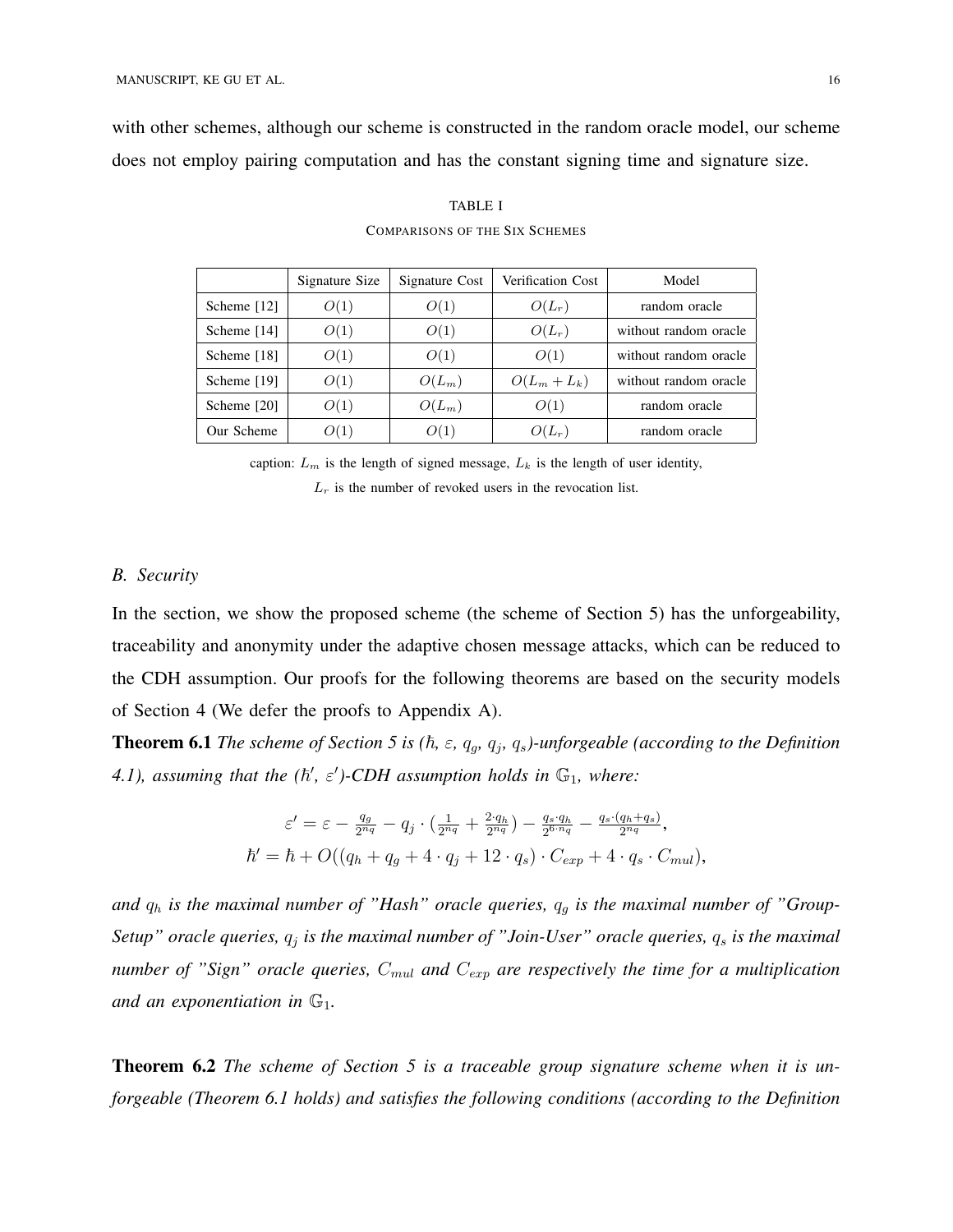with other schemes, although our scheme is constructed in the random oracle model, our scheme does not employ pairing computation and has the constant signing time and signature size.

|               | Signature Size | Signature Cost | Verification Cost | Model                 |
|---------------|----------------|----------------|-------------------|-----------------------|
| Scheme $[12]$ | O(1)           | O(1)           | $O(L_r)$          | random oracle         |
| Scheme [14]   | O(1)           | O(1)           | $O(L_r)$          | without random oracle |
| Scheme [18]   | O(1)           | O(1)           | O(1)              | without random oracle |
| Scheme [19]   | O(1)           | $O(L_m)$       | $O(L_m + L_k)$    | without random oracle |
| Scheme [20]   | O(1)           | $O(L_m)$       | O(1)              | random oracle         |
| Our Scheme    | O(1)           | O(1)           | $O(L_r)$          | random oracle         |

TABLE I COMPARISONS OF THE SIX SCHEMES

caption:  $L_m$  is the length of signed message,  $L_k$  is the length of user identity,

 $L_r$  is the number of revoked users in the revocation list.

#### *B. Security*

In the section, we show the proposed scheme (the scheme of Section 5) has the unforgeability, traceability and anonymity under the adaptive chosen message attacks, which can be reduced to the CDH assumption. Our proofs for the following theorems are based on the security models of Section 4 (We defer the proofs to Appendix A).

**Theorem 6.1** *The scheme of Section 5 is (* $\hbar$ *,*  $\varepsilon$ *,*  $q_g$ *,*  $q_j$ *,*  $q_s$ *)-unforgeable (according to the Definition*  $(4.1)$ , assuming that the  $(h', \varepsilon')$ -CDH assumption holds in  $\mathbb{G}_1$ , where:

$$
\varepsilon' = \varepsilon - \frac{q_g}{2^{n_q}} - q_j \cdot \left(\frac{1}{2^{n_q}} + \frac{2 \cdot q_h}{2^{n_q}}\right) - \frac{q_s \cdot q_h}{2^{6 \cdot n_q}} - \frac{q_s \cdot (q_h + q_s)}{2^{n_q}},
$$
  

$$
\hbar' = \hbar + O((q_h + q_g + 4 \cdot q_j + 12 \cdot q_s) \cdot C_{exp} + 4 \cdot q_s \cdot C_{mul}),
$$

and  $q_h$  is the maximal number of "Hash" oracle queries,  $q_g$  is the maximal number of "Group-Setup" oracle queries,  $q_j$  is the maximal number of "Join-User" oracle queries,  $q_s$  is the maximal *number of "Sign" oracle queries,*  $C_{mul}$  *and*  $C_{exp}$  *are respectively the time for a multiplication and an exponentiation in*  $\mathbb{G}_1$ *.* 

Theorem 6.2 *The scheme of Section 5 is a traceable group signature scheme when it is unforgeable (Theorem 6.1 holds) and satisfies the following conditions (according to the Definition*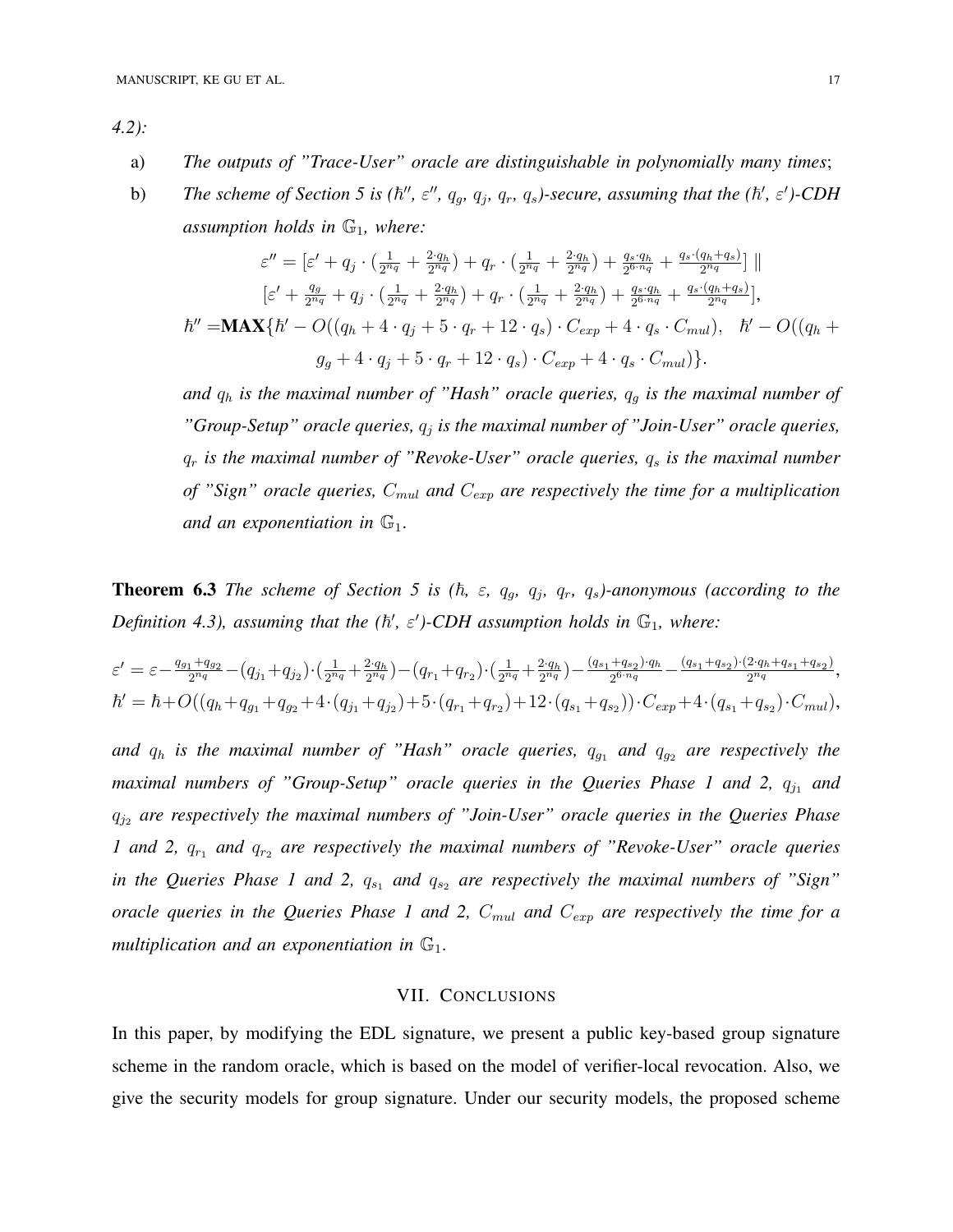*4.2):*

- a) *The outputs of "Trace-User" oracle are distinguishable in polynomially many times*;
- b) The scheme of Section 5 is ( $\hbar''$ ,  $\varepsilon''$ ,  $q_g$ ,  $q_j$ ,  $q_r$ ,  $q_s$ )-secure, assuming that the ( $\hbar'$ ,  $\varepsilon'$ )-CDH *assumption holds in*  $\mathbb{G}_1$ *, where:*

$$
\varepsilon'' = \left[\varepsilon' + q_j \cdot \left(\frac{1}{2^{n_q}} + \frac{2 \cdot q_h}{2^{n_q}}\right) + q_r \cdot \left(\frac{1}{2^{n_q}} + \frac{2 \cdot q_h}{2^{n_q}}\right) + \frac{q_s \cdot q_h}{2^{6 \cdot n_q}} + \frac{q_s \cdot (q_h + q_s)}{2^{n_q}}\right] \parallel
$$
  

$$
\left[\varepsilon' + \frac{q_g}{2^{n_q}} + q_j \cdot \left(\frac{1}{2^{n_q}} + \frac{2 \cdot q_h}{2^{n_q}}\right) + q_r \cdot \left(\frac{1}{2^{n_q}} + \frac{2 \cdot q_h}{2^{n_q}}\right) + \frac{q_s \cdot q_h}{2^{6 \cdot n_q}} + \frac{q_s \cdot (q_h + q_s)}{2^{n_q}}\right],
$$
  

$$
\hbar'' = \mathbf{MAX} \{ \hbar' - O((q_h + 4 \cdot q_j + 5 \cdot q_r + 12 \cdot q_s) \cdot C_{exp} + 4 \cdot q_s \cdot C_{mul}), \quad \hbar' - O((q_h + q_s + 4 \cdot q_j + 5 \cdot q_r + 12 \cdot q_s) \cdot C_{exp} + 4 \cdot q_s \cdot C_{mul})\}.
$$

*and*  $q_h$  *is the maximal number of "Hash" oracle queries,*  $q_g$  *is the maximal number of "Group-Setup" oracle queries,* q<sup>j</sup> *is the maximal number of "Join-User" oracle queries,*  $q_r$  *is the maximal number of "Revoke-User" oracle queries,*  $q_s$  *is the maximal number of "Sign" oracle queries,*  $C_{mul}$  *and*  $C_{exp}$  *are respectively the time for a multiplication and an exponentiation in*  $\mathbb{G}_1$ .

**Theorem 6.3** *The scheme of Section 5 is (* $\hbar$ *,*  $\varepsilon$ *,*  $q_g$ *,*  $q_j$ *,*  $q_r$ *,*  $q_s$ *)-anonymous (according to the*  $Definition 4.3$ ), assuming that the  $(h', \varepsilon')$ -CDH assumption holds in  $\mathbb{G}_1$ , where:

$$
\varepsilon' = \varepsilon - \frac{q_{g_1} + q_{g_2}}{2^{n_q}} - (q_{j_1} + q_{j_2}) \cdot (\frac{1}{2^{n_q}} + \frac{2 \cdot q_h}{2^{n_q}}) - (q_{r_1} + q_{r_2}) \cdot (\frac{1}{2^{n_q}} + \frac{2 \cdot q_h}{2^{n_q}}) - \frac{(q_{s_1} + q_{s_2}) \cdot q_h}{2^{6 \cdot n_q}} - \frac{(q_{s_1} + q_{s_2}) \cdot (2 \cdot q_h + q_{s_1} + q_{s_2})}{2^{n_q}},
$$
  

$$
\hbar' = \hbar + O((q_h + q_{g_1} + q_{g_2} + 4 \cdot (q_{j_1} + q_{j_2}) + 5 \cdot (q_{r_1} + q_{r_2}) + 12 \cdot (q_{s_1} + q_{s_2})) \cdot C_{exp} + 4 \cdot (q_{s_1} + q_{s_2}) \cdot C_{mul}),
$$

and  $q_h$  *is the maximal number of "Hash" oracle queries,*  $q_{g_1}$  *and*  $q_{g_2}$  *are respectively the maximal numbers of "Group-Setup" oracle queries in the Queries Phase 1 and 2,*  $q_{j1}$  *and*  $q_{j_2}$  are respectively the maximal numbers of "Join-User" oracle queries in the Queries Phase *1 and 2,*  $q_{r_1}$  *and*  $q_{r_2}$  *are respectively the maximal numbers of "Revoke-User" oracle queries in the Queries Phase 1 and 2,*  $q_{s_1}$  *and*  $q_{s_2}$  *are respectively the maximal numbers of "Sign" oracle queries in the Queries Phase 1 and 2,*  $C_{mul}$  *and*  $C_{exp}$  *are respectively the time for a multiplication and an exponentiation in*  $\mathbb{G}_1$ .

#### VII. CONCLUSIONS

In this paper, by modifying the EDL signature, we present a public key-based group signature scheme in the random oracle, which is based on the model of verifier-local revocation. Also, we give the security models for group signature. Under our security models, the proposed scheme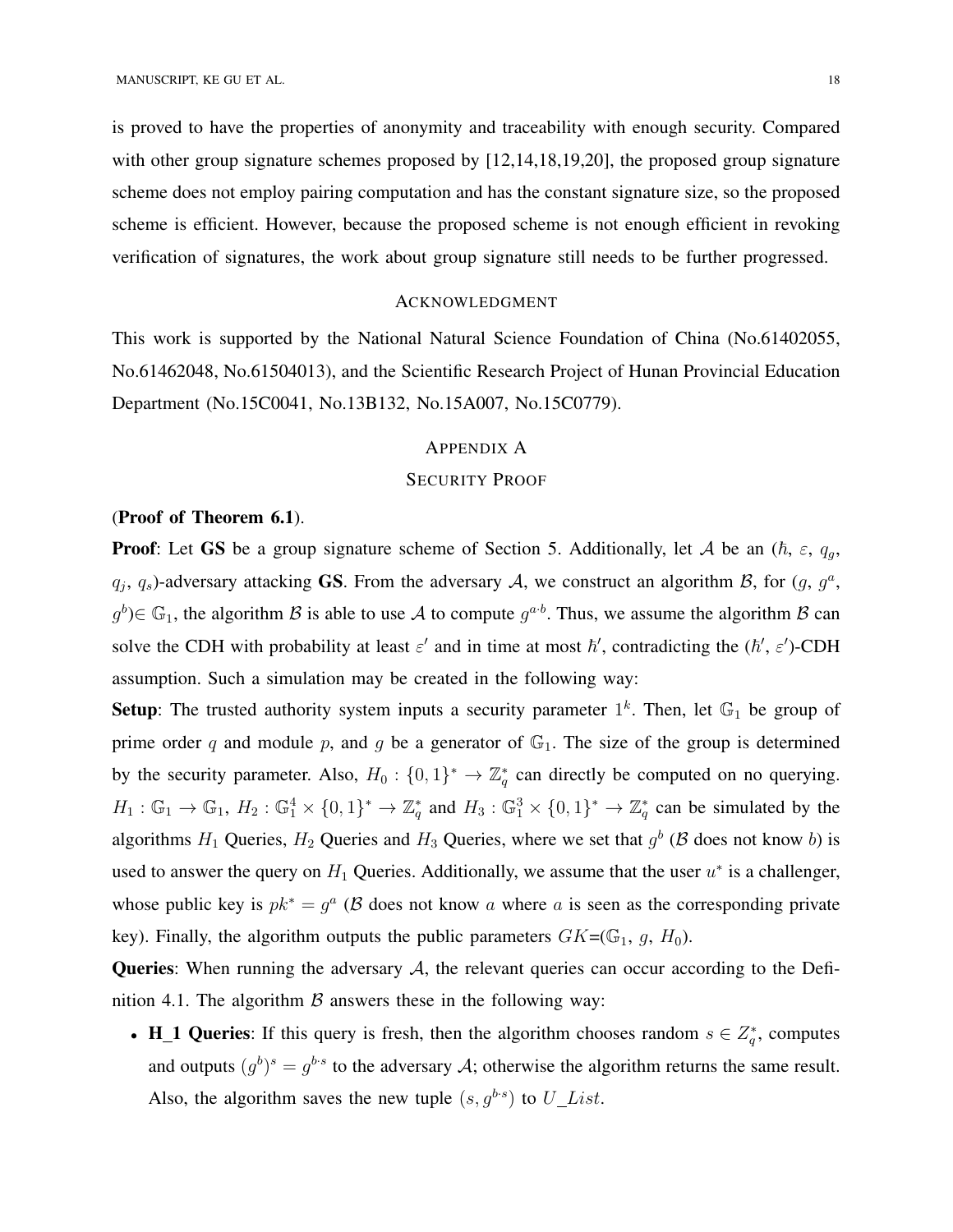is proved to have the properties of anonymity and traceability with enough security. Compared with other group signature schemes proposed by [12,14,18,19,20], the proposed group signature scheme does not employ pairing computation and has the constant signature size, so the proposed scheme is efficient. However, because the proposed scheme is not enough efficient in revoking verification of signatures, the work about group signature still needs to be further progressed.

### ACKNOWLEDGMENT

This work is supported by the National Natural Science Foundation of China (No.61402055, No.61462048, No.61504013), and the Scientific Research Project of Hunan Provincial Education Department (No.15C0041, No.13B132, No.15A007, No.15C0779).

# APPENDIX A

# SECURITY PROOF

# (Proof of Theorem 6.1).

**Proof:** Let GS be a group signature scheme of Section 5. Additionally, let A be an  $(\hbar, \varepsilon, q_g, \varepsilon)$  $q_j$ ,  $q_s$ )-adversary attacking GS. From the adversary A, we construct an algorithm B, for  $(g, g^a)$ ,  $g^b$ ) $\in \mathbb{G}_1$ , the algorithm B is able to use A to compute  $g^{a \cdot b}$ . Thus, we assume the algorithm B can solve the CDH with probability at least  $\varepsilon'$  and in time at most  $\hbar'$ , contradicting the  $(\hbar', \varepsilon')$ -CDH assumption. Such a simulation may be created in the following way:

**Setup**: The trusted authority system inputs a security parameter  $1^k$ . Then, let  $\mathbb{G}_1$  be group of prime order q and module p, and g be a generator of  $\mathbb{G}_1$ . The size of the group is determined by the security parameter. Also,  $H_0: \{0,1\}^* \to \mathbb{Z}_q^*$  can directly be computed on no querying.  $H_1: \mathbb{G}_1 \to \mathbb{G}_1$ ,  $H_2: \mathbb{G}_1^4 \times \{0,1\}^* \to \mathbb{Z}_q^*$  and  $H_3: \mathbb{G}_1^3 \times \{0,1\}^* \to \mathbb{Z}_q^*$  can be simulated by the algorithms  $H_1$  Queries,  $H_2$  Queries and  $H_3$  Queries, where we set that  $g^b$  ( $\beta$  does not know b) is used to answer the query on  $H_1$  Queries. Additionally, we assume that the user  $u^*$  is a challenger, whose public key is  $pk^* = g^a$  ( $\beta$  does not know a where a is seen as the corresponding private key). Finally, the algorithm outputs the public parameters  $GK=(\mathbb{G}_1, q, H_0)$ .

**Queries:** When running the adversary  $A$ , the relevant queries can occur according to the Definition 4.1. The algorithm  $\beta$  answers these in the following way:

• H\_1 Queries: If this query is fresh, then the algorithm chooses random  $s \in Z_q^*$ , computes and outputs  $(g^{b})^{s} = g^{b \cdot s}$  to the adversary A; otherwise the algorithm returns the same result. Also, the algorithm saves the new tuple  $(s, g^{b \cdot s})$  to  $U$ <sub>-</sub>List.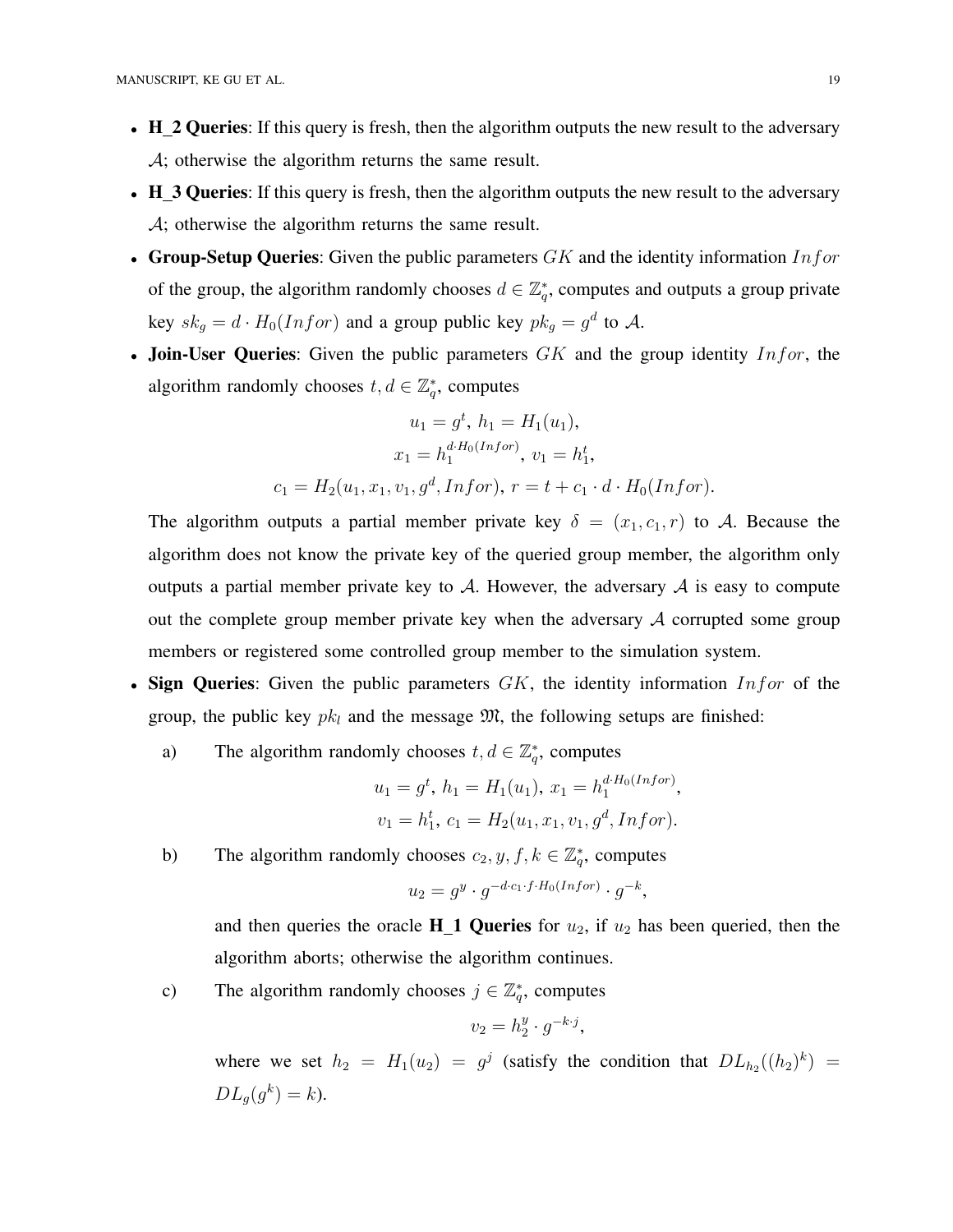- H 2 Queries: If this query is fresh, then the algorithm outputs the new result to the adversary A; otherwise the algorithm returns the same result.
- H 3 Queries: If this query is fresh, then the algorithm outputs the new result to the adversary A; otherwise the algorithm returns the same result.
- Group-Setup Queries: Given the public parameters  $GK$  and the identity information Information of the group, the algorithm randomly chooses  $d \in \mathbb{Z}_q^*$ , computes and outputs a group private key  $sk_g = d \cdot H_0(Infor)$  and a group public key  $pk_g = g^d$  to A.
- Join-User Queries: Given the public parameters  $GK$  and the group identity  $Infor$ , the algorithm randomly chooses  $t, d \in \mathbb{Z}_q^*$ , computes

$$
u_1 = g^t, h_1 = H_1(u_1),
$$
  
\n
$$
x_1 = h_1^{d \cdot H_0(Infor)}, v_1 = h_1^t,
$$
  
\n
$$
c_1 = H_2(u_1, x_1, v_1, g^d, Infor), r = t + c_1 \cdot d \cdot H_0(Infor).
$$

The algorithm outputs a partial member private key  $\delta = (x_1, c_1, r)$  to A. Because the algorithm does not know the private key of the queried group member, the algorithm only outputs a partial member private key to  $A$ . However, the adversary  $A$  is easy to compute out the complete group member private key when the adversary  $A$  corrupted some group members or registered some controlled group member to the simulation system.

- Sign Queries: Given the public parameters  $GK$ , the identity information  $Infor$  of the group, the public key  $pk_l$  and the message  $\mathfrak{M}$ , the following setups are finished:
	- a) The algorithm randomly chooses  $t, d \in \mathbb{Z}_q^*$ , computes

$$
u_1 = g^t, h_1 = H_1(u_1), x_1 = h_1^{d \cdot H_0(Infor)},
$$
  

$$
v_1 = h_1^t, c_1 = H_2(u_1, x_1, v_1, g^d, Infor).
$$

b) The algorithm randomly chooses  $c_2, y, f, k \in \mathbb{Z}_q^*$ , computes

$$
u_2 = g^y \cdot g^{-d \cdot c_1 \cdot f \cdot H_0(Infor) } \cdot g^{-k},
$$

and then queries the oracle  $H_1$  Queries for  $u_2$ , if  $u_2$  has been queried, then the algorithm aborts; otherwise the algorithm continues.

c) The algorithm randomly chooses  $j \in \mathbb{Z}_q^*$ , computes

$$
v_2 = h_2^y \cdot g^{-k \cdot j},
$$

where we set  $h_2 = H_1(u_2) = g^j$  (satisfy the condition that  $DL_{h_2}((h_2)^k) =$  $DL_g(g^k) = k$ .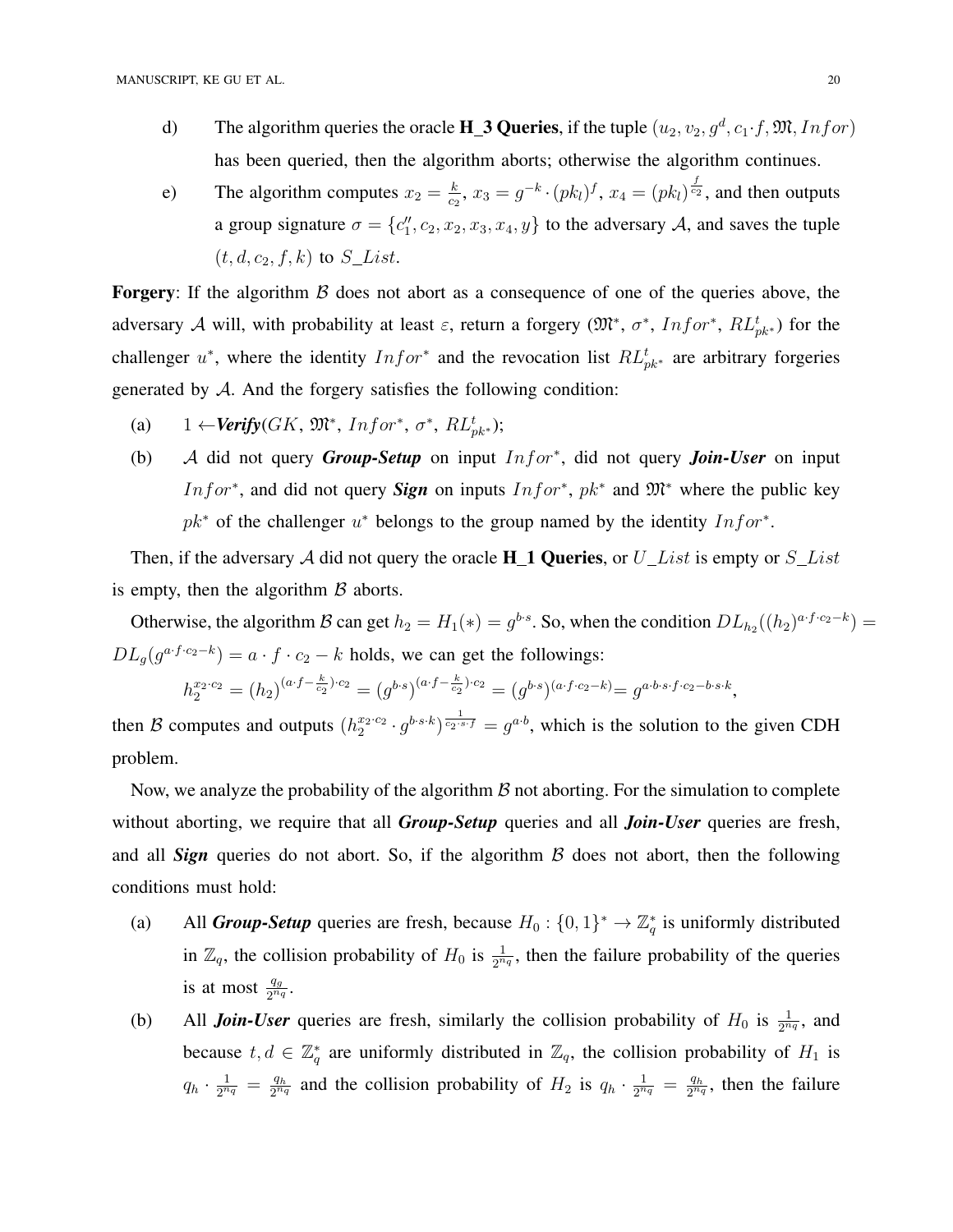- d) The algorithm queries the oracle **H\_3 Queries**, if the tuple  $(u_2, v_2, g^d, c_1 \cdot f, \mathfrak{M}, Infor)$ has been queried, then the algorithm aborts; otherwise the algorithm continues.
- e) The algorithm computes  $x_2 = \frac{k}{c}$  $\frac{k}{c_2}$ ,  $x_3 = g^{-k} \cdot (pk_l)^f$ ,  $x_4 = (pk_l)^{\frac{f}{c_2}}$ , and then outputs a group signature  $\sigma = \{c_1'', c_2, x_2, x_3, x_4, y\}$  to the adversary A, and saves the tuple  $(t, d, c_2, f, k)$  to  $S$ <sub>\_</sub>List.

**Forgery:** If the algorithm  $\beta$  does not abort as a consequence of one of the queries above, the adversary A will, with probability at least  $\varepsilon$ , return a forgery  $(\mathfrak{M}^*, \sigma^*, \text{In} for^*, \text{RL}_{pk^*}^t)$  for the challenger  $u^*$ , where the identity  $Infor^*$  and the revocation list  $RL_{pk^*}^t$  are arbitrary forgeries generated by  $A$ . And the forgery satisfies the following condition:

- (a)  $1 \leftarrow \text{Verify}(GK, \mathfrak{M}^*, \text{Infor}^*, \sigma^*, \text{RL}_{pk^*}^t);$
- (b) A did not query *Group-Setup* on input Infor<sup>∗</sup> , did not query *Join-User* on input *Infor*<sup>\*</sup>, and did not query *Sign* on inputs *Infor*<sup>\*</sup>, pk<sup>\*</sup> and  $\mathfrak{M}^*$  where the public key  $pk^*$  of the challenger  $u^*$  belongs to the group named by the identity  $Infor^*$ .

Then, if the adversary A did not query the oracle **H\_1 Queries**, or  $U$ <sub>List</sub> is empty or  $S$ <sub>List</sub> is empty, then the algorithm  $\beta$  aborts.

Otherwise, the algorithm B can get  $h_2 = H_1(*) = g^{b \cdot s}$ . So, when the condition  $DL_{h_2}((h_2)^{a \cdot f \cdot c_2 - k}) =$  $DL_g(g^{a \cdot f \cdot c_2-k}) = a \cdot f \cdot c_2 - k$  holds, we can get the followings:

$$
h_2^{x_2 \cdot c_2} = (h_2)^{(a \cdot f - \frac{k}{c_2}) \cdot c_2} = (g^{b \cdot s})^{(a \cdot f - \frac{k}{c_2}) \cdot c_2} = (g^{b \cdot s})^{(a \cdot f \cdot c_2 - k)} = g^{a \cdot b \cdot s \cdot f \cdot c_2 - b \cdot s \cdot k},
$$

then B computes and outputs  $(h_2^{x_2 \cdot c_2} \cdot g^{b \cdot s \cdot k})^{\frac{1}{c_2 \cdot s \cdot f}} = g^{a \cdot b}$ , which is the solution to the given CDH problem.

Now, we analyze the probability of the algorithm  $\beta$  not aborting. For the simulation to complete without aborting, we require that all *Group-Setup* queries and all *Join-User* queries are fresh, and all **Sign** queries do not abort. So, if the algorithm  $\beta$  does not abort, then the following conditions must hold:

- (a) All *Group-Setup* queries are fresh, because  $H_0: \{0, 1\}^* \to \mathbb{Z}_q^*$  is uniformly distributed in  $\mathbb{Z}_q$ , the collision probability of  $H_0$  is  $\frac{1}{2^{n_q}}$ , then the failure probability of the queries is at most  $\frac{q_g}{2^{n_q}}$ .
- (b) All *Join-User* queries are fresh, similarly the collision probability of  $H_0$  is  $\frac{1}{2^{n_q}}$ , and because  $t, d \in \mathbb{Z}_q^*$  are uniformly distributed in  $\mathbb{Z}_q$ , the collision probability of  $H_1$  is  $q_h \cdot \frac{1}{2^n}$  $\frac{1}{2^{n_q}} = \frac{q_h}{2^{n_q}}$  $\frac{q_h}{2^{n_q}}$  and the collision probability of  $H_2$  is  $q_h \cdot \frac{1}{2^n}$  $\frac{1}{2^{n_q}} = \frac{q_h}{2^{n_q}}$  $\frac{q_h}{2^{n_q}}$ , then the failure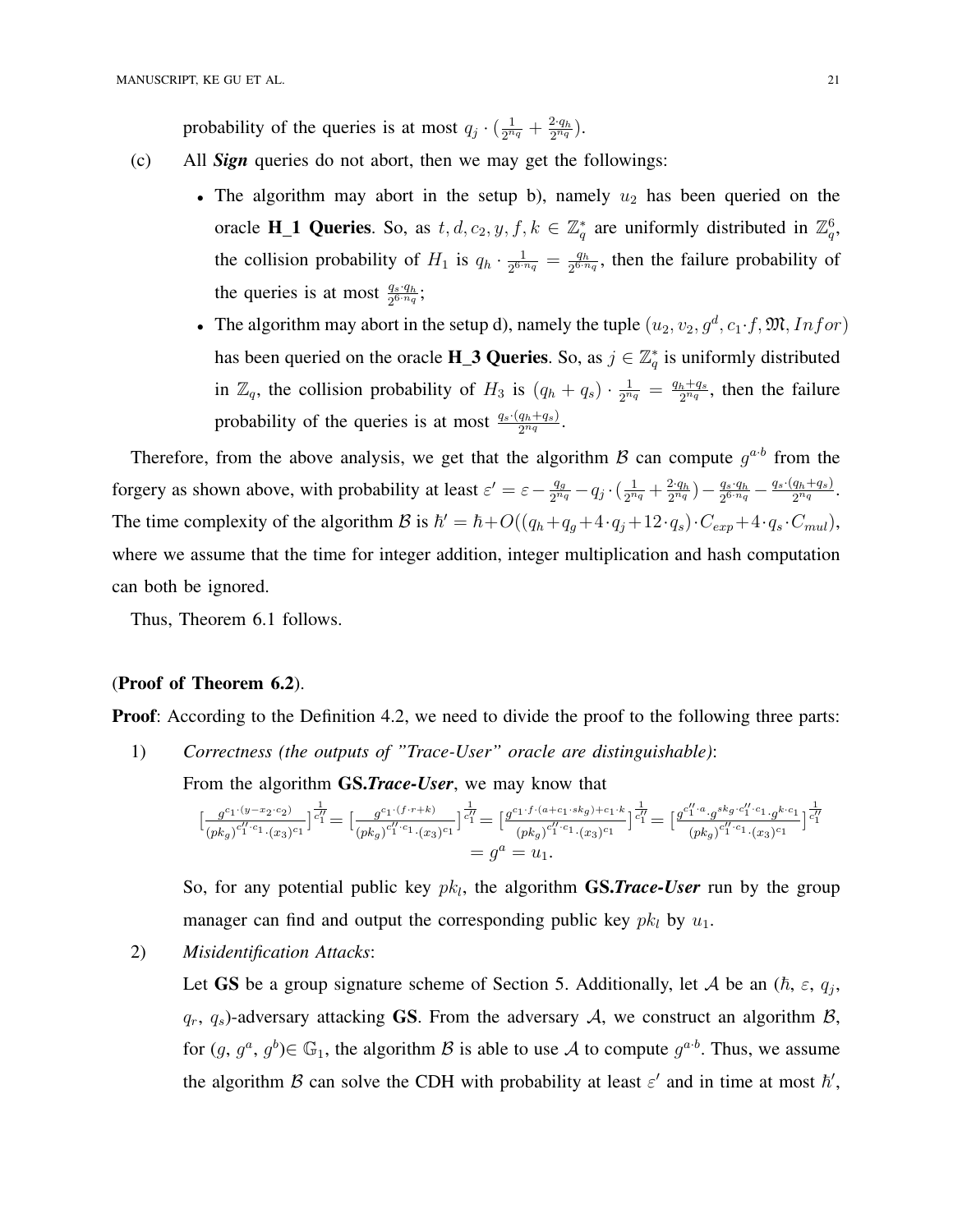probability of the queries is at most  $q_j \cdot (\frac{1}{2^n})$  $\frac{1}{2^{n_q}} + \frac{2 \cdot q_h}{2^{n_q}}$  $\frac{2\cdot q_h}{2^{n_q}}$ ).

- (c) All *Sign* queries do not abort, then we may get the followings:
	- The algorithm may abort in the setup b), namely  $u_2$  has been queried on the oracle **H\_1 Queries**. So, as  $t, d, c_2, y, f, k \in \mathbb{Z}_q^*$  are uniformly distributed in  $\mathbb{Z}_q^6$ , the collision probability of  $H_1$  is  $q_h \cdot \frac{1}{2^{6\gamma}}$  $\frac{1}{2^{6\cdot n_q}} = \frac{q_h}{2^{6\cdot n}}$  $\frac{q_h}{2^{6 \cdot n_q}}$ , then the failure probability of the queries is at most  $\frac{q_s \cdot q_h}{2^{6 \cdot n_q}}$ ;
	- The algorithm may abort in the setup d), namely the tuple  $(u_2, v_2, g^d, c_1 \cdot f, \mathfrak{M}, Infor)$ has been queried on the oracle **H\_3 Queries**. So, as  $j \in \mathbb{Z}_q^*$  is uniformly distributed in  $\mathbb{Z}_q$ , the collision probability of  $H_3$  is  $(q_h + q_s) \cdot \frac{1}{2^n}$  $\frac{1}{2^{n_q}} = \frac{q_h+q_s}{2^{n_q}}$  $\frac{h+q_s}{2^{n_q}}$ , then the failure probability of the queries is at most  $\frac{q_s \cdot (q_h+q_s)}{2^{n_q}}$ .

Therefore, from the above analysis, we get that the algorithm  $\beta$  can compute  $g^{a,b}$  from the forgery as shown above, with probability at least  $\varepsilon' = \varepsilon - \frac{q_g}{2m}$  $\frac{q_g}{2^{n_q}}-q_j\cdot(\frac{1}{2^n}$  $\frac{1}{2^{nq}} + \frac{2 \cdot q_h}{2^{nq}}$  $\frac{2 \cdot q_h}{2^{n_q}}$ ) —  $\frac{q_s \cdot q_h}{2^{6 \cdot n_q}}$  $\frac{q_s \cdot q_h}{2^{6 \cdot n_q}} - \frac{q_s \cdot (q_h + q_s)}{2^{n_q}}$  $\frac{q_h+q_s)}{2^{n_q}}$ . The time complexity of the algorithm B is  $\hbar' = \hbar + O((q_h+q_g+4\cdot q_j+12\cdot q_s)\cdot C_{exp}+4\cdot q_s\cdot C_{mul}),$ where we assume that the time for integer addition, integer multiplication and hash computation can both be ignored.

Thus, Theorem 6.1 follows.

# (Proof of Theorem 6.2).

**Proof:** According to the Definition 4.2, we need to divide the proof to the following three parts:

1) *Correctness (the outputs of "Trace-User" oracle are distinguishable)*:

From the algorithm GS.*Trace-User*, we may know that

$$
\begin{aligned} \left[\frac{g^{c_1 \cdot (y-x_2 \cdot c_2)}}{(pk_g)^{c_1'^\prime \cdot c_1} \cdot (x_3)^{c_1}}\right]^{\frac{1}{c_1'}} = \left[\frac{g^{c_1 \cdot (f \cdot r + k)}}{(pk_g)^{c_1'^\prime \cdot c_1} \cdot (x_3)^{c_1}}\right]^{\frac{1}{c_1'}} = \left[\frac{g^{c_1 \cdot f \cdot (a + c_1 \cdot sk_g) + c_1 \cdot k}}{(pk_g)^{c_1'^\prime \cdot c_1} \cdot (x_3)^{c_1}}\right]^{\frac{1}{c_1'}} = \left[\frac{g^{c_1'^\prime \cdot a} \cdot g^{sk_g \cdot c_1'^\prime \cdot c_1} \cdot g^{k \cdot c_1}}{(pk_g)^{c_1'^\prime \cdot c_1} \cdot (x_3)^{c_1}}\right]^{\frac{1}{c_1'}} \\ = g^a = u_1. \end{aligned}
$$

So, for any potential public key  $pk_l$ , the algorithm **GS.***Trace-User* run by the group manager can find and output the corresponding public key  $pk_l$  by  $u_1$ .

2) *Misidentification Attacks*:

Let GS be a group signature scheme of Section 5. Additionally, let A be an  $(\hbar, \varepsilon, q_j, \varepsilon)$  $q_r$ ,  $q_s$ )-adversary attacking GS. From the adversary A, we construct an algorithm B, for  $(g, g^a, g^b) \in \mathbb{G}_1$ , the algorithm B is able to use A to compute  $g^{a \cdot b}$ . Thus, we assume the algorithm B can solve the CDH with probability at least  $\varepsilon'$  and in time at most  $\hbar'$ ,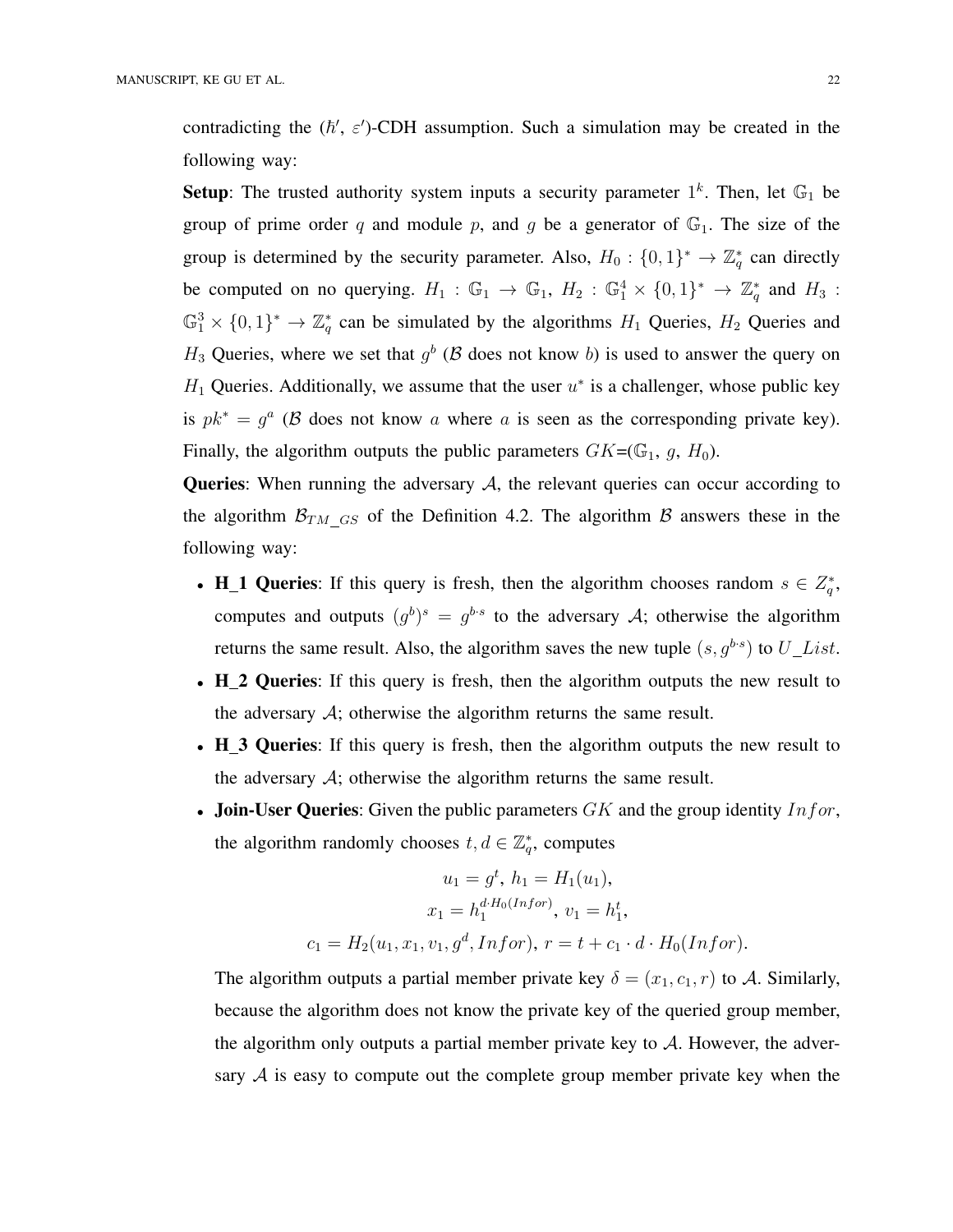contradicting the  $(h', \varepsilon')$ -CDH assumption. Such a simulation may be created in the following way:

**Setup**: The trusted authority system inputs a security parameter  $1^k$ . Then, let  $\mathbb{G}_1$  be group of prime order q and module p, and q be a generator of  $\mathbb{G}_1$ . The size of the group is determined by the security parameter. Also,  $H_0: \{0,1\}^* \to \mathbb{Z}_q^*$  can directly be computed on no querying.  $H_1 : \mathbb{G}_1 \to \mathbb{G}_1$ ,  $H_2 : \mathbb{G}_1^4 \times \{0,1\}^* \to \mathbb{Z}_q^*$  and  $H_3$ :  $\mathbb{G}_1^3 \times \{0,1\}^* \to \mathbb{Z}_q^*$  can be simulated by the algorithms  $H_1$  Queries,  $H_2$  Queries and  $H_3$  Queries, where we set that  $g^b$  ( $\beta$  does not know b) is used to answer the query on  $H_1$  Queries. Additionally, we assume that the user  $u^*$  is a challenger, whose public key is  $pk^* = g^a$  ( $\beta$  does not know a where a is seen as the corresponding private key). Finally, the algorithm outputs the public parameters  $GK=(\mathbb{G}_1, g, H_0)$ .

**Queries:** When running the adversary  $A$ , the relevant queries can occur according to the algorithm  $\mathcal{B}_{TM}$   $_{GS}$  of the Definition 4.2. The algorithm  $\beta$  answers these in the following way:

- H\_1 Queries: If this query is fresh, then the algorithm chooses random  $s \in Z_q^*$ , computes and outputs  $(g^b)^s = g^{b \cdot s}$  to the adversary A; otherwise the algorithm returns the same result. Also, the algorithm saves the new tuple  $(s, g^{b \cdot s})$  to  $U_{\perp} List$ .
- H\_2 Queries: If this query is fresh, then the algorithm outputs the new result to the adversary  $A$ ; otherwise the algorithm returns the same result.
- H\_3 Queries: If this query is fresh, then the algorithm outputs the new result to the adversary  $A$ ; otherwise the algorithm returns the same result.
- Join-User Queries: Given the public parameters  $GK$  and the group identity  $Infor$ , the algorithm randomly chooses  $t, d \in \mathbb{Z}_q^*$ , computes

$$
u_1 = g^t, h_1 = H_1(u_1),
$$
  
\n
$$
x_1 = h_1^{d \cdot H_0(Infor)}, v_1 = h_1^t,
$$
  
\n
$$
c_1 = H_2(u_1, x_1, v_1, g^d, Infor), r = t + c_1 \cdot d \cdot H_0(Infor).
$$

The algorithm outputs a partial member private key  $\delta = (x_1, c_1, r)$  to A. Similarly, because the algorithm does not know the private key of the queried group member, the algorithm only outputs a partial member private key to  $A$ . However, the adversary  $A$  is easy to compute out the complete group member private key when the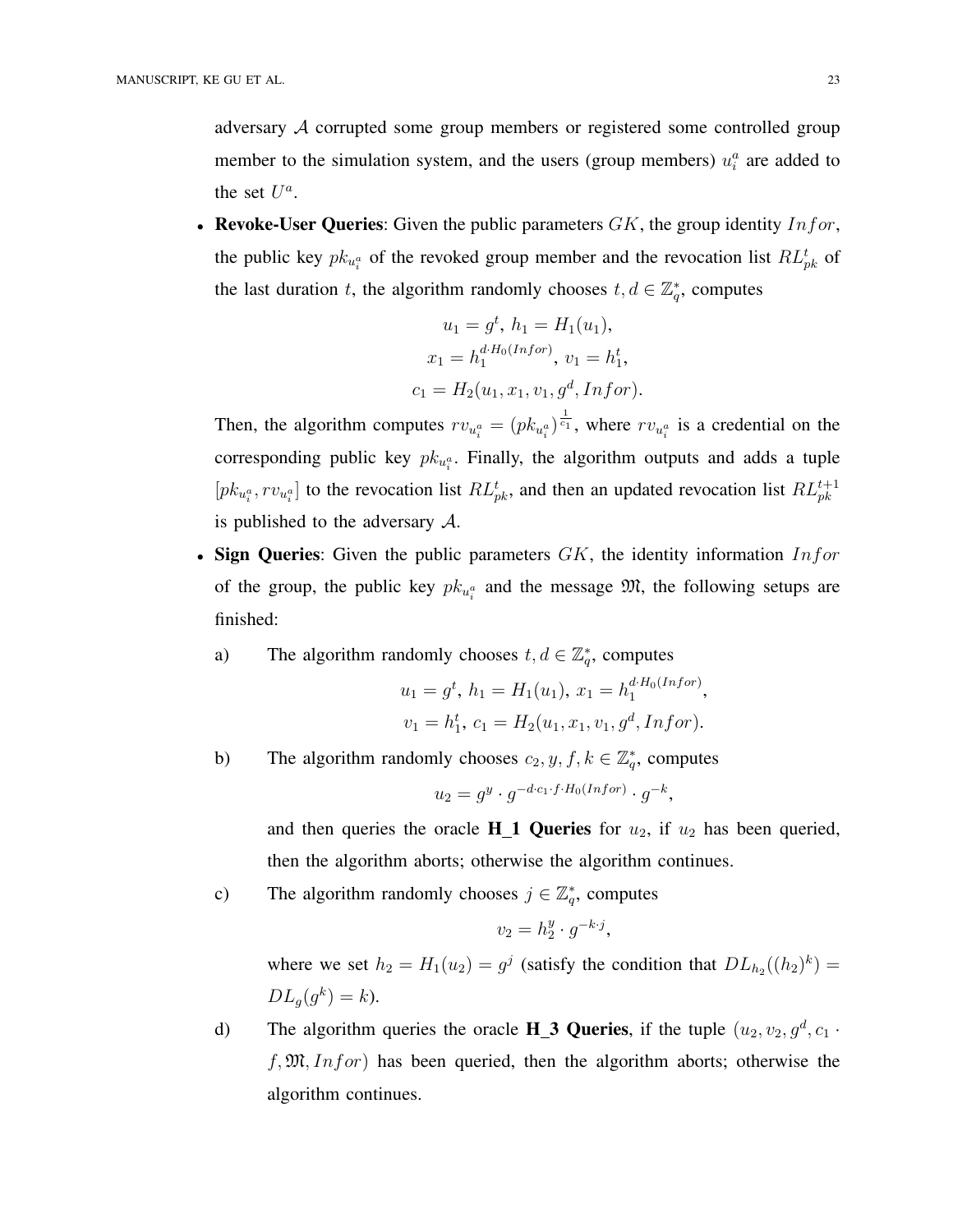adversary A corrupted some group members or registered some controlled group member to the simulation system, and the users (group members)  $u_i^a$  are added to the set  $U^a$ .

• Revoke-User Queries: Given the public parameters  $GK$ , the group identity  $Infor$ , the public key  $pk_{u_i^a}$  of the revoked group member and the revocation list  $RL_{pk}^t$  of the last duration t, the algorithm randomly chooses  $t, d \in \mathbb{Z}_q^*$ , computes

$$
u_1 = g^t, h_1 = H_1(u_1),
$$
  
\n
$$
x_1 = h_1^{d \cdot H_0(Infor)}, v_1 = h_1^t,
$$
  
\n
$$
c_1 = H_2(u_1, x_1, v_1, g^d, Infor).
$$

Then, the algorithm computes  $rv_{u_i^a} = (pk_{u_i^a})^{\frac{1}{c_1}}$ , where  $rv_{u_i^a}$  is a credential on the corresponding public key  $pk_{u_i^a}$ . Finally, the algorithm outputs and adds a tuple  $[pk_{u_i^a}, rv_{u_i^a}]$  to the revocation list  $RL_{pk}^t$ , and then an updated revocation list  $RL_{pk}^{t+1}$ is published to the adversary A.

• Sign Queries: Given the public parameters  $GK$ , the identity information  $Infor$ of the group, the public key  $pk_{u_i^a}$  and the message  $\mathfrak{M}$ , the following setups are finished:

a) The algorithm randomly chooses 
$$
t, d \in \mathbb{Z}_q^*
$$
, computes\n
$$
u_1 = g^t, h_1 = H_1(u_1), x_1 = h_1^{d \cdot H_0(Infor)}
$$
\n
$$
v_1 = h_1^t, c_1 = H_2(u_1, x_1, v_1, g^d, Infor).
$$

b) The algorithm randomly chooses 
$$
c_2, y, f, k \in \mathbb{Z}_q^*
$$
, computes

$$
u_2 = g^y \cdot g^{-d \cdot c_1 \cdot f \cdot H_0(Infor) } \cdot g^{-k},
$$

,

and then queries the oracle  $H_1$  Queries for  $u_2$ , if  $u_2$  has been queried, then the algorithm aborts; otherwise the algorithm continues.

c) The algorithm randomly chooses  $j \in \mathbb{Z}_q^*$ , computes

$$
v_2 = h_2^y \cdot g^{-k \cdot j},
$$

where we set  $h_2 = H_1(u_2) = g^j$  (satisfy the condition that  $DL_{h_2}((h_2)^k) =$  $DL_g(g^k) = k$ .

d) The algorithm queries the oracle **H\_3 Queries**, if the tuple  $(u_2, v_2, g^d, c_1 \cdot$  $f, \mathfrak{M}, \text{In} for$  has been queried, then the algorithm aborts; otherwise the algorithm continues.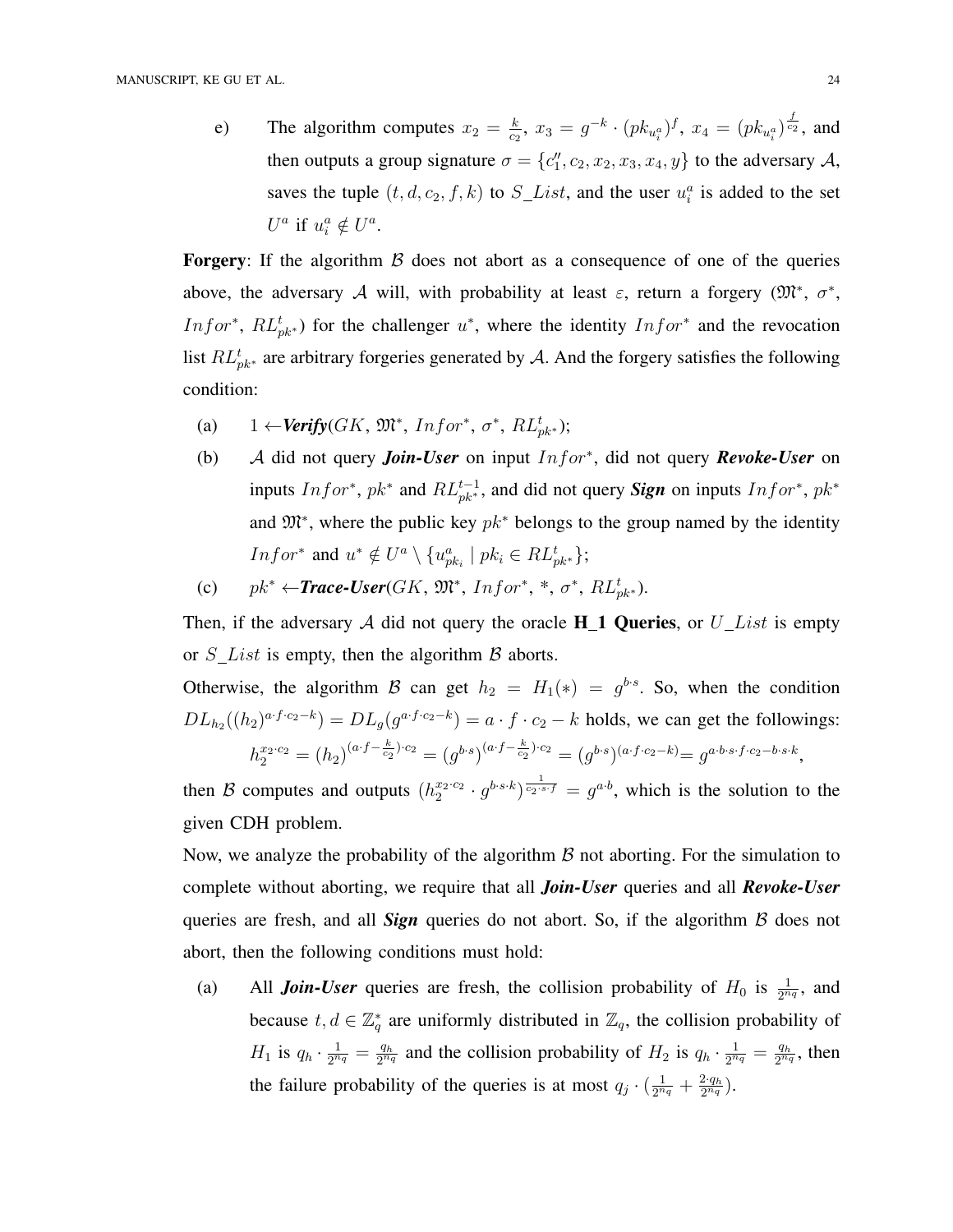e) The algorithm computes  $x_2 = \frac{k}{c}$  $\frac{k}{c_2},\ x_3=g^{-k}\cdot (pk_{u_i^a})^f,\ x_4=(pk_{u_i^a})^{\frac{f}{c_2}},\ {\rm and}$ then outputs a group signature  $\sigma = \{c''_1, c_2, x_2, x_3, x_4, y\}$  to the adversary A, saves the tuple  $(t, d, c_2, f, k)$  to  $S$ <sub>*List*, and the user  $u_i^a$  is added to the set</sub>  $U^a$  if  $u_i^a \notin U^a$ .

**Forgery:** If the algorithm  $\beta$  does not abort as a consequence of one of the queries above, the adversary A will, with probability at least  $\varepsilon$ , return a forgery  $(\mathfrak{M}^*, \sigma^*,$ Infor<sup>\*</sup>,  $RL_{pk}^{t}$ ) for the challenger  $u^*$ , where the identity Infor<sup>\*</sup> and the revocation list  $RL_{pk*}^t$  are arbitrary forgeries generated by A. And the forgery satisfies the following condition:

- (a)  $1 \leftarrow \text{Verify}(GK, \mathfrak{M}^*, \text{Infor}^*, \sigma^*, \text{RL}_{pk^*}^t);$
- (b) A did not query *Join-User* on input Infor<sup>∗</sup> , did not query *Revoke-User* on inputs  $Infor^*, pk^*$  and  $RL_{pk^*}^{t-1}$ , and did not query **Sign** on inputs  $Infor^*, pk^*$ and  $\mathfrak{M}^*$ , where the public key  $pk^*$  belongs to the group named by the identity *Infor*<sup>\*</sup> and  $u^* \notin U^a \setminus \{u_{pk_i}^a \mid pk_i \in RL_{pk^*}^t\};$
- (c)  $pk^* \leftarrow \text{Trace-User}(GK, \mathfrak{M}^*, \text{Infor}^*, *, \sigma^*, RL_{pk^*}^t).$

Then, if the adversary A did not query the oracle **H\_1 Queries**, or  $U$ <sub>List</sub> is empty or  $S$  List is empty, then the algorithm  $\beta$  aborts.

Otherwise, the algorithm B can get  $h_2 = H_1(*) = g^{b \cdot s}$ . So, when the condition  $DL_{h_2}((h_2)^{a \cdot f \cdot c_2-k}) = DL_g(g^{a \cdot f \cdot c_2-k}) = a \cdot f \cdot c_2 - k$  holds, we can get the followings:  $h_2^{x_2 \cdot c_2} = (h_2)^{(a \cdot f - \frac{k}{c_2}) \cdot c_2} = (g^{b \cdot s})^{(a \cdot f - \frac{k}{c_2}) \cdot c_2} = (g^{b \cdot s})^{(a \cdot f \cdot c_2 - k)} = g^{a \cdot b \cdot s \cdot f \cdot c_2 - b \cdot s \cdot k},$ 

then B computes and outputs  $(h_2^{x_2 \cdot c_2} \cdot g^{b \cdot s \cdot k})^{\frac{1}{c_2 \cdot s \cdot f}} = g^{a \cdot b}$ , which is the solution to the given CDH problem.

Now, we analyze the probability of the algorithm  $\beta$  not aborting. For the simulation to complete without aborting, we require that all *Join-User* queries and all *Revoke-User* queries are fresh, and all **Sign** queries do not abort. So, if the algorithm  $\beta$  does not abort, then the following conditions must hold:

(a) All *Join-User* queries are fresh, the collision probability of  $H_0$  is  $\frac{1}{2^{n_q}}$ , and because  $t, d \in \mathbb{Z}_q^*$  are uniformly distributed in  $\mathbb{Z}_q$ , the collision probability of  $H_1$  is  $q_h \cdot \frac{1}{2^n}$  $\frac{1}{2^{n_q}} = \frac{q_h}{2^{n_q}}$  $\frac{q_h}{2^{n_q}}$  and the collision probability of  $H_2$  is  $q_h \cdot \frac{1}{2^n}$  $\frac{1}{2^{n_q}} = \frac{q_h}{2^{n_q}}$  $\frac{q_h}{2^{n_q}}$ , then the failure probability of the queries is at most  $q_j \cdot (\frac{1}{2^n})$  $\frac{1}{2^{n_q}} + \frac{2 \cdot q_h}{2^{n_q}}$  $\frac{2\cdot q_h}{2^{n_q}}$ ).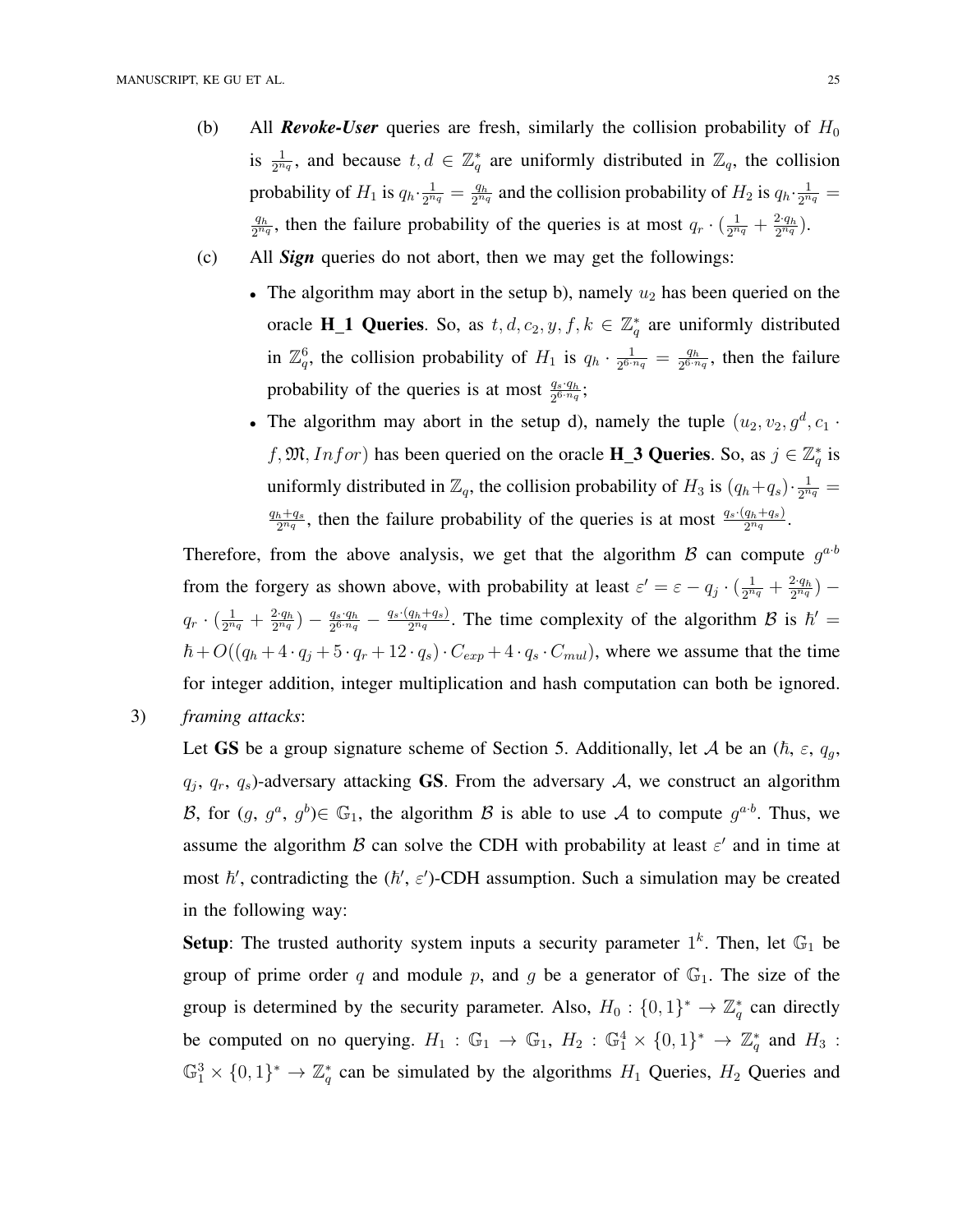- (b) All *Revoke-User* queries are fresh, similarly the collision probability of  $H_0$ is  $\frac{1}{2^{n_q}}$ , and because  $t, d \in \mathbb{Z}_q^*$  are uniformly distributed in  $\mathbb{Z}_q$ , the collision probability of  $H_1$  is  $q_h \cdot \frac{1}{2^n}$  $\frac{1}{2^{n_q}} = \frac{q_h}{2^{n_q}}$  $\frac{q_h}{2^{n_q}}$  and the collision probability of  $H_2$  is  $q_h \cdot \frac{1}{2^n}$  $\frac{1}{2^{n_q}} =$  $q_h$  $\frac{q_h}{2^{n_q}}$ , then the failure probability of the queries is at most  $q_r \cdot (\frac{1}{2^n})$  $\frac{1}{2^{n_q}} + \frac{2 \cdot q_h}{2^{n_q}}$  $\frac{2\cdot q_h}{2^{n_q}}$ ).
- (c) All *Sign* queries do not abort, then we may get the followings:
	- The algorithm may abort in the setup b), namely  $u_2$  has been queried on the oracle **H\_1 Queries**. So, as  $t, d, c_2, y, f, k \in \mathbb{Z}_q^*$  are uniformly distributed in  $\mathbb{Z}_q^6$ , the collision probability of  $H_1$  is  $q_h \cdot \frac{1}{2^{6\cdot n}}$  $\frac{1}{2^{6 \cdot n_q}} = \frac{q_h}{2^{6 \cdot n}}$  $\frac{q_h}{2^{6 \cdot n_q}}$ , then the failure probability of the queries is at most  $\frac{q_s \cdot q_h}{2^{6 \cdot n_q}}$ ;
	- The algorithm may abort in the setup d), namely the tuple  $(u_2, v_2, g^d, c_1 \cdot$ f,  $\mathfrak{M}, \text{In} \text{ for }$  has been queried on the oracle **H\_3 Queries**. So, as  $j \in \mathbb{Z}_q^*$  is uniformly distributed in  $\mathbb{Z}_q$ , the collision probability of  $H_3$  is  $(q_h+q_s)\cdot \frac{1}{2^n}$  $\frac{1}{2^{n_{q}}} =$  $q_h+q_s$  $\frac{h+qs}{2^{n_q}}$ , then the failure probability of the queries is at most  $\frac{qs\cdot(q_h+qs)}{2^{n_q}}$ .

Therefore, from the above analysis, we get that the algorithm  $\beta$  can compute  $g^{a}$ from the forgery as shown above, with probability at least  $\varepsilon' = \varepsilon - q_j \cdot (\frac{1}{2^n})$  $\frac{1}{2^{n_q}}+\frac{2\cdot q_h}{2^{n_q}}$  $\frac{2\cdot q_h}{2^{n_q}}$ )  $q_r \cdot (\frac{1}{2^n}$  $\frac{1}{2^{nq}} + \frac{2 \cdot q_h}{2^{nq}}$  $\frac{2\cdot q_h}{2^{n_q}}$ ) —  $\frac{q_s\cdot q_h}{2^{6\cdot n_q}}$  $\frac{q_s \cdot q_h}{2^{6 \cdot n_q}} - \frac{q_s \cdot (q_h + q_s)}{2^{n_q}}$  $\frac{q_h+q_s}{2^{n_q}}$ . The time complexity of the algorithm  $\mathcal{B}$  is  $\hbar' =$  $\hbar + O((q_h + 4 \cdot q_j + 5 \cdot q_r + 12 \cdot q_s) \cdot C_{exp} + 4 \cdot q_s \cdot C_{mul}),$  where we assume that the time for integer addition, integer multiplication and hash computation can both be ignored.

3) *framing attacks*:

Let GS be a group signature scheme of Section 5. Additionally, let A be an  $(h, \varepsilon, q_g,$  $q_j$ ,  $q_r$ ,  $q_s$ )-adversary attacking GS. From the adversary A, we construct an algorithm B, for  $(g, g^a, g^b) \in \mathbb{G}_1$ , the algorithm B is able to use A to compute  $g^{a \cdot b}$ . Thus, we assume the algorithm B can solve the CDH with probability at least  $\varepsilon'$  and in time at most  $\hbar'$ , contradicting the  $(\hbar', \varepsilon')$ -CDH assumption. Such a simulation may be created in the following way:

**Setup**: The trusted authority system inputs a security parameter  $1^k$ . Then, let  $\mathbb{G}_1$  be group of prime order q and module p, and q be a generator of  $\mathbb{G}_1$ . The size of the group is determined by the security parameter. Also,  $H_0: \{0,1\}^* \to \mathbb{Z}_q^*$  can directly be computed on no querying.  $H_1 : \mathbb{G}_1 \to \mathbb{G}_1$ ,  $H_2 : \mathbb{G}_1^4 \times \{0,1\}^* \to \mathbb{Z}_q^*$  and  $H_3$ :  $\mathbb{G}_1^3 \times \{0,1\}^* \to \mathbb{Z}_q^*$  can be simulated by the algorithms  $H_1$  Queries,  $H_2$  Queries and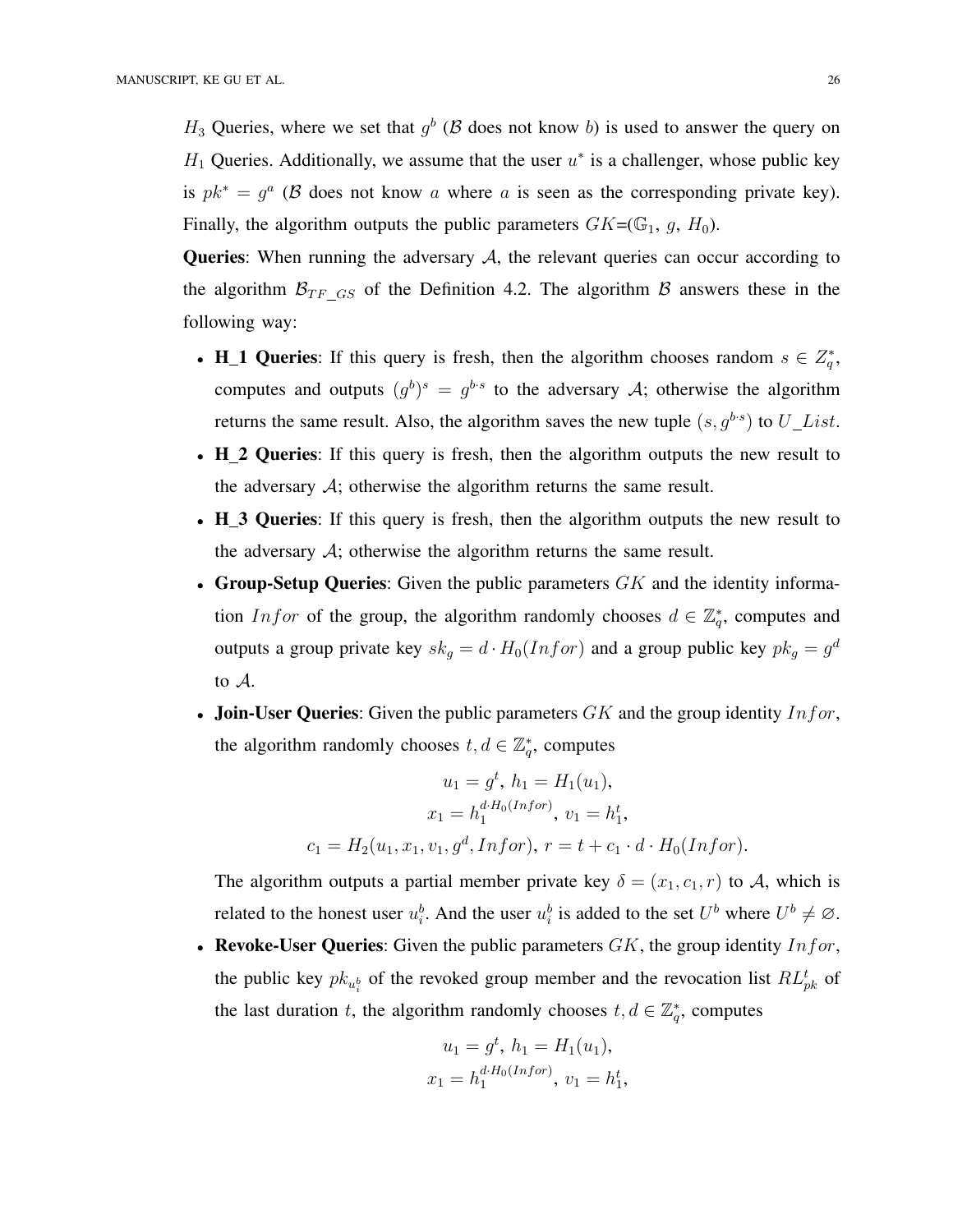$H_3$  Queries, where we set that  $g^b$  ( $\beta$  does not know b) is used to answer the query on  $H_1$  Queries. Additionally, we assume that the user  $u^*$  is a challenger, whose public key is  $pk^* = g^a$  ( $\beta$  does not know a where a is seen as the corresponding private key). Finally, the algorithm outputs the public parameters  $GK=(\mathbb{G}_1, g, H_0)$ .

**Queries:** When running the adversary  $A$ , the relevant queries can occur according to the algorithm  $\mathcal{B}_{TF}$   $_{GS}$  of the Definition 4.2. The algorithm  $\beta$  answers these in the following way:

- H\_1 Queries: If this query is fresh, then the algorithm chooses random  $s \in Z_q^*$ , computes and outputs  $(g^b)^s = g^{b \cdot s}$  to the adversary A; otherwise the algorithm returns the same result. Also, the algorithm saves the new tuple  $(s, g^{b \cdot s})$  to  $U$ <sub>-</sub>List.
- H 2 Queries: If this query is fresh, then the algorithm outputs the new result to the adversary  $A$ ; otherwise the algorithm returns the same result.
- H\_3 Queries: If this query is fresh, then the algorithm outputs the new result to the adversary  $A$ ; otherwise the algorithm returns the same result.
- Group-Setup Queries: Given the public parameters  $GK$  and the identity information *Infor* of the group, the algorithm randomly chooses  $d \in \mathbb{Z}_q^*$ , computes and outputs a group private key  $sk_g = d \cdot H_0(Infor)$  and a group public key  $pk_g = g^d$ to A.
- Join-User Queries: Given the public parameters  $GK$  and the group identity  $Infor$ , the algorithm randomly chooses  $t, d \in \mathbb{Z}_q^*$ , computes

$$
u_1 = g^t, h_1 = H_1(u_1),
$$
  
\n
$$
x_1 = h_1^{d \cdot H_0(Infor)}, v_1 = h_1^t,
$$
  
\n
$$
c_1 = H_2(u_1, x_1, v_1, g^d, Infor), r = t + c_1 \cdot d \cdot H_0(Infor).
$$

The algorithm outputs a partial member private key  $\delta = (x_1, c_1, r)$  to A, which is related to the honest user  $u_i^b$ . And the user  $u_i^b$  is added to the set  $U^b$  where  $U^b \neq \emptyset$ .

• Revoke-User Queries: Given the public parameters  $GK$ , the group identity  $Infor$ , the public key  $pk_{u_i^b}$  of the revoked group member and the revocation list  $RL_{pk}^t$  of the last duration t, the algorithm randomly chooses  $t, d \in \mathbb{Z}_q^*$ , computes

$$
u_1 = g^t, h_1 = H_1(u_1),
$$
  

$$
x_1 = h_1^{d \cdot H_0(Infor)}, v_1 = h_1^t,
$$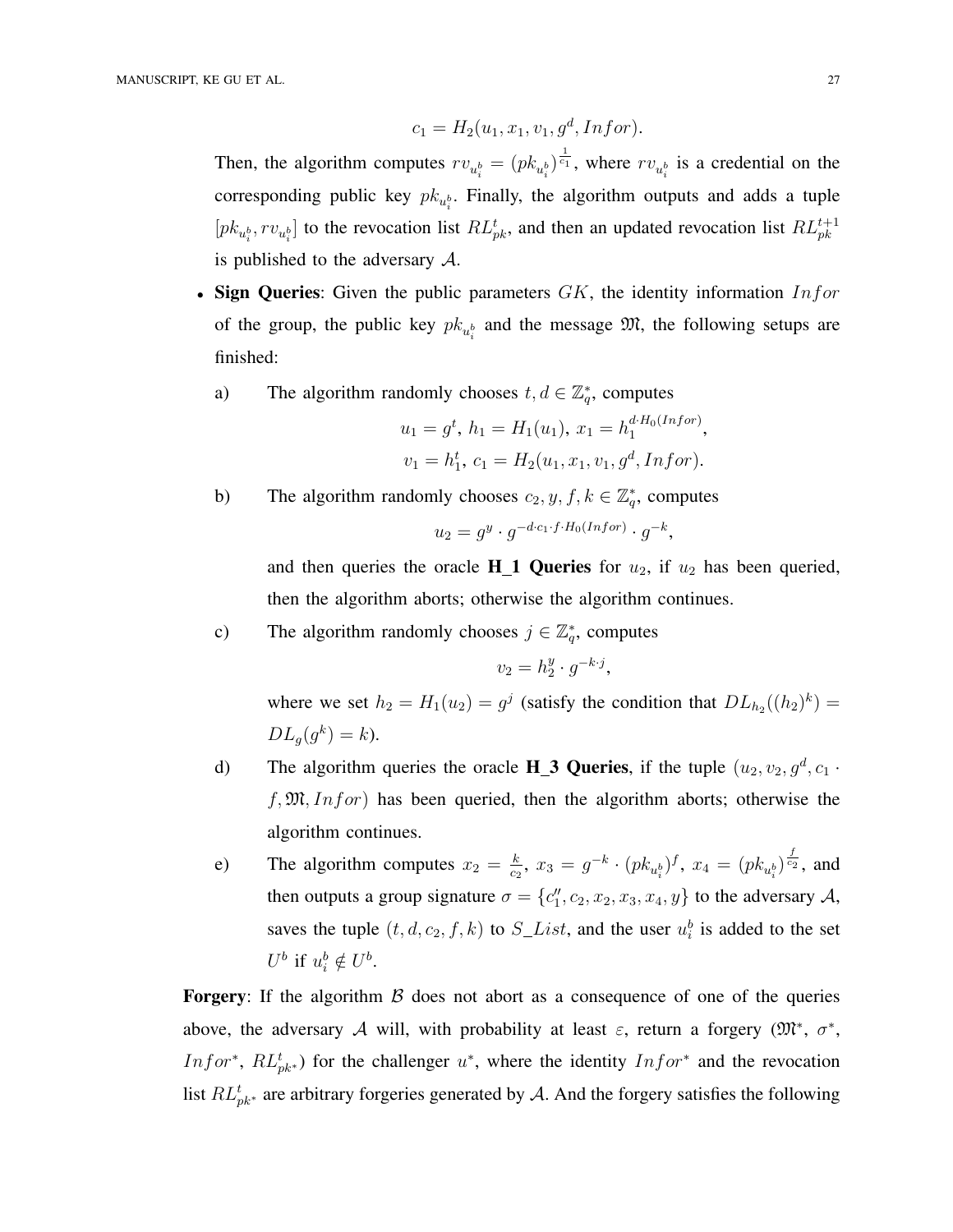$$
c_1 = H_2(u_1, x_1, v_1, g^d, Infor).
$$

Then, the algorithm computes  $rv_{u_i^b} = (pk_{u_i^b})^{\frac{1}{c_1}}$ , where  $rv_{u_i^b}$  is a credential on the corresponding public key  $pk_{u_i^b}$ . Finally, the algorithm outputs and adds a tuple  $[pk_{u_i^b}, rv_{u_i^b}]$  to the revocation list  $RL_{pk}^t$ , and then an updated revocation list  $RL_{pk}^{t+1}$ is published to the adversary  $A$ .

- Sign Queries: Given the public parameters  $GK$ , the identity information  $Infor$ of the group, the public key  $pk_{u_i^b}$  and the message  $\mathfrak{M}$ , the following setups are finished:
	- a) The algorithm randomly chooses  $t, d \in \mathbb{Z}_q^*$ , computes

$$
u_1 = g^t
$$
,  $h_1 = H_1(u_1)$ ,  $x_1 = h_1^{d \cdot H_0(Infor)}$ ,  
 $v_1 = h_1^t$ ,  $c_1 = H_2(u_1, x_1, v_1, g^d, Infor)$ .

b) The algorithm randomly chooses  $c_2, y, f, k \in \mathbb{Z}_q^*$ , computes

$$
u_2 = g^y \cdot g^{-d \cdot c_1 \cdot f \cdot H_0(Infor) } \cdot g^{-k},
$$

and then queries the oracle  $H_1$  Queries for  $u_2$ , if  $u_2$  has been queried, then the algorithm aborts; otherwise the algorithm continues.

c) The algorithm randomly chooses  $j \in \mathbb{Z}_q^*$ , computes

$$
v_2 = h_2^y \cdot g^{-k \cdot j},
$$

where we set  $h_2 = H_1(u_2) = g^j$  (satisfy the condition that  $DL_{h_2}((h_2)^k) =$  $DL_g(g^k) = k$ .

- d) The algorithm queries the oracle **H\_3 Queries**, if the tuple  $(u_2, v_2, g^d, c_1 \cdot$  $f, \mathfrak{M}, \text{In} for$  has been queried, then the algorithm aborts; otherwise the algorithm continues.
- e) The algorithm computes  $x_2 = \frac{k}{c^2}$  $\frac{k}{c_2},\ x_3\,=\,g^{-k}\cdot (pk_{u^b_i})^f,\ x_4\,=\, (pk_{u^b_i})^{\frac{f}{c_2}},\ {\rm and}$ then outputs a group signature  $\sigma = \{c''_1, c_2, x_2, x_3, x_4, y\}$  to the adversary A, saves the tuple  $(t, d, c_2, f, k)$  to  $S$ <sub>-</sub>List, and the user  $u_i^b$  is added to the set  $U^b$  if  $u_i^b \notin U^b$ .

**Forgery:** If the algorithm  $\beta$  does not abort as a consequence of one of the queries above, the adversary A will, with probability at least  $\varepsilon$ , return a forgery  $(\mathfrak{M}^*, \sigma^*,$ Infor<sup>\*</sup>,  $RL_{pk}^{t}$ ) for the challenger  $u^*$ , where the identity Infor<sup>\*</sup> and the revocation list  $RL_{pk*}^t$  are arbitrary forgeries generated by A. And the forgery satisfies the following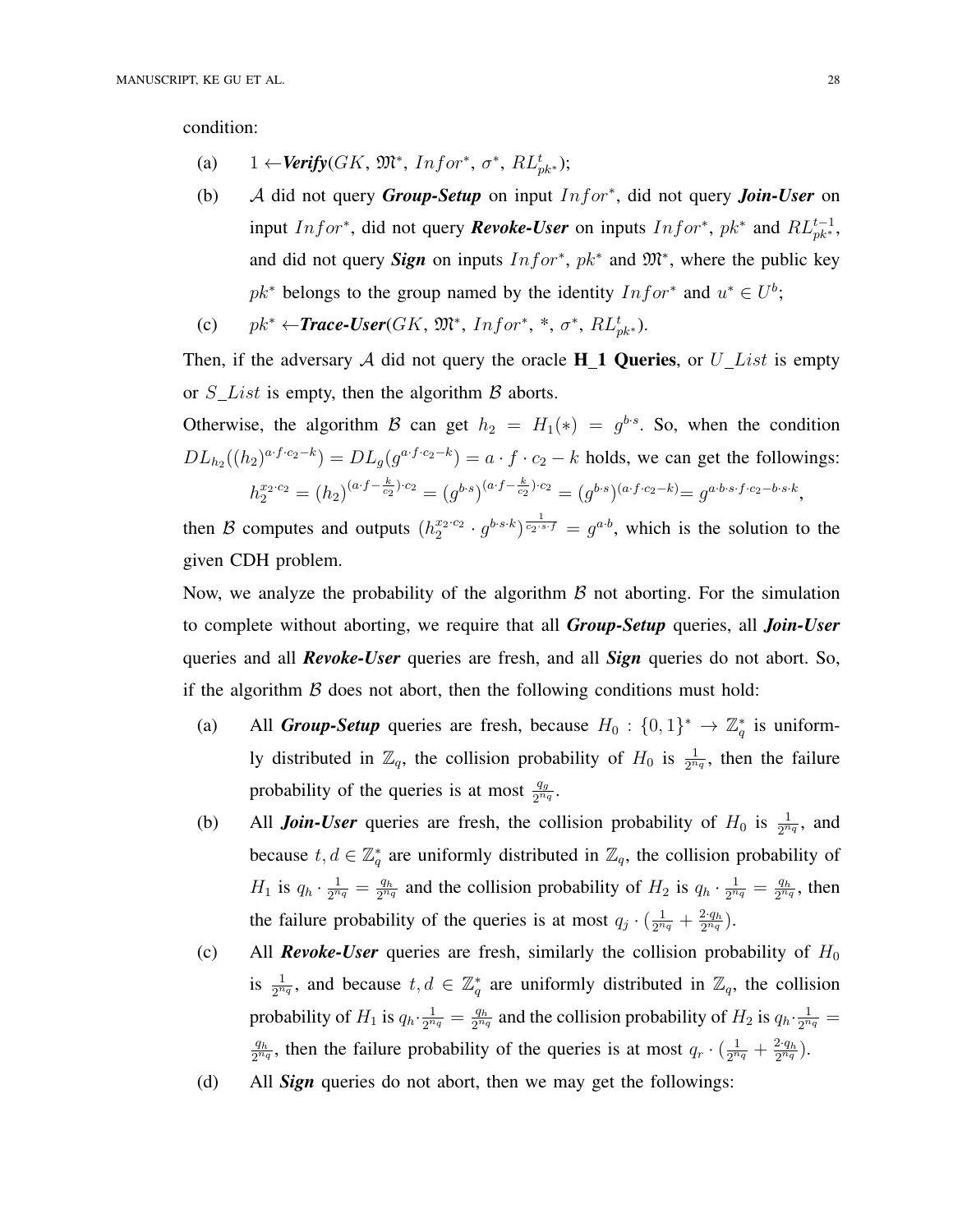condition:

- (a)  $1 \leftarrow \text{Verify}(GK, \mathfrak{M}^*, \text{Infor}^*, \sigma^*, \text{RL}_{pk^*}^t);$
- (b) A did not query *Group-Setup* on input Infor<sup>∗</sup> , did not query *Join-User* on input Infor<sup>\*</sup>, did not query **Revoke-User** on inputs Infor<sup>\*</sup>,  $pk^*$  and  $RL_{pk^*}^{t-1}$ , and did not query *Sign* on inputs  $Infor^*$ ,  $pk^*$  and  $\mathfrak{M}^*$ , where the public key  $pk^*$  belongs to the group named by the identity  $Infor^*$  and  $u^* \in U^b$ ;
- (c)  $pk^* \leftarrow \text{Trace-User}(GK, \mathfrak{M}^*, \text{Infor}^*, *, \sigma^*, \text{RL}_{pk^*}^t).$

Then, if the adversary A did not query the oracle **H 1 Queries**, or U List is empty or  $S$ <sub>List</sub> is empty, then the algorithm  $\beta$  aborts.

Otherwise, the algorithm B can get  $h_2 = H_1(*) = g^{b \cdot s}$ . So, when the condition  $DL_{h_2}((h_2)^{a \cdot f \cdot c_2 - k}) = DL_g(g^{a \cdot f \cdot c_2 - k}) = a \cdot f \cdot c_2 - k$  holds, we can get the followings:  $h_2^{x_2 \cdot c_2} = (h_2)^{(a \cdot f - \frac{k}{c_2}) \cdot c_2} = (g^{b \cdot s})^{(a \cdot f - \frac{k}{c_2}) \cdot c_2} = (g^{b \cdot s})^{(a \cdot f \cdot c_2 - k)} = g^{a \cdot b \cdot s \cdot f \cdot c_2 - b \cdot s \cdot k},$ 

then B computes and outputs  $(h_2^{x_2 \cdot c_2} \cdot g^{b \cdot s \cdot k})^{\frac{1}{c_2 \cdot s \cdot f}} = g^{a \cdot b}$ , which is the solution to the given CDH problem.

Now, we analyze the probability of the algorithm  $\beta$  not aborting. For the simulation to complete without aborting, we require that all *Group-Setup* queries, all *Join-User* queries and all *Revoke-User* queries are fresh, and all *Sign* queries do not abort. So, if the algorithm  $\beta$  does not abort, then the following conditions must hold:

- (a) All *Group-Setup* queries are fresh, because  $H_0: \{0, 1\}^* \to \mathbb{Z}_q^*$  is uniformly distributed in  $\mathbb{Z}_q$ , the collision probability of  $H_0$  is  $\frac{1}{2^{n_q}}$ , then the failure probability of the queries is at most  $\frac{q_g}{2^{n_q}}$ .
- (b) All *Join-User* queries are fresh, the collision probability of  $H_0$  is  $\frac{1}{2^{n_q}}$ , and because  $t, d \in \mathbb{Z}_q^*$  are uniformly distributed in  $\mathbb{Z}_q$ , the collision probability of  $H_1$  is  $q_h \cdot \frac{1}{2^n}$  $\frac{1}{2^{n_q}} = \frac{q_h}{2^{n_q}}$  $\frac{q_h}{2^{n_q}}$  and the collision probability of  $H_2$  is  $q_h \cdot \frac{1}{2^n}$  $\frac{1}{2^{n_q}} = \frac{q_h}{2^{n_q}}$  $\frac{q_h}{2^{n_q}}$ , then the failure probability of the queries is at most  $q_j \cdot (\frac{1}{2^n})$  $\frac{1}{2^{nq}}+\frac{2\cdot q_h}{2^{nq}}$  $\frac{2\cdot q_h}{2^{n_q}}$ ).
- (c) All *Revoke-User* queries are fresh, similarly the collision probability of  $H_0$ is  $\frac{1}{2^{n_q}}$ , and because  $t, d \in \mathbb{Z}_q^*$  are uniformly distributed in  $\mathbb{Z}_q$ , the collision probability of  $H_1$  is  $q_h \cdot \frac{1}{2^n}$  $\frac{1}{2^{n_q}} = \frac{q_h}{2^{n_q}}$  $\frac{q_h}{2^{n_q}}$  and the collision probability of  $H_2$  is  $q_h \cdot \frac{1}{2^n}$  $\frac{1}{2^{n_q}} =$  $q_h$  $\frac{q_h}{2^{n_q}}$ , then the failure probability of the queries is at most  $q_r \cdot (\frac{1}{2^n})$  $\frac{1}{2^{nq}}+\frac{2\cdot q_h}{2^{nq}}$  $\frac{2\cdot q_h}{2^{n_q}}$ ).
- (d) All *Sign* queries do not abort, then we may get the followings: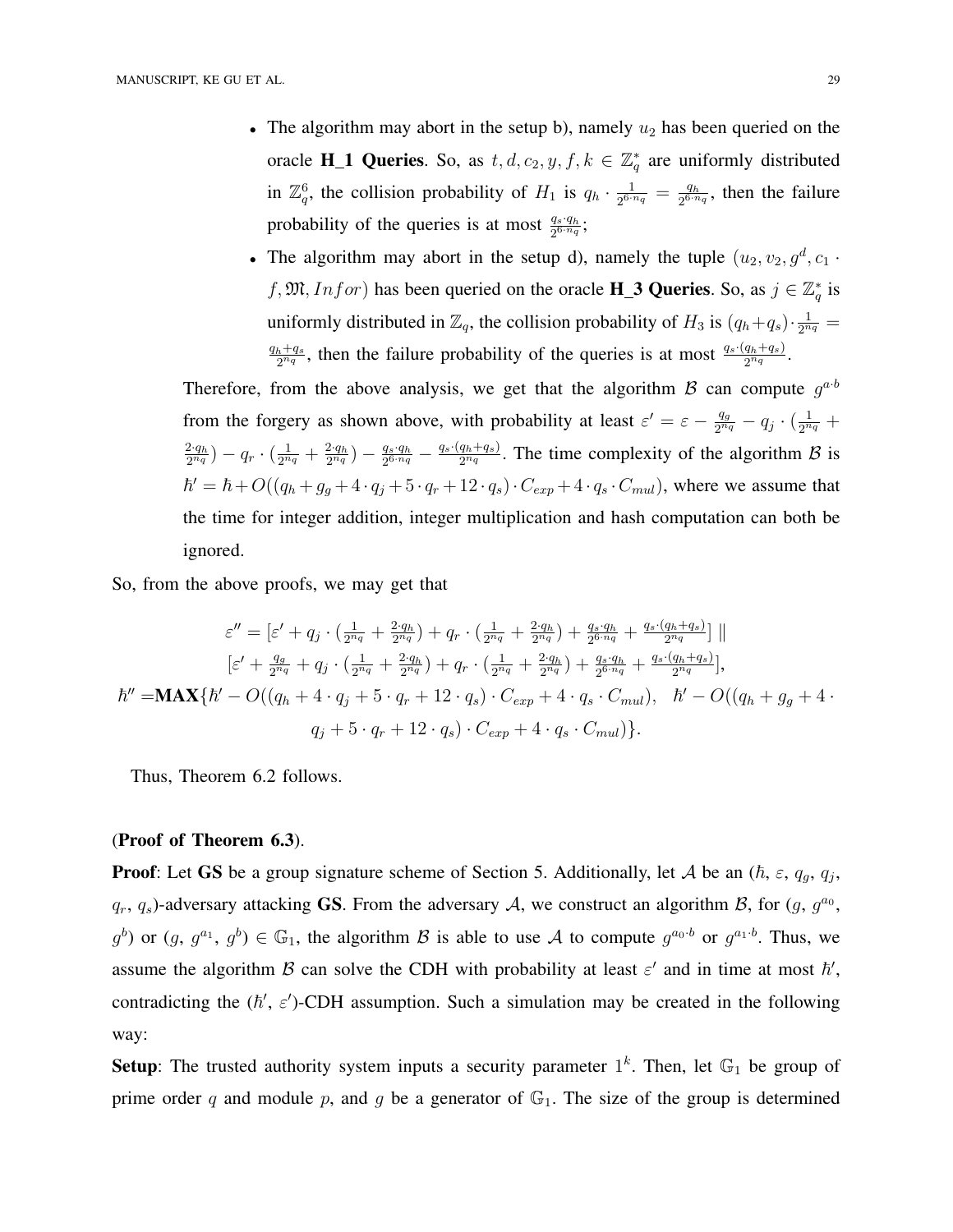- The algorithm may abort in the setup b), namely  $u_2$  has been queried on the oracle **H\_1 Queries**. So, as  $t, d, c_2, y, f, k \in \mathbb{Z}_q^*$  are uniformly distributed in  $\mathbb{Z}_q^6$ , the collision probability of  $H_1$  is  $q_h \cdot \frac{1}{2^{6\cdot n}}$  $\frac{1}{2^{6\cdot n_q}} = \frac{q_h}{2^{6\cdot n}}$  $\frac{q_h}{2^{6 \cdot n_q}}$ , then the failure probability of the queries is at most  $\frac{q_s \cdot q_h}{2^{6 \cdot n_q}}$ ;
- The algorithm may abort in the setup d), namely the tuple  $(u_2, v_2, g^d, c_1$ . f,  $\mathfrak{M}, \text{In} \text{ for }$  has been queried on the oracle **H\_3 Queries**. So, as  $j \in \mathbb{Z}_q^*$  is uniformly distributed in  $\mathbb{Z}_q$ , the collision probability of  $H_3$  is  $(q_h+q_s)\cdot \frac{1}{2^n}$  $\frac{1}{2^{n_{q}}} =$  $q_h+q_s$  $\frac{h+qs}{2^{n_q}}$ , then the failure probability of the queries is at most  $\frac{qs\cdot(q_h+q_s)}{2^{n_q}}$ .

Therefore, from the above analysis, we get that the algorithm  $\beta$  can compute  $g^{a \cdot b}$ from the forgery as shown above, with probability at least  $\varepsilon' = \varepsilon - \frac{q_g}{2m}$  $\frac{q_g}{2^{n_q}}-q_j\cdot (\frac{1}{2^n}$  $\frac{1}{2^{n_q}} +$  $2 \cdot q_h$  $\frac{2\cdot q_h}{2^{n_q}})-q_r\cdot (\frac{1}{2^n}$  $\frac{1}{2^{n_q}}+\frac{2\cdot q_h}{2^{n_q}}$  $\frac{2\cdot q_h}{2^{n_q}}$ ) —  $\frac{q_s\cdot q_h}{2^{6\cdot n_q}}$  $\frac{q_s \cdot q_h}{2^{6 \cdot n_q}} - \frac{q_s \cdot (q_h + q_s)}{2^{n_q}}$  $\frac{q_h+q_s}{2^{n_q}}$ . The time complexity of the algorithm  $\beta$  is  $\hbar' = \hbar + O((q_h + g_g + 4 \cdot q_j + 5 \cdot q_r + 12 \cdot q_s) \cdot C_{exp} + 4 \cdot q_s \cdot C_{mul}),$  where we assume that the time for integer addition, integer multiplication and hash computation can both be ignored.

So, from the above proofs, we may get that

$$
\varepsilon'' = \left[\varepsilon' + q_j \cdot \left(\frac{1}{2^{n_q}} + \frac{2 \cdot q_h}{2^{n_q}}\right) + q_r \cdot \left(\frac{1}{2^{n_q}} + \frac{2 \cdot q_h}{2^{n_q}}\right) + \frac{q_s \cdot q_h}{2^{6 \cdot n_q}} + \frac{q_s \cdot (q_h + q_s)}{2^{n_q}}\right] \|
$$
  

$$
\left[\varepsilon' + \frac{q_g}{2^{n_q}} + q_j \cdot \left(\frac{1}{2^{n_q}} + \frac{2 \cdot q_h}{2^{n_q}}\right) + q_r \cdot \left(\frac{1}{2^{n_q}} + \frac{2 \cdot q_h}{2^{n_q}}\right) + \frac{q_s \cdot q_h}{2^{6 \cdot n_q}} + \frac{q_s \cdot (q_h + q_s)}{2^{n_q}}\right],
$$
  

$$
\hbar'' = \mathbf{MAX} \{ \hbar' - O\big((q_h + 4 \cdot q_j + 5 \cdot q_r + 12 \cdot q_s) \cdot C_{exp} + 4 \cdot q_s \cdot C_{mul}\big), \quad \hbar' - O\big((q_h + q_g + 4 \cdot q_s + 5 \cdot q_r + 12 \cdot q_s) \cdot C_{exp} + 4 \cdot q_s \cdot C_{mul}\big) \}.
$$

Thus, Theorem 6.2 follows.

# (Proof of Theorem 6.3).

**Proof:** Let GS be a group signature scheme of Section 5. Additionally, let A be an  $(\hbar, \varepsilon, q_g, q_j, \varepsilon)$  $q_r$ ,  $q_s$ )-adversary attacking GS. From the adversary A, we construct an algorithm B, for  $(g, g^{a_0}, g^{b_0})$  $g^{b}$ ) or  $(g, g^{a_1}, g^{b}) \in \mathbb{G}_1$ , the algorithm B is able to use A to compute  $g^{a_0 \cdot b}$  or  $g^{a_1 \cdot b}$ . Thus, we assume the algorithm B can solve the CDH with probability at least  $\varepsilon'$  and in time at most  $\hbar'$ , contradicting the  $(h', \varepsilon')$ -CDH assumption. Such a simulation may be created in the following way:

**Setup**: The trusted authority system inputs a security parameter  $1<sup>k</sup>$ . Then, let  $\mathbb{G}_1$  be group of prime order q and module p, and q be a generator of  $\mathbb{G}_1$ . The size of the group is determined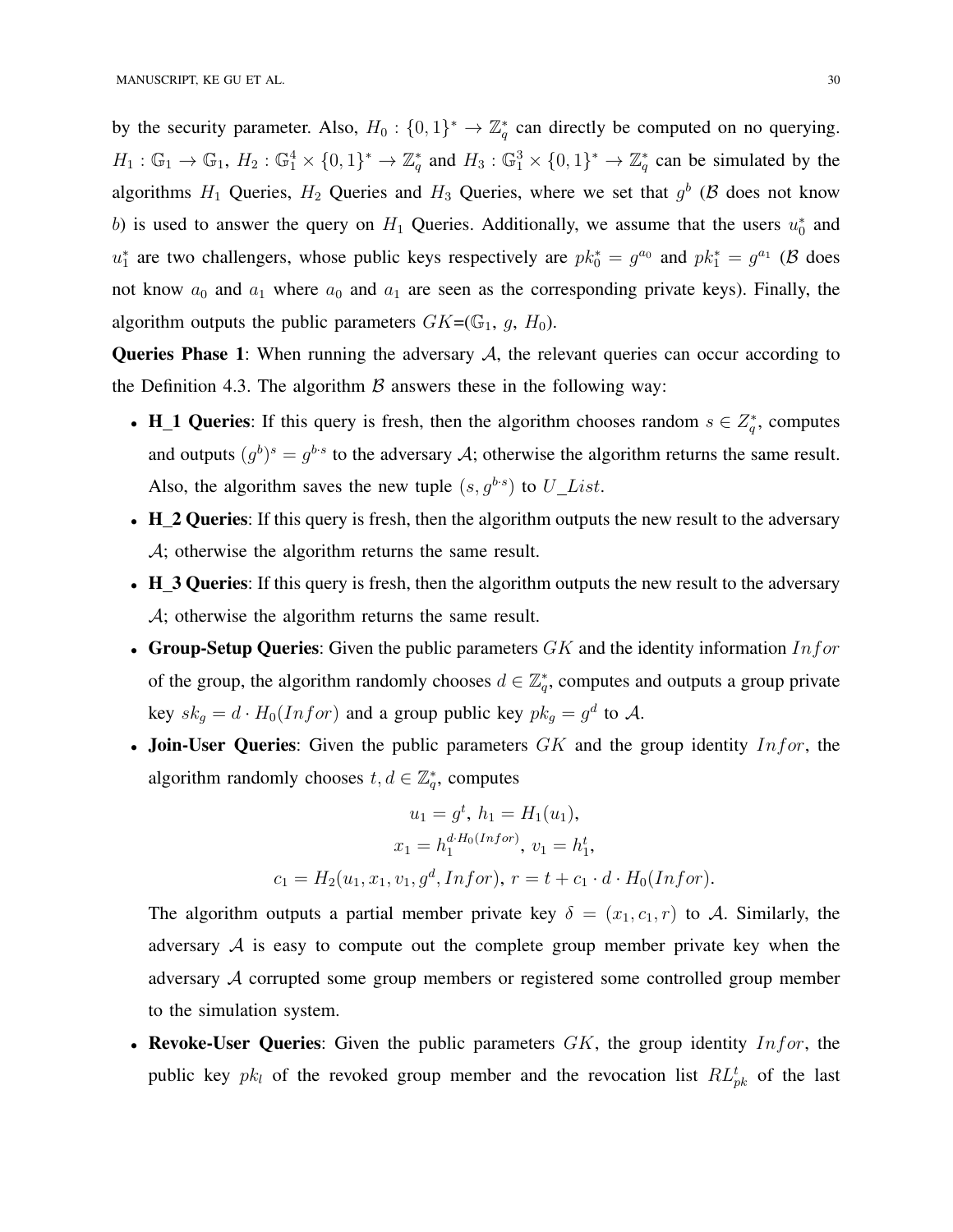by the security parameter. Also,  $H_0: \{0,1\}^* \to \mathbb{Z}_q^*$  can directly be computed on no querying.  $H_1: \mathbb{G}_1 \to \mathbb{G}_1$ ,  $H_2: \mathbb{G}_1^4 \times \{0,1\}^* \to \mathbb{Z}_q^*$  and  $H_3: \mathbb{G}_1^3 \times \{0,1\}^* \to \mathbb{Z}_q^*$  can be simulated by the algorithms  $H_1$  Queries,  $H_2$  Queries and  $H_3$  Queries, where we set that  $g^b$  ( $\beta$  does not know b) is used to answer the query on  $H_1$  Queries. Additionally, we assume that the users  $u_0^*$  and  $u_1^*$  are two challengers, whose public keys respectively are  $pk_0^* = g^{a_0}$  and  $pk_1^* = g^{a_1}$  ( $\beta$  does not know  $a_0$  and  $a_1$  where  $a_0$  and  $a_1$  are seen as the corresponding private keys). Finally, the algorithm outputs the public parameters  $GK=(\mathbb{G}_1, g, H_0)$ .

**Queries Phase 1:** When running the adversary  $A$ , the relevant queries can occur according to the Definition 4.3. The algorithm  $\beta$  answers these in the following way:

- H\_1 Queries: If this query is fresh, then the algorithm chooses random  $s \in Z_q^*$ , computes and outputs  $(g^{b})^{s} = g^{b \cdot s}$  to the adversary A; otherwise the algorithm returns the same result. Also, the algorithm saves the new tuple  $(s, g^{b \cdot s})$  to  $U$ <sub>-</sub>List.
- H\_2 Queries: If this query is fresh, then the algorithm outputs the new result to the adversary A; otherwise the algorithm returns the same result.
- H 3 Queries: If this query is fresh, then the algorithm outputs the new result to the adversary A; otherwise the algorithm returns the same result.
- Group-Setup Queries: Given the public parameters  $GK$  and the identity information  $Infor$ of the group, the algorithm randomly chooses  $d \in \mathbb{Z}_q^*$ , computes and outputs a group private key  $sk_g = d \cdot H_0(Infor)$  and a group public key  $pk_g = g^d$  to A.
- Join-User Queries: Given the public parameters  $GK$  and the group identity  $Infor$ , the algorithm randomly chooses  $t, d \in \mathbb{Z}_q^*$ , computes

$$
u_1 = g^t, h_1 = H_1(u_1),
$$
  
\n
$$
x_1 = h_1^{d \cdot H_0(Infor)}, v_1 = h_1^t,
$$
  
\n
$$
c_1 = H_2(u_1, x_1, v_1, g^d, Infor), r = t + c_1 \cdot d \cdot H_0(Infor).
$$

The algorithm outputs a partial member private key  $\delta = (x_1, c_1, r)$  to A. Similarly, the adversary  $A$  is easy to compute out the complete group member private key when the adversary A corrupted some group members or registered some controlled group member to the simulation system.

• Revoke-User Queries: Given the public parameters  $GK$ , the group identity  $Infor$ , the public key  $pk_l$  of the revoked group member and the revocation list  $RL_{pk}^t$  of the last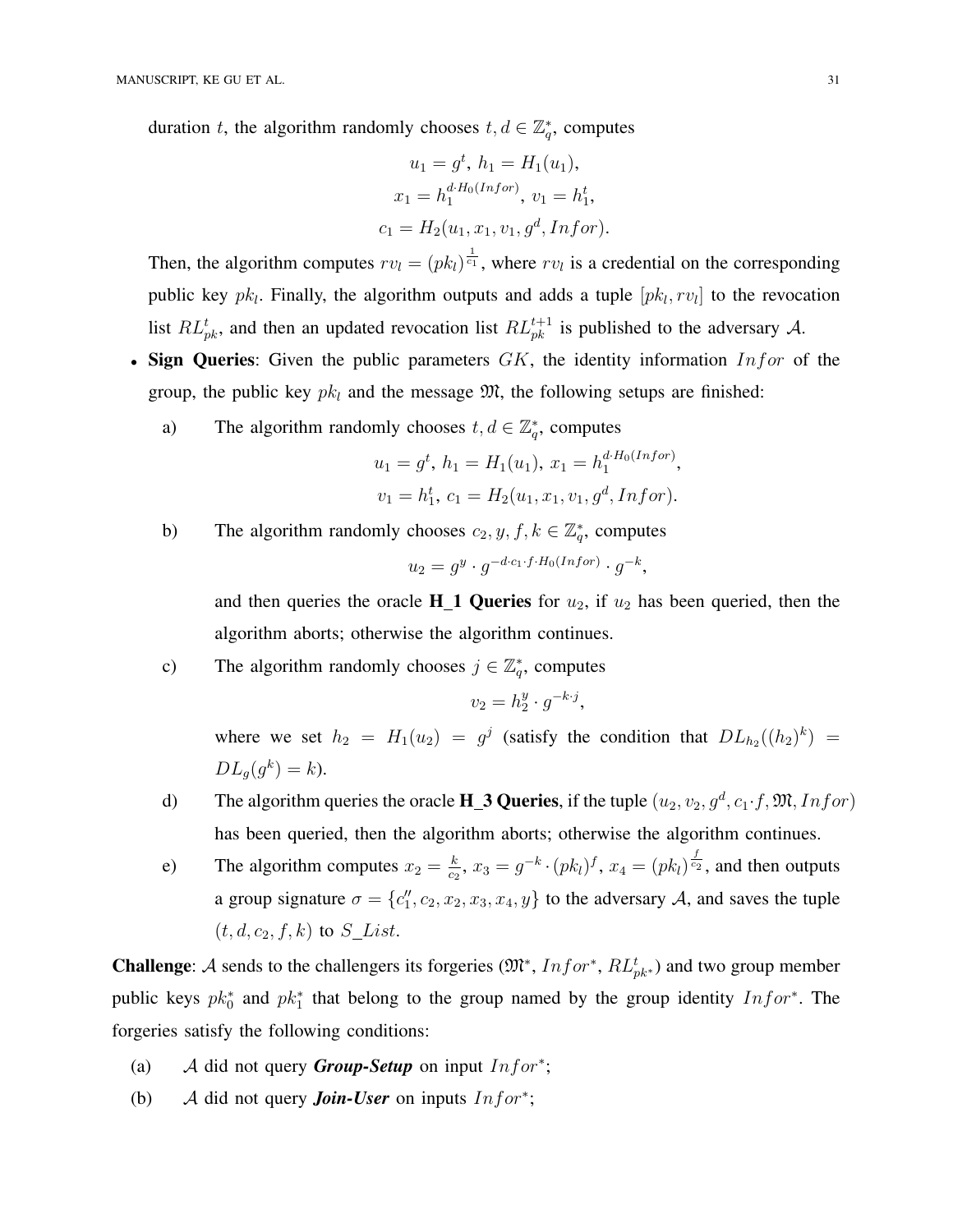duration t, the algorithm randomly chooses  $t, d \in \mathbb{Z}_q^*$ , computes

$$
u_1 = g^t, h_1 = H_1(u_1),
$$
  
\n
$$
x_1 = h_1^{d \cdot H_0(Infor)}, v_1 = h_1^t,
$$
  
\n
$$
c_1 = H_2(u_1, x_1, v_1, g^d, Infor).
$$

Then, the algorithm computes  $rv_l = (pk_l)^{\frac{1}{c_1}}$ , where  $rv_l$  is a credential on the corresponding public key  $pk_l$ . Finally, the algorithm outputs and adds a tuple  $[pk_l, rv_l]$  to the revocation list  $RL_{pk}^t$ , and then an updated revocation list  $RL_{pk}^{t+1}$  is published to the adversary A.

- Sign Queries: Given the public parameters  $GK$ , the identity information  $Infor$  of the group, the public key  $pk_l$  and the message  $\mathfrak{M}$ , the following setups are finished:
	- a) The algorithm randomly chooses  $t, d \in \mathbb{Z}_q^*$ , computes

$$
u_1 = g^t
$$
,  $h_1 = H_1(u_1)$ ,  $x_1 = h_1^{d \cdot H_0(Infor)}$ ,  
 $v_1 = h_1^t$ ,  $c_1 = H_2(u_1, x_1, v_1, g^d, Infor)$ .

b) The algorithm randomly chooses  $c_2, y, f, k \in \mathbb{Z}_q^*$ , computes

$$
u_2 = g^y \cdot g^{-d \cdot c_1 \cdot f \cdot H_0(Infor) } \cdot g^{-k},
$$

and then queries the oracle  $H_1$  Queries for  $u_2$ , if  $u_2$  has been queried, then the algorithm aborts; otherwise the algorithm continues.

c) The algorithm randomly chooses  $j \in \mathbb{Z}_q^*$ , computes

$$
v_2 = h_2^y \cdot g^{-k \cdot j},
$$

where we set  $h_2 = H_1(u_2) = g^j$  (satisfy the condition that  $DL_{h_2}((h_2)^k) =$  $DL_g(g^k) = k$ .

- d) The algorithm queries the oracle **H\_3 Queries**, if the tuple  $(u_2, v_2, g^d, c_1 \cdot f, \mathfrak{M}, Infor)$ has been queried, then the algorithm aborts; otherwise the algorithm continues.
- e) The algorithm computes  $x_2 = \frac{k}{c^2}$  $\frac{k}{c_2}$ ,  $x_3 = g^{-k} \cdot (pk_l)^f$ ,  $x_4 = (pk_l)^{\frac{f}{c_2}}$ , and then outputs a group signature  $\sigma = \{c_1'', c_2, x_2, x_3, x_4, y\}$  to the adversary A, and saves the tuple  $(t, d, c_2, f, k)$  to  $S$ \_List.

**Challenge:** A sends to the challengers its forgeries  $(\mathfrak{M}^*, Infor^*, RL_{pk^*}^t)$  and two group member public keys  $pk_0^*$  and  $pk_1^*$  that belong to the group named by the group identity  $Infor^*$ . The forgeries satisfy the following conditions:

- (a) A did not query *Group-Setup* on input  $Infor^*$ ;
- (b) A did not query *Join-User* on inputs Infor<sup>∗</sup> ;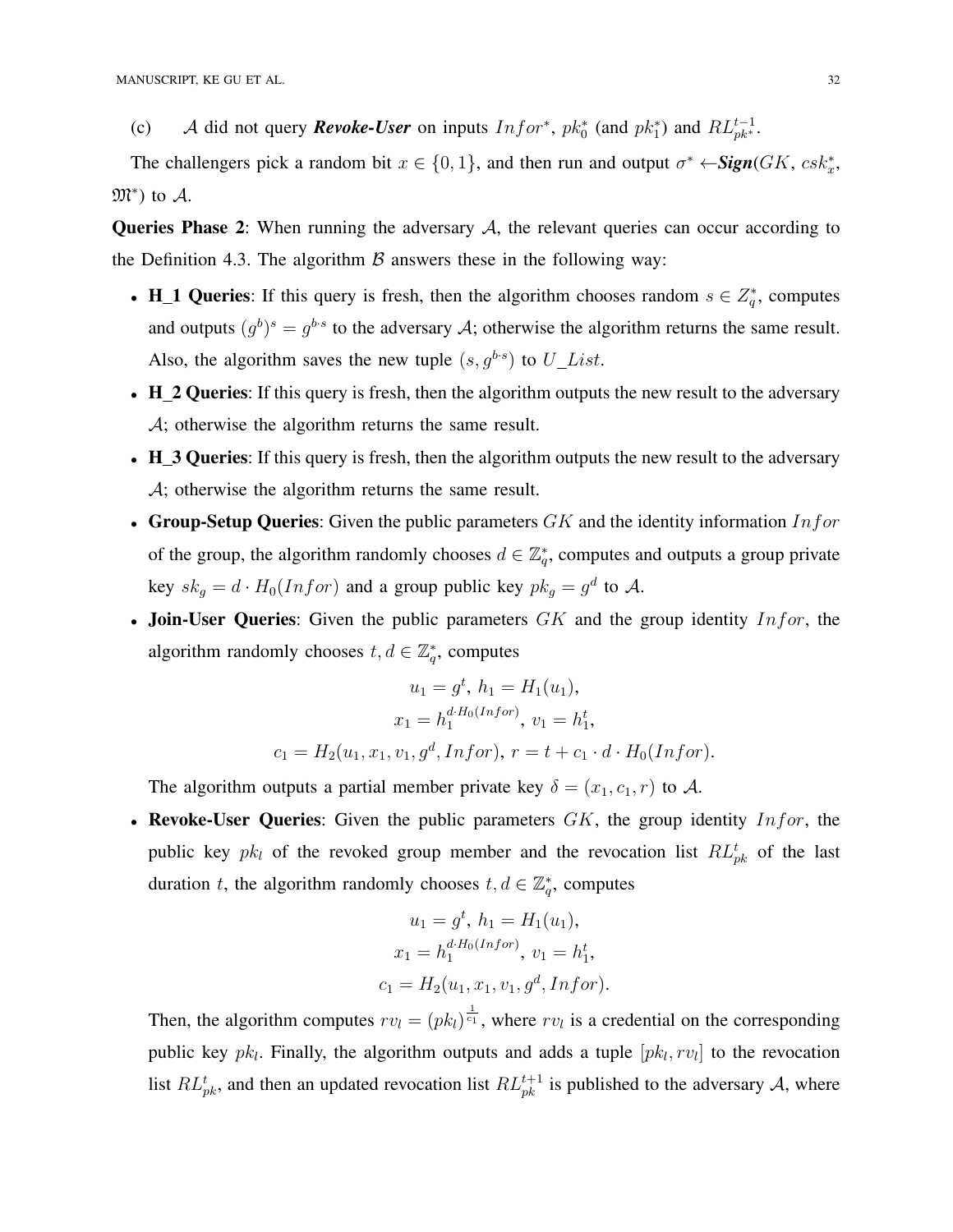(c) A did not query *Revoke-User* on inputs  $Infor^*$ ,  $pk_0^*$  (and  $pk_1^*$ ) and  $RL_{pk^*}^{t-1}$ .

The challengers pick a random bit  $x \in \{0, 1\}$ , and then run and output  $\sigma^* \leftarrow$ **Sign**(*GK*, csk<sup>\*</sup><sub>x</sub></sub>,  $\mathfrak{M}^*$ ) to  $\mathcal{A}$ .

**Queries Phase 2:** When running the adversary  $A$ , the relevant queries can occur according to the Definition 4.3. The algorithm  $\beta$  answers these in the following way:

- H\_1 Queries: If this query is fresh, then the algorithm chooses random  $s \in Z_q^*$ , computes and outputs  $(g^{b})^{s} = g^{b \cdot s}$  to the adversary A; otherwise the algorithm returns the same result. Also, the algorithm saves the new tuple  $(s, g^{b \cdot s})$  to  $U$ <sub>-</sub>List.
- H\_2 Queries: If this query is fresh, then the algorithm outputs the new result to the adversary A; otherwise the algorithm returns the same result.
- H\_3 Queries: If this query is fresh, then the algorithm outputs the new result to the adversary A; otherwise the algorithm returns the same result.
- Group-Setup Queries: Given the public parameters  $GK$  and the identity information Information of the group, the algorithm randomly chooses  $d \in \mathbb{Z}_q^*$ , computes and outputs a group private key  $sk_g = d \cdot H_0(Infor)$  and a group public key  $pk_g = g^d$  to A.
- Join-User Queries: Given the public parameters  $GK$  and the group identity  $Infor$ , the algorithm randomly chooses  $t, d \in \mathbb{Z}_q^*$ , computes

$$
u_1 = g^t, h_1 = H_1(u_1),
$$
  
\n
$$
x_1 = h_1^{d \cdot H_0(Infor)}, v_1 = h_1^t,
$$
  
\n
$$
c_1 = H_2(u_1, x_1, v_1, g^d, Infor), r = t + c_1 \cdot d \cdot H_0(Infor).
$$

The algorithm outputs a partial member private key  $\delta = (x_1, c_1, r)$  to A.

• Revoke-User Queries: Given the public parameters  $GK$ , the group identity  $Infor$ , the public key  $pk_l$  of the revoked group member and the revocation list  $RL_{pk}^t$  of the last duration t, the algorithm randomly chooses  $t, d \in \mathbb{Z}_q^*$ , computes

$$
u_1 = g^t, h_1 = H_1(u_1),
$$
  
\n
$$
x_1 = h_1^{d \cdot H_0(Infor)}, v_1 = h_1^t,
$$
  
\n
$$
c_1 = H_2(u_1, x_1, v_1, g^d, Infor).
$$

Then, the algorithm computes  $rv_l = (pk_l)^{\frac{1}{c_1}}$ , where  $rv_l$  is a credential on the corresponding public key  $pk_l$ . Finally, the algorithm outputs and adds a tuple  $[pk_l, rv_l]$  to the revocation list  $RL_{pk}^{t}$ , and then an updated revocation list  $RL_{pk}^{t+1}$  is published to the adversary A, where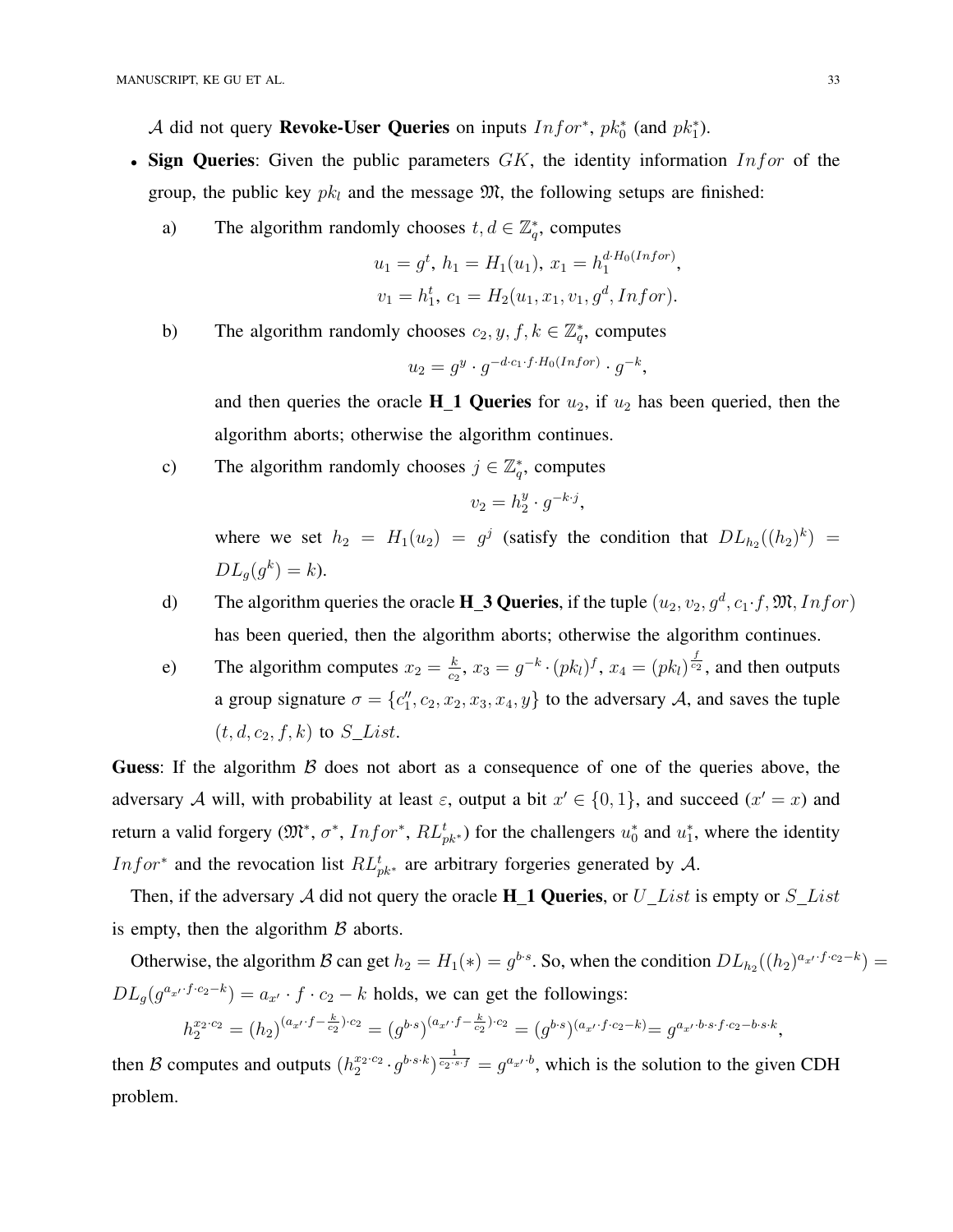A did not query **Revoke-User Queries** on inputs  $Infor^*$ ,  $pk_0^*$  (and  $pk_1^*$ ).

- Sign Queries: Given the public parameters  $GK$ , the identity information  $Infor$  of the group, the public key  $pk_l$  and the message  $\mathfrak{M}$ , the following setups are finished:
	- a) The algorithm randomly chooses  $t, d \in \mathbb{Z}_q^*$ , computes

$$
u_1 = g^t, h_1 = H_1(u_1), x_1 = h_1^{d \cdot H_0(Infor)},
$$
  

$$
v_1 = h_1^t, c_1 = H_2(u_1, x_1, v_1, g^d, Infor).
$$

b) The algorithm randomly chooses  $c_2, y, f, k \in \mathbb{Z}_q^*$ , computes

$$
u_2 = g^y \cdot g^{-d \cdot c_1 \cdot f \cdot H_0(Infor) } \cdot g^{-k},
$$

and then queries the oracle  $H_1$  Queries for  $u_2$ , if  $u_2$  has been queried, then the algorithm aborts; otherwise the algorithm continues.

c) The algorithm randomly chooses  $j \in \mathbb{Z}_q^*$ , computes

$$
v_2 = h_2^y \cdot g^{-k \cdot j},
$$

where we set  $h_2 = H_1(u_2) = g^j$  (satisfy the condition that  $DL_{h_2}((h_2)^k) =$  $DL_g(g^k) = k$ .

- d) The algorithm queries the oracle **H\_3 Queries**, if the tuple  $(u_2, v_2, g^d, c_1 \cdot f, \mathfrak{M}, Infor)$ has been queried, then the algorithm aborts; otherwise the algorithm continues.
- e) The algorithm computes  $x_2 = \frac{k}{c^2}$  $\frac{k}{c_2}$ ,  $x_3 = g^{-k} \cdot (pk_l)^f$ ,  $x_4 = (pk_l)^{\frac{f}{c_2}}$ , and then outputs a group signature  $\sigma = \{c_1'', c_2, x_2, x_3, x_4, y\}$  to the adversary A, and saves the tuple  $(t, d, c_2, f, k)$  to  $S$ \_List.

Guess: If the algorithm  $\beta$  does not abort as a consequence of one of the queries above, the adversary A will, with probability at least  $\varepsilon$ , output a bit  $x' \in \{0, 1\}$ , and succeed  $(x' = x)$  and return a valid forgery  $(\mathfrak{M}^*, \sigma^*, \text{Infor}^*, \text{RL}_{pk^*}^t)$  for the challengers  $u_0^*$  and  $u_1^*$ , where the identity In for<sup>\*</sup> and the revocation list  $RL_{pk*}^t$  are arbitrary forgeries generated by A.

Then, if the adversary A did not query the oracle **H\_1 Queries**, or  $U$ <sub>List</sub> is empty or  $S$ <sub>List</sub> is empty, then the algorithm  $\beta$  aborts.

Otherwise, the algorithm B can get  $h_2 = H_1(*) = g^{b \cdot s}$ . So, when the condition  $DL_{h_2}((h_2)^{a_{x'} \cdot f \cdot c_2 - k}) =$  $DL_g(g^{a_{x'}\cdot f \cdot c_2-k}) = a_{x'} \cdot f \cdot c_2 - k$  holds, we can get the followings:

$$
h_2^{x_2 \cdot c_2} = (h_2)^{(a_{x'} \cdot f - \frac{k}{c_2}) \cdot c_2} = (g^{b \cdot s})^{(a_{x'} \cdot f - \frac{k}{c_2}) \cdot c_2} = (g^{b \cdot s})^{(a_{x'} \cdot f \cdot c_2 - k)} = g^{a_{x'} \cdot b \cdot s \cdot f \cdot c_2 - b \cdot s \cdot k},
$$

then B computes and outputs  $(h_2^{x_2 \cdot c_2} \cdot g^{b \cdot s \cdot k})^{\frac{1}{c_2 \cdot s \cdot f}} = g^{a_{x'} \cdot b}$ , which is the solution to the given CDH problem.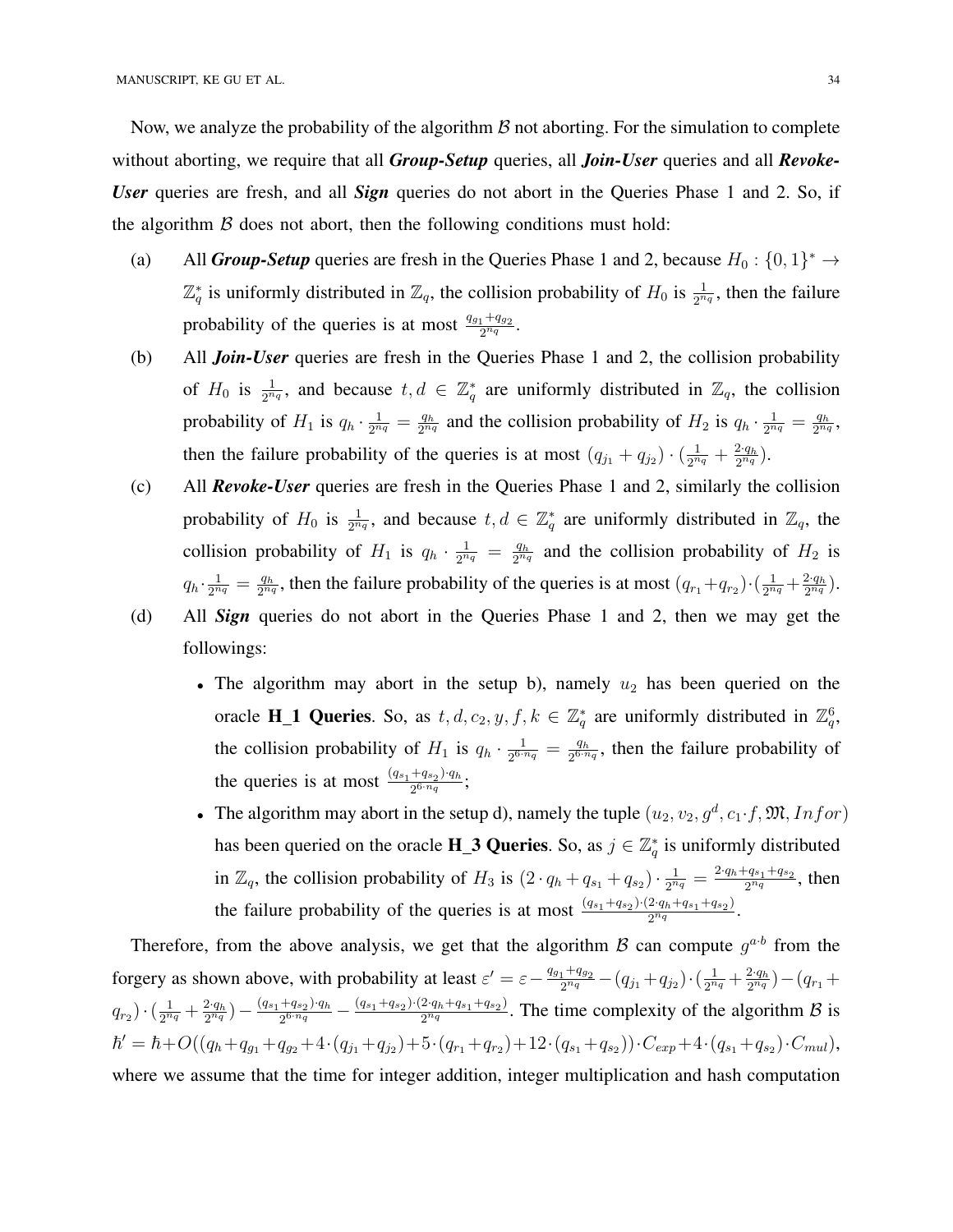MANUSCRIPT, KE GU ET AL. 34

Now, we analyze the probability of the algorithm  $\beta$  not aborting. For the simulation to complete without aborting, we require that all *Group-Setup* queries, all *Join-User* queries and all *Revoke-User* queries are fresh, and all *Sign* queries do not abort in the Queries Phase 1 and 2. So, if the algorithm  $\beta$  does not abort, then the following conditions must hold:

- (a) All *Group-Setup* queries are fresh in the Queries Phase 1 and 2, because  $H_0: \{0,1\}^* \to$  $\mathbb{Z}_q^*$  is uniformly distributed in  $\mathbb{Z}_q$ , the collision probability of  $H_0$  is  $\frac{1}{2^{n_q}}$ , then the failure probability of the queries is at most  $\frac{q_{g_1} + q_{g_2}}{2^{n_q}}$ .
- (b) All *Join-User* queries are fresh in the Queries Phase 1 and 2, the collision probability of  $H_0$  is  $\frac{1}{2^{n_q}}$ , and because  $t, d \in \mathbb{Z}_q^*$  are uniformly distributed in  $\mathbb{Z}_q$ , the collision probability of  $H_1$  is  $q_h \cdot \frac{1}{2^n}$  $\frac{1}{2^{n_q}} = \frac{q_h}{2^{n_q}}$  $\frac{q_h}{2^{n_q}}$  and the collision probability of  $H_2$  is  $q_h \cdot \frac{1}{2^n}$  $\frac{1}{2^{n_q}} = \frac{q_h}{2^{n_q}}$  $\frac{q_h}{2^{n_q}}$ , then the failure probability of the queries is at most  $(q_{j_1} + q_{j_2}) \cdot (\frac{1}{2^n})$  $\frac{1}{2^{n_q}} + \frac{2 \cdot q_h}{2^{n_q}}$  $\frac{2\cdot q_h}{2^{n_q}}$ ).
- (c) All *Revoke-User* queries are fresh in the Queries Phase 1 and 2, similarly the collision probability of  $H_0$  is  $\frac{1}{2^{n_q}}$ , and because  $t, d \in \mathbb{Z}_q^*$  are uniformly distributed in  $\mathbb{Z}_q$ , the collision probability of  $H_1$  is  $q_h \cdot \frac{1}{2^n}$  $\frac{1}{2^{n_q}} = \frac{q_h}{2^{n_q}}$  $\frac{q_h}{2^{n_q}}$  and the collision probability of  $H_2$  is  $q_h \cdot \frac{1}{2^n}$  $\frac{1}{2^{n_q}} = \frac{q_h}{2^{n_q}}$  $\frac{q_h}{2^{n_q}}$ , then the failure probability of the queries is at most  $(q_{r_1}+q_{r_2}) \cdot (\frac{1}{2^{n_q}})$  $\frac{1}{2^{n_q}} + \frac{2 \cdot q_h}{2^{n_q}}$  $\frac{2\cdot q_h}{2^{n_q}}$ ).
- (d) All *Sign* queries do not abort in the Queries Phase 1 and 2, then we may get the followings:
	- The algorithm may abort in the setup b), namely  $u_2$  has been queried on the oracle **H\_1 Queries**. So, as  $t, d, c_2, y, f, k \in \mathbb{Z}_q^*$  are uniformly distributed in  $\mathbb{Z}_q^6$ , the collision probability of  $H_1$  is  $q_h \cdot \frac{1}{2^{6\gamma}}$  $\frac{1}{2^{6 \cdot n_q}} = \frac{q_h}{2^{6 \cdot n}}$  $\frac{q_h}{2^{6 \cdot n_q}}$ , then the failure probability of the queries is at most  $\frac{(q_{s_1}+q_{s_2})\cdot q_h}{2^{6\cdot n_q}}$  $\frac{+q_{s_2}\cdot q_h}{2^{6\cdot n_q}}$ ;
	- The algorithm may abort in the setup d), namely the tuple  $(u_2, v_2, g^d, c_1 \cdot f, \mathfrak{M}, Infor)$ has been queried on the oracle **H\_3 Queries**. So, as  $j \in \mathbb{Z}_q^*$  is uniformly distributed in  $\mathbb{Z}_q$ , the collision probability of  $H_3$  is  $(2 \cdot q_h + q_{s_1} + q_{s_2}) \cdot \frac{1}{2^n}$  $\frac{1}{2^{n_q}} = \frac{2 \cdot q_h + q_{s_1} + q_{s_2}}{2^{n_q}}$  $\frac{q_{s_1}+q_{s_2}}{2^{n_q}}$ , then the failure probability of the queries is at most  $\frac{(q_{s_1}+q_{s_2})\cdot(2\cdot q_h+q_{s_1}+q_{s_2})}{2^{n_q}}$  $\frac{z \cdot q_h + q_{s_1} + q_{s_2})}{2^{n_q}}$ .

Therefore, from the above analysis, we get that the algorithm  $\beta$  can compute  $g^{a,b}$  from the forgery as shown above, with probability at least  $\varepsilon' = \varepsilon - \frac{q_{g_1} + q_{g_2}}{2^{n_g}}$  $\frac{1+q_{g_2}}{2^{n_q}}-(q_{j_1}+q_{j_2})\cdot(\frac{1}{2^n})$  $\frac{1}{2^{n_q}} + \frac{2 \cdot q_h}{2^{n_q}}$  $\frac{2\cdot q_h}{2^{n_q}}$ ) –  $(q_{r_1} +$  $(q_{r_2})\cdot(\frac{1}{2^n})$  $rac{1}{2^{nq}} + \frac{2 \cdot q_h}{2^{nq}}$  $\frac{(q_{s_1}+q_{s_2})\cdot q_h}{2^{6\cdot n_q}}$  $\frac{+q_{s_2})\cdot q_h}{2^{6\cdot n_q}} - \frac{(q_{s_1}+q_{s_2})\cdot (2\cdot q_h+q_{s_1}+q_{s_2})}{2^{n_q}}$  $\frac{2^{n}q_{h}+q_{s_1}+q_{s_2})}{2^{n}q}$ . The time complexity of the algorithm  $\beta$  is  $\hbar' = \hbar + O((q_h + q_{g_1} + q_{g_2} + 4 \cdot (q_{j_1} + q_{j_2}) + 5 \cdot (q_{r_1} + q_{r_2}) + 12 \cdot (q_{s_1} + q_{s_2})) \cdot C_{exp} + 4 \cdot (q_{s_1} + q_{s_2}) \cdot C_{mul}),$ where we assume that the time for integer addition, integer multiplication and hash computation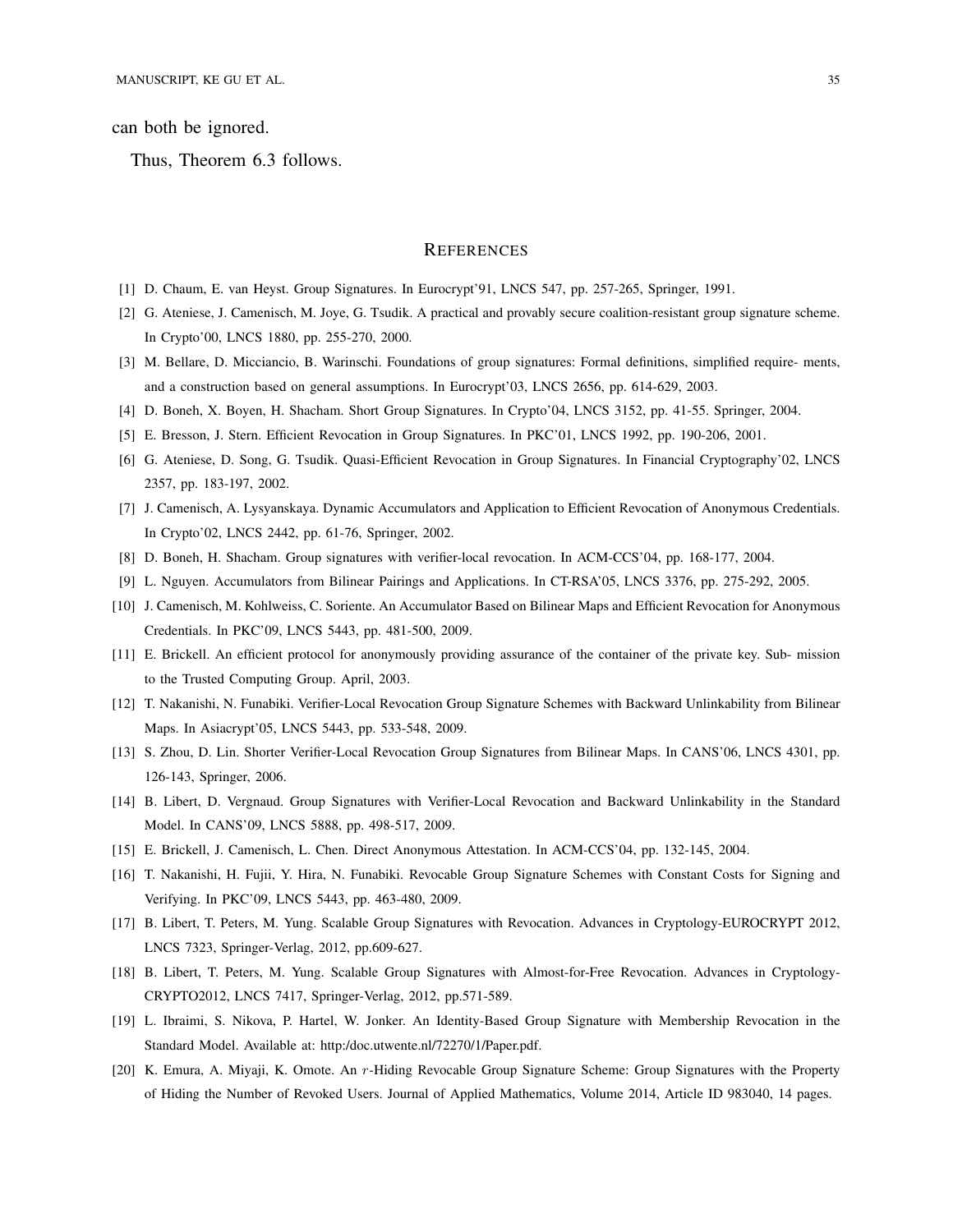#### can both be ignored.

Thus, Theorem 6.3 follows.

#### **REFERENCES**

- [1] D. Chaum, E. van Heyst. Group Signatures. In Eurocrypt'91, LNCS 547, pp. 257-265, Springer, 1991.
- [2] G. Ateniese, J. Camenisch, M. Joye, G. Tsudik. A practical and provably secure coalition-resistant group signature scheme. In Crypto'00, LNCS 1880, pp. 255-270, 2000.
- [3] M. Bellare, D. Micciancio, B. Warinschi. Foundations of group signatures: Formal definitions, simplified require- ments, and a construction based on general assumptions. In Eurocrypt'03, LNCS 2656, pp. 614-629, 2003.
- [4] D. Boneh, X. Boyen, H. Shacham. Short Group Signatures. In Crypto'04, LNCS 3152, pp. 41-55. Springer, 2004.
- [5] E. Bresson, J. Stern. Efficient Revocation in Group Signatures. In PKC'01, LNCS 1992, pp. 190-206, 2001.
- [6] G. Ateniese, D. Song, G. Tsudik. Quasi-Efficient Revocation in Group Signatures. In Financial Cryptography'02, LNCS 2357, pp. 183-197, 2002.
- [7] J. Camenisch, A. Lysyanskaya. Dynamic Accumulators and Application to Efficient Revocation of Anonymous Credentials. In Crypto'02, LNCS 2442, pp. 61-76, Springer, 2002.
- [8] D. Boneh, H. Shacham. Group signatures with verifier-local revocation. In ACM-CCS'04, pp. 168-177, 2004.
- [9] L. Nguyen. Accumulators from Bilinear Pairings and Applications. In CT-RSA'05, LNCS 3376, pp. 275-292, 2005.
- [10] J. Camenisch, M. Kohlweiss, C. Soriente. An Accumulator Based on Bilinear Maps and Efficient Revocation for Anonymous Credentials. In PKC'09, LNCS 5443, pp. 481-500, 2009.
- [11] E. Brickell. An efficient protocol for anonymously providing assurance of the container of the private key. Sub- mission to the Trusted Computing Group. April, 2003.
- [12] T. Nakanishi, N. Funabiki. Verifier-Local Revocation Group Signature Schemes with Backward Unlinkability from Bilinear Maps. In Asiacrypt'05, LNCS 5443, pp. 533-548, 2009.
- [13] S. Zhou, D. Lin. Shorter Verifier-Local Revocation Group Signatures from Bilinear Maps. In CANS'06, LNCS 4301, pp. 126-143, Springer, 2006.
- [14] B. Libert, D. Vergnaud. Group Signatures with Verifier-Local Revocation and Backward Unlinkability in the Standard Model. In CANS'09, LNCS 5888, pp. 498-517, 2009.
- [15] E. Brickell, J. Camenisch, L. Chen. Direct Anonymous Attestation. In ACM-CCS'04, pp. 132-145, 2004.
- [16] T. Nakanishi, H. Fujii, Y. Hira, N. Funabiki. Revocable Group Signature Schemes with Constant Costs for Signing and Verifying. In PKC'09, LNCS 5443, pp. 463-480, 2009.
- [17] B. Libert, T. Peters, M. Yung. Scalable Group Signatures with Revocation. Advances in Cryptology-EUROCRYPT 2012, LNCS 7323, Springer-Verlag, 2012, pp.609-627.
- [18] B. Libert, T. Peters, M. Yung. Scalable Group Signatures with Almost-for-Free Revocation. Advances in Cryptology-CRYPTO2012, LNCS 7417, Springer-Verlag, 2012, pp.571-589.
- [19] L. Ibraimi, S. Nikova, P. Hartel, W. Jonker. An Identity-Based Group Signature with Membership Revocation in the Standard Model. Available at: http:/doc.utwente.nl/72270/1/Paper.pdf.
- [20] K. Emura, A. Miyaji, K. Omote. An r-Hiding Revocable Group Signature Scheme: Group Signatures with the Property of Hiding the Number of Revoked Users. Journal of Applied Mathematics, Volume 2014, Article ID 983040, 14 pages.